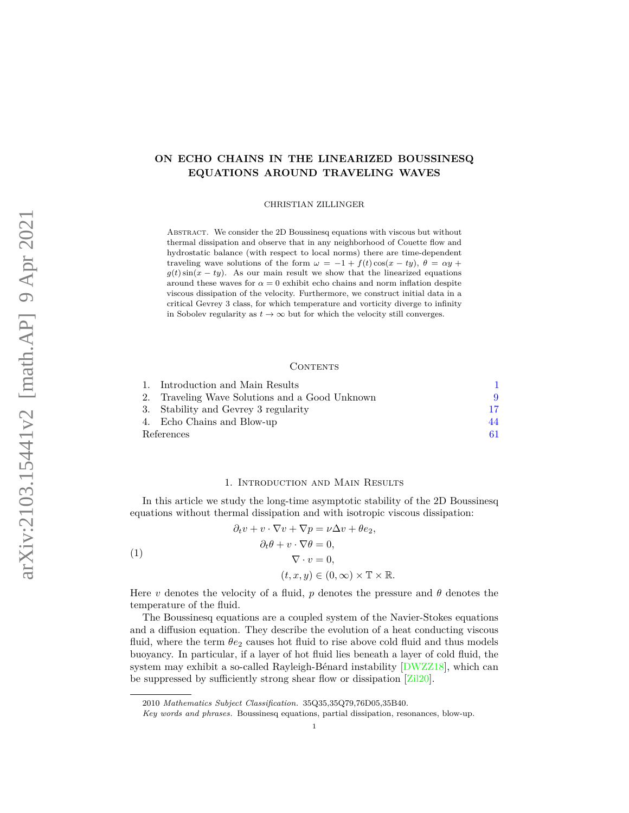# **ON ECHO CHAINS IN THE LINEARIZED BOUSSINESQ EQUATIONS AROUND TRAVELING WAVES**

CHRISTIAN ZILLINGER

ABSTRACT. We consider the 2D Boussinesq equations with viscous but without thermal dissipation and observe that in any neighborhood of Couette flow and hydrostatic balance (with respect to local norms) there are time-dependent traveling wave solutions of the form  $\omega = -1 + f(t) \cos(x - ty)$ ,  $\theta = \alpha y +$  $g(t)$  sin( $x - ty$ ). As our main result we show that the linearized equations around these waves for  $\alpha = 0$  exhibit echo chains and norm inflation despite viscous dissipation of the velocity. Furthermore, we construct initial data in a critical Gevrey 3 class, for which temperature and vorticity diverge to infinity in Sobolev regularity as  $t \to \infty$  but for which the velocity still converges.

# CONTENTS

|            | 1. Introduction and Main Results               |    |
|------------|------------------------------------------------|----|
|            | 2. Traveling Wave Solutions and a Good Unknown |    |
|            | 3. Stability and Gevrey 3 regularity           | 17 |
|            | 4. Echo Chains and Blow-up                     | 44 |
| References |                                                |    |

## 1. Introduction and Main Results

<span id="page-0-0"></span>In this article we study the long-time asymptotic stability of the 2D Boussinesq equations without thermal dissipation and with isotropic viscous dissipation:

<span id="page-0-1"></span>(1)  
\n
$$
\partial_t v + v \cdot \nabla v + \nabla p = \nu \Delta v + \theta e_2,
$$
\n
$$
\partial_t \theta + v \cdot \nabla \theta = 0,
$$
\n
$$
\nabla \cdot v = 0,
$$
\n
$$
(t, x, y) \in (0, \infty) \times \mathbb{T} \times \mathbb{R}.
$$

Here *v* denotes the velocity of a fluid, *p* denotes the pressure and  $\theta$  denotes the temperature of the fluid.

The Boussinesq equations are a coupled system of the Navier-Stokes equations and a diffusion equation. They describe the evolution of a heat conducting viscous fluid, where the term  $\theta_{e_2}$  causes hot fluid to rise above cold fluid and thus models buoyancy. In particular, if a layer of hot fluid lies beneath a layer of cold fluid, the system may exhibit a so-called Rayleigh-Bénard instability [\[DWZZ18\]](#page-61-0), which can be suppressed by sufficiently strong shear flow or dissipation [\[Zil20\]](#page-62-0).

<sup>2010</sup> *Mathematics Subject Classification.* 35Q35,35Q79,76D05,35B40.

*Key words and phrases.* Boussinesq equations, partial dissipation, resonances, blow-up.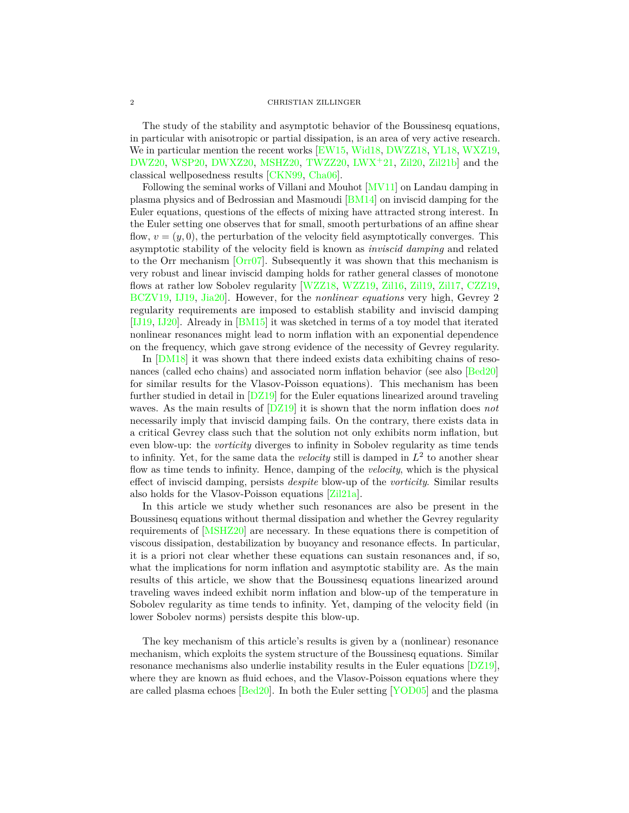#### 2 CHRISTIAN ZILLINGER

The study of the stability and asymptotic behavior of the Boussinesq equations, in particular with anisotropic or partial dissipation, is an area of very active research. We in particular mention the recent works [\[EW15,](#page-61-1) [Wid18,](#page-61-2) [DWZZ18,](#page-61-0) [YL18,](#page-61-3) [WXZ19,](#page-61-4) [DWZ20,](#page-61-5) [WSP20,](#page-61-6) [DWXZ20,](#page-61-7) [MSHZ20,](#page-61-8) [TWZZ20,](#page-61-9) [LWX](#page-61-10)<sup>+</sup>21, [Zil20,](#page-62-0) [Zil21b\]](#page-62-1) and the classical wellposedness results [\[CKN99,](#page-60-1) [Cha06\]](#page-60-2).

Following the seminal works of Villani and Mouhot [\[MV11\]](#page-61-11) on Landau damping in plasma physics and of Bedrossian and Masmoudi [\[BM14\]](#page-60-3) on inviscid damping for the Euler equations, questions of the effects of mixing have attracted strong interest. In the Euler setting one observes that for small, smooth perturbations of an affine shear flow,  $v = (y, 0)$ , the perturbation of the velocity field asymptotically converges. This asymptotic stability of the velocity field is known as *inviscid damping* and related to the Orr mechanism  $\left[ \text{Orr07} \right]$ . Subsequently it was shown that this mechanism is very robust and linear inviscid damping holds for rather general classes of monotone flows at rather low Sobolev regularity [\[WZZ18,](#page-61-13) [WZZ19,](#page-61-14) [Zil16,](#page-62-2) [Zil19,](#page-62-3) [Zil17,](#page-62-4) [CZZ19,](#page-61-15) [BCZV19,](#page-60-4) [IJ19,](#page-61-16) [Jia20\]](#page-61-17). However, for the *nonlinear equations* very high, Gevrey 2 regularity requirements are imposed to establish stability and inviscid damping [\[IJ19,](#page-61-16) [IJ20\]](#page-61-18). Already in [\[BM15\]](#page-60-5) it was sketched in terms of a toy model that iterated nonlinear resonances might lead to norm inflation with an exponential dependence on the frequency, which gave strong evidence of the necessity of Gevrey regularity.

In [\[DM18\]](#page-61-19) it was shown that there indeed exists data exhibiting chains of resonances (called echo chains) and associated norm inflation behavior (see also [\[Bed20\]](#page-60-6) for similar results for the Vlasov-Poisson equations). This mechanism has been further studied in detail in [\[DZ19\]](#page-61-20) for the Euler equations linearized around traveling waves. As the main results of [\[DZ19\]](#page-61-20) it is shown that the norm inflation does *not* necessarily imply that inviscid damping fails. On the contrary, there exists data in a critical Gevrey class such that the solution not only exhibits norm inflation, but even blow-up: the *vorticity* diverges to infinity in Sobolev regularity as time tends to infinity. Yet, for the same data the *velocity* still is damped in  $L^2$  to another shear flow as time tends to infinity. Hence, damping of the *velocity*, which is the physical effect of inviscid damping, persists *despite* blow-up of the *vorticity*. Similar results also holds for the Vlasov-Poisson equations [\[Zil21a\]](#page-62-5).

In this article we study whether such resonances are also be present in the Boussinesq equations without thermal dissipation and whether the Gevrey regularity requirements of [\[MSHZ20\]](#page-61-8) are necessary. In these equations there is competition of viscous dissipation, destabilization by buoyancy and resonance effects. In particular, it is a priori not clear whether these equations can sustain resonances and, if so, what the implications for norm inflation and asymptotic stability are. As the main results of this article, we show that the Boussinesq equations linearized around traveling waves indeed exhibit norm inflation and blow-up of the temperature in Sobolev regularity as time tends to infinity. Yet, damping of the velocity field (in lower Sobolev norms) persists despite this blow-up.

The key mechanism of this article's results is given by a (nonlinear) resonance mechanism, which exploits the system structure of the Boussinesq equations. Similar resonance mechanisms also underlie instability results in the Euler equations [\[DZ19\]](#page-61-20), where they are known as fluid echoes, and the Vlasov-Poisson equations where they are called plasma echoes [\[Bed20\]](#page-60-6). In both the Euler setting [\[YOD05\]](#page-61-21) and the plasma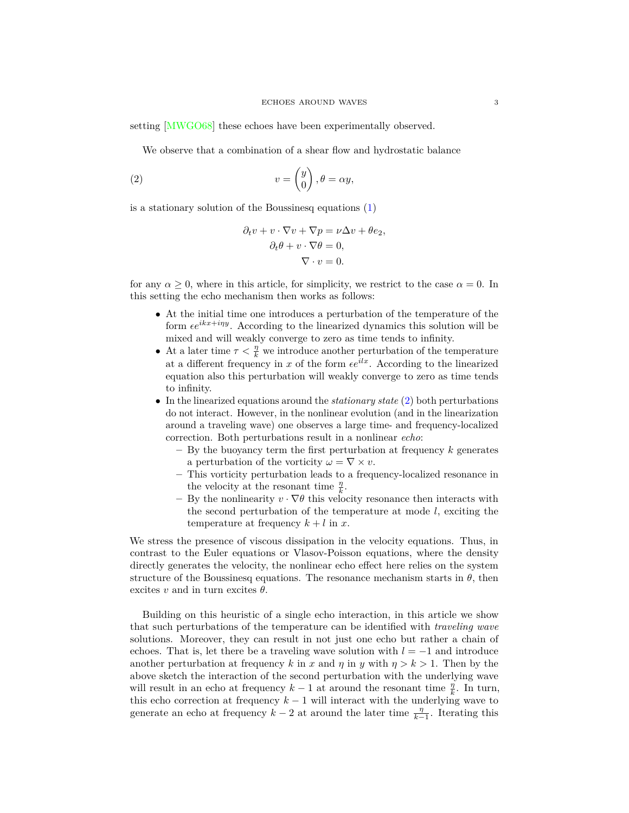setting [\[MWGO68\]](#page-61-22) these echoes have been experimentally observed.

We observe that a combination of a shear flow and hydrostatic balance

<span id="page-2-0"></span>(2) 
$$
v = \begin{pmatrix} y \\ 0 \end{pmatrix}, \theta = \alpha y,
$$

is a stationary solution of the Boussinesq equations  $(1)$ 

$$
\partial_t v + v \cdot \nabla v + \nabla p = \nu \Delta v + \theta e_2,
$$
  

$$
\partial_t \theta + v \cdot \nabla \theta = 0,
$$
  

$$
\nabla \cdot v = 0.
$$

for any  $\alpha > 0$ , where in this article, for simplicity, we restrict to the case  $\alpha = 0$ . In this setting the echo mechanism then works as follows:

- At the initial time one introduces a perturbation of the temperature of the form  $\epsilon e^{ikx+iny}$ . According to the linearized dynamics this solution will be mixed and will weakly converge to zero as time tends to infinity.
- At a later time  $\tau < \frac{\eta}{k}$  we introduce another perturbation of the temperature at a different frequency in  $x$  of the form  $\epsilon e^{ilx}$ . According to the linearized equation also this perturbation will weakly converge to zero as time tends to infinity.
- In the linearized equations around the *stationary state* [\(2\)](#page-2-0) both perturbations do not interact. However, in the nonlinear evolution (and in the linearization around a traveling wave) one observes a large time- and frequency-localized correction. Both perturbations result in a nonlinear *echo*:
	- **–** By the buoyancy term the first perturbation at frequency *k* generates a perturbation of the vorticity  $\omega = \nabla \times v$ .
	- **–** This vorticity perturbation leads to a frequency-localized resonance in the velocity at the resonant time  $\frac{\eta}{k}$ .
	- $-$  By the nonlinearity  $v \cdot \nabla \theta$  this velocity resonance then interacts with the second perturbation of the temperature at mode *l*, exciting the temperature at frequency  $k + l$  in  $x$ .

We stress the presence of viscous dissipation in the velocity equations. Thus, in contrast to the Euler equations or Vlasov-Poisson equations, where the density directly generates the velocity, the nonlinear echo effect here relies on the system structure of the Boussinesq equations. The resonance mechanism starts in  $\theta$ , then excites  $v$  and in turn excites  $\theta$ .

Building on this heuristic of a single echo interaction, in this article we show that such perturbations of the temperature can be identified with *traveling wave* solutions. Moreover, they can result in not just one echo but rather a chain of echoes. That is, let there be a traveling wave solution with  $l = -1$  and introduce another perturbation at frequency k in x and  $\eta$  in  $\eta$  with  $\eta > k > 1$ . Then by the above sketch the interaction of the second perturbation with the underlying wave will result in an echo at frequency  $k-1$  at around the resonant time  $\frac{\eta}{k}$ . In turn, this echo correction at frequency  $k-1$  will interact with the underlying wave to generate an echo at frequency  $k-2$  at around the later time  $\frac{\eta}{k-1}$ . Iterating this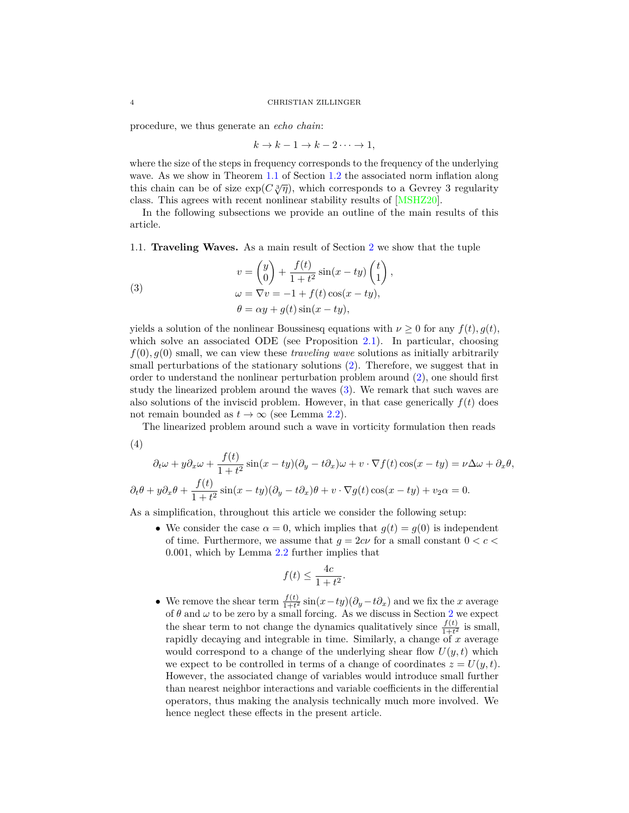procedure, we thus generate an *echo chain*:

$$
k \to k - 1 \to k - 2 \cdots \to 1,
$$

where the size of the steps in frequency corresponds to the frequency of the underlying wave. As we show in Theorem [1.1](#page-5-0) of Section [1.2](#page-5-1) the associated norm inflation along wave. As we show in Theorem 1.1 of Section 1.2 the associated norm inhation along this chain can be of size  $\exp(C\sqrt[3]{\eta})$ , which corresponds to a Gevrey 3 regularity class. This agrees with recent nonlinear stability results of [\[MSHZ20\]](#page-61-8).

In the following subsections we provide an outline of the main results of this article.

*,*

1.1. **Traveling Waves.** As a main result of Section [2](#page-8-0) we show that the tuple

<span id="page-3-0"></span>(3)  

$$
v = \begin{pmatrix} y \\ 0 \end{pmatrix} + \frac{f(t)}{1+t^2} \sin(x - ty) \begin{pmatrix} t \\ 1 \end{pmatrix}
$$

$$
\omega = \nabla v = -1 + f(t) \cos(x - ty),
$$

$$
\theta = \alpha y + g(t) \sin(x - ty),
$$

yields a solution of the nonlinear Boussinesq equations with  $\nu \geq 0$  for any  $f(t)$ ,  $g(t)$ , which solve an associated ODE (see Proposition [2.1\)](#page-9-0). In particular, choosing  $f(0), g(0)$  small, we can view these *traveling wave* solutions as initially arbitrarily small perturbations of the stationary solutions [\(2\)](#page-2-0). Therefore, we suggest that in order to understand the nonlinear perturbation problem around [\(2\)](#page-2-0), one should first study the linearized problem around the waves [\(3\)](#page-3-0). We remark that such waves are also solutions of the inviscid problem. However, in that case generically  $f(t)$  does not remain bounded as  $t \to \infty$  (see Lemma [2.2\)](#page-10-0).

The linearized problem around such a wave in vorticity formulation then reads

$$
(4)
$$

$$
\partial_t \omega + y \partial_x \omega + \frac{f(t)}{1+t^2} \sin(x - ty) (\partial_y - t \partial_x) \omega + v \cdot \nabla f(t) \cos(x - ty) = \nu \Delta \omega + \partial_x \theta,
$$
  

$$
\partial_t \theta + y \partial_x \theta + \frac{f(t)}{1+t^2} \sin(x - ty) (\partial_y - t \partial_x) \theta + v \cdot \nabla g(t) \cos(x - ty) + v_2 \alpha = 0.
$$

As a simplification, throughout this article we consider the following setup:

• We consider the case  $\alpha = 0$ , which implies that  $q(t) = q(0)$  is independent of time. Furthermore, we assume that  $g = 2c\nu$  for a small constant  $0 < c <$ 0*.*001, which by Lemma [2.2](#page-10-0) further implies that

$$
f(t) \le \frac{4c}{1+t^2}.
$$

• We remove the shear term  $\frac{f(t)}{1+t^2} \sin(x - ty) (\partial_y - t \partial_x)$  and we fix the *x* average of  $\theta$  and  $\omega$  to be zero by a small forcing. As we discuss in Section [2](#page-8-0) we expect the shear term to not change the dynamics qualitatively since  $\frac{f(t)}{1+t^2}$  is small, rapidly decaying and integrable in time. Similarly, a change of *x* average would correspond to a change of the underlying shear flow  $U(y, t)$  which we expect to be controlled in terms of a change of coordinates  $z = U(y, t)$ . However, the associated change of variables would introduce small further than nearest neighbor interactions and variable coefficients in the differential operators, thus making the analysis technically much more involved. We hence neglect these effects in the present article.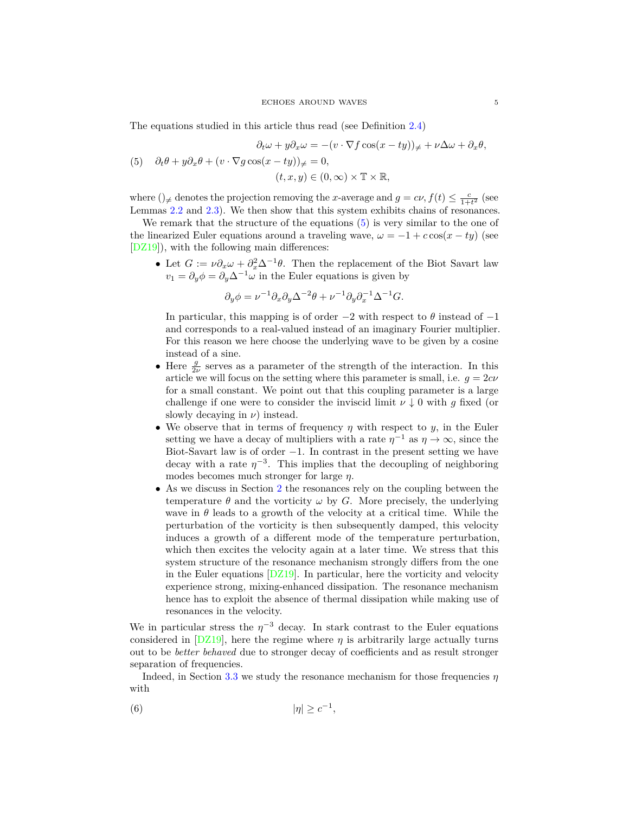The equations studied in this article thus read (see Definition [2.4\)](#page-13-0)

<span id="page-4-0"></span>
$$
\partial_t \omega + y \partial_x \omega = -(v \cdot \nabla f \cos(x - ty))_{\neq} + \nu \Delta \omega + \partial_x \theta,
$$
  
(5) 
$$
\partial_t \theta + y \partial_x \theta + (v \cdot \nabla g \cos(x - ty))_{\neq} = 0,
$$
  

$$
(t, x, y) \in (0, \infty) \times \mathbb{T} \times \mathbb{R},
$$

where ()<sub> $\neq$ </sub> denotes the projection removing the *x*-average and  $g = c\nu$ ,  $f(t) \leq \frac{c}{1+t^2}$  (see Lemmas [2.2](#page-10-0) and [2.3\)](#page-12-0). We then show that this system exhibits chains of resonances.

We remark that the structure of the equations  $(5)$  is very similar to the one of the linearized Euler equations around a traveling wave,  $\omega = -1 + c \cos(x - ty)$  (see [\[DZ19\]](#page-61-20)), with the following main differences:

• Let  $G := \nu \partial_x \omega + \partial_x^2 \Delta^{-1} \theta$ . Then the replacement of the Biot Savart law  $v_1 = \partial_y \phi = \partial_y \Delta^{-1} \omega$  in the Euler equations is given by

$$
\partial_y \phi = \nu^{-1} \partial_x \partial_y \Delta^{-2} \theta + \nu^{-1} \partial_y \partial_x^{-1} \Delta^{-1} G.
$$

In particular, this mapping is of order  $-2$  with respect to  $\theta$  instead of  $-1$ and corresponds to a real-valued instead of an imaginary Fourier multiplier. For this reason we here choose the underlying wave to be given by a cosine instead of a sine.

- Here  $\frac{g}{2\nu}$  serves as a parameter of the strength of the interaction. In this article we will focus on the setting where this parameter is small, i.e.  $q = 2c\nu$ for a small constant. We point out that this coupling parameter is a large challenge if one were to consider the inviscid limit  $\nu \downarrow 0$  with *g* fixed (or slowly decaying in  $\nu$ ) instead.
- We observe that in terms of frequency  $\eta$  with respect to  $y$ , in the Euler setting we have a decay of multipliers with a rate  $\eta^{-1}$  as  $\eta \to \infty$ , since the Biot-Savart law is of order  $-1$ . In contrast in the present setting we have decay with a rate  $\eta^{-3}$ . This implies that the decoupling of neighboring modes becomes much stronger for large *η*.
- As we discuss in Section [2](#page-8-0) the resonances rely on the coupling between the temperature  $\theta$  and the vorticity  $\omega$  by *G*. More precisely, the underlying wave in  $\theta$  leads to a growth of the velocity at a critical time. While the perturbation of the vorticity is then subsequently damped, this velocity induces a growth of a different mode of the temperature perturbation, which then excites the velocity again at a later time. We stress that this system structure of the resonance mechanism strongly differs from the one in the Euler equations  $[DZ19]$ . In particular, here the vorticity and velocity experience strong, mixing-enhanced dissipation. The resonance mechanism hence has to exploit the absence of thermal dissipation while making use of resonances in the velocity.

We in particular stress the  $\eta^{-3}$  decay. In stark contrast to the Euler equations considered in  $[DZ19]$ , here the regime where  $\eta$  is arbitrarily large actually turns out to be *better behaved* due to stronger decay of coefficients and as result stronger separation of frequencies.

Indeed, in Section [3.3](#page-25-0) we study the resonance mechanism for those frequencies  $\eta$ with

$$
|\eta| \ge c^{-1},
$$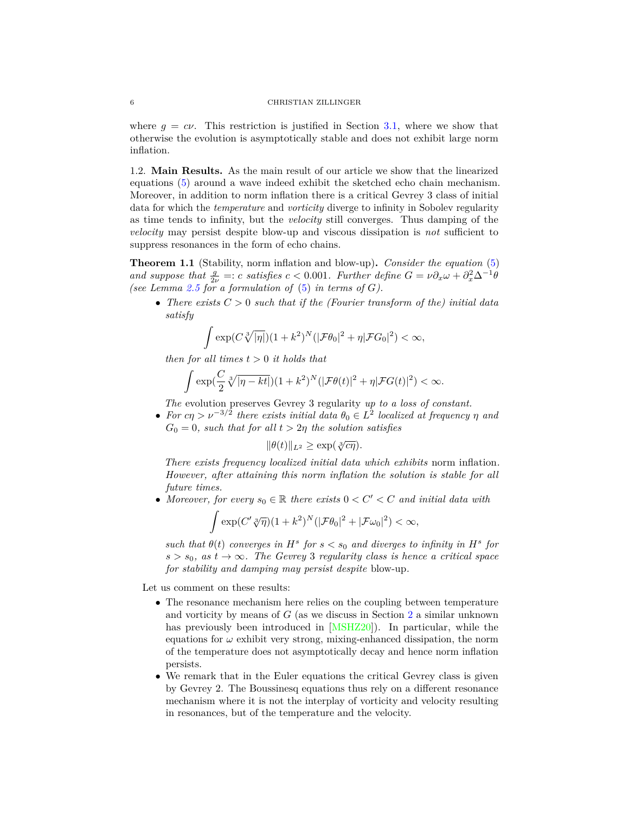where  $q = c\nu$ . This restriction is justified in Section [3.1,](#page-17-0) where we show that otherwise the evolution is asymptotically stable and does not exhibit large norm inflation.

<span id="page-5-1"></span>1.2. **Main Results.** As the main result of our article we show that the linearized equations [\(5\)](#page-4-0) around a wave indeed exhibit the sketched echo chain mechanism. Moreover, in addition to norm inflation there is a critical Gevrey 3 class of initial data for which the *temperature* and *vorticity* diverge to infinity in Sobolev regularity as time tends to infinity, but the *velocity* still converges. Thus damping of the *velocity* may persist despite blow-up and viscous dissipation is *not* sufficient to suppress resonances in the form of echo chains.

<span id="page-5-0"></span>**Theorem 1.1** (Stability, norm inflation and blow-up)**.** *Consider the equation* [\(5\)](#page-4-0) *and suppose that*  $\frac{g}{2\nu}$  =: *c satisfies c* < 0.001*. Further define*  $G = \nu \partial_x \omega + \partial_x^2 \Delta^{-1} \dot{\theta}$ *(see Lemma [2.5](#page-13-1) for a formulation of* [\(5\)](#page-4-0) *in terms of G).*

• There exists  $C > 0$  such that if the (Fourier transform of the) initial data *satisfy*

$$
\int \exp(C\sqrt[3]{|\eta|})(1+k^2)^N(|\mathcal{F}\theta_0|^2+\eta|\mathcal{F}G_0|^2)<\infty,
$$

*then for all times t >* 0 *it holds that*

$$
\int \exp(\frac{C}{2}\sqrt[3]{|\eta-kt|})(1+k^2)^N(|\mathcal{F}\theta(t)|^2+\eta|\mathcal{F}G(t)|^2)<\infty.
$$

*The* evolution preserves Gevrey 3 regularity *up to a loss of constant.*

 $\bullet$  *For cη* >  $\nu^{-3/2}$  *there exists initial data*  $\theta_0 \in L^2$  *localized at frequency η and*  $G_0 = 0$ *, such that for all*  $t > 2\eta$  *the solution satisfies* 

$$
\|\theta(t)\|_{L^2} \ge \exp(\sqrt[3]{c\eta}).
$$

*There exists frequency localized initial data which exhibits* norm inflation*. However, after attaining this norm inflation the solution is stable for all future times.*

• Moreover, for every  $s_0 \in \mathbb{R}$  there exists  $0 < C' < C$  and initial data with

$$
\int \exp(C'\sqrt[3]{\eta})(1+k^2)^N(|\mathcal{F}\theta_0|^2+|\mathcal{F}\omega_0|^2)<\infty,
$$

*such that*  $\theta(t)$  *converges in*  $H^s$  *for*  $s < s_0$  *and diverges to infinity in*  $H^s$  *for*  $s > s_0$ , as  $t \to \infty$ . The Gevrey 3 regularity class is hence a critical space *for stability and damping may persist despite* blow-up*.*

Let us comment on these results:

- The resonance mechanism here relies on the coupling between temperature and vorticity by means of *G* (as we discuss in Section [2](#page-8-0) a similar unknown has previously been introduced in [\[MSHZ20\]](#page-61-8)). In particular, while the equations for  $\omega$  exhibit very strong, mixing-enhanced dissipation, the norm of the temperature does not asymptotically decay and hence norm inflation persists.
- We remark that in the Euler equations the critical Gevrey class is given by Gevrey 2. The Boussinesq equations thus rely on a different resonance mechanism where it is not the interplay of vorticity and velocity resulting in resonances, but of the temperature and the velocity.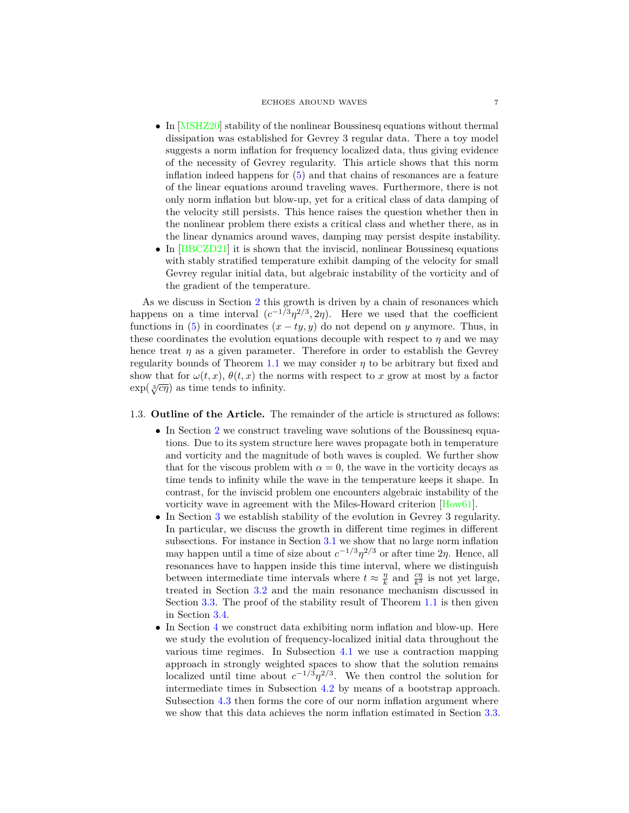#### ECHOES AROUND WAVES 7

- In [\[MSHZ20\]](#page-61-8) stability of the nonlinear Boussinesq equations without thermal dissipation was established for Gevrey 3 regular data. There a toy model suggests a norm inflation for frequency localized data, thus giving evidence of the necessity of Gevrey regularity. This article shows that this norm inflation indeed happens for [\(5\)](#page-4-0) and that chains of resonances are a feature of the linear equations around traveling waves. Furthermore, there is not only norm inflation but blow-up, yet for a critical class of data damping of the velocity still persists. This hence raises the question whether then in the nonlinear problem there exists a critical class and whether there, as in the linear dynamics around waves, damping may persist despite instability.
- In [\[BBCZD21\]](#page-60-7) it is shown that the inviscid, nonlinear Boussinesq equations with stably stratified temperature exhibit damping of the velocity for small Gevrey regular initial data, but algebraic instability of the vorticity and of the gradient of the temperature.

As we discuss in Section [2](#page-8-0) this growth is driven by a chain of resonances which happens on a time interval  $(c^{-1/3}\eta^{2/3}, 2\eta)$ . Here we used that the coefficient functions in [\(5\)](#page-4-0) in coordinates  $(x - ty, y)$  do not depend on *y* anymore. Thus, in these coordinates the evolution equations decouple with respect to  $\eta$  and we may hence treat  $\eta$  as a given parameter. Therefore in order to establish the Gevrey regularity bounds of Theorem [1.1](#page-5-0) we may consider *η* to be arbitrary but fixed and show that for  $\omega(t, x)$ ,  $\theta(t, x)$  the norms with respect to x grow at most by a factor  $\exp(\sqrt{3} \sqrt{c\eta})$  as time tends to infinity.

# 1.3. **Outline of the Article.** The remainder of the article is structured as follows:

- In Section [2](#page-8-0) we construct traveling wave solutions of the Boussinesq equations. Due to its system structure here waves propagate both in temperature and vorticity and the magnitude of both waves is coupled. We further show that for the viscous problem with  $\alpha = 0$ , the wave in the vorticity decays as time tends to infinity while the wave in the temperature keeps it shape. In contrast, for the inviscid problem one encounters algebraic instability of the vorticity wave in agreement with the Miles-Howard criterion [\[How61\]](#page-61-23).
- In Section [3](#page-16-0) we establish stability of the evolution in Gevrey 3 regularity. In particular, we discuss the growth in different time regimes in different subsections. For instance in Section [3.1](#page-17-0) we show that no large norm inflation may happen until a time of size about  $c^{-1/3} \eta^{2/3}$  or after time  $2\eta$ . Hence, all resonances have to happen inside this time interval, where we distinguish between intermediate time intervals where  $t \approx \frac{\eta}{k}$  and  $\frac{c\eta}{k^3}$  is not yet large, treated in Section [3.2](#page-23-0) and the main resonance mechanism discussed in Section [3.3.](#page-25-0) The proof of the stability result of Theorem [1.1](#page-5-0) is then given in Section [3.4.](#page-41-0)
- In Section [4](#page-43-0) we construct data exhibiting norm inflation and blow-up. Here we study the evolution of frequency-localized initial data throughout the various time regimes. In Subsection [4.1](#page-45-0) we use a contraction mapping approach in strongly weighted spaces to show that the solution remains localized until time about  $c^{-1/3}\eta^{2/3}$ . We then control the solution for intermediate times in Subsection [4.2](#page-49-0) by means of a bootstrap approach. Subsection [4.3](#page-52-0) then forms the core of our norm inflation argument where we show that this data achieves the norm inflation estimated in Section [3.3.](#page-25-0)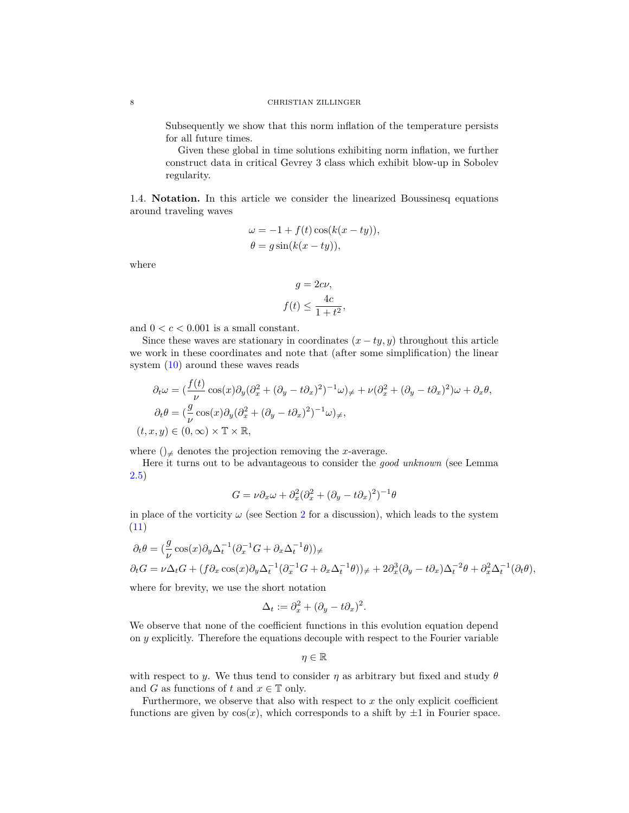Subsequently we show that this norm inflation of the temperature persists for all future times.

Given these global in time solutions exhibiting norm inflation, we further construct data in critical Gevrey 3 class which exhibit blow-up in Sobolev regularity.

1.4. **Notation.** In this article we consider the linearized Boussinesq equations around traveling waves

$$
\omega = -1 + f(t) \cos(k(x - ty)),
$$
  
\n
$$
\theta = g \sin(k(x - ty)),
$$

where

$$
g = 2c\nu,
$$
  

$$
f(t) \le \frac{4c}{1+t^2},
$$

and  $0 < c < 0.001$  is a small constant.

Since these waves are stationary in coordinates  $(x - ty, y)$  throughout this article we work in these coordinates and note that (after some simplification) the linear system [\(10\)](#page-13-2) around these waves reads

$$
\partial_t \omega = \left(\frac{f(t)}{\nu}\cos(x)\partial_y(\partial_x^2 + (\partial_y - t\partial_x)^2)^{-1}\omega\right)_{\neq} + \nu(\partial_x^2 + (\partial_y - t\partial_x)^2)\omega + \partial_x \theta,
$$
  
\n
$$
\partial_t \theta = \left(\frac{g}{\nu}\cos(x)\partial_y(\partial_x^2 + (\partial_y - t\partial_x)^2)^{-1}\omega\right)_{\neq},
$$
  
\n
$$
(t, x, y) \in (0, \infty) \times \mathbb{T} \times \mathbb{R},
$$

where  $()_{\neq}$  denotes the projection removing the *x*-average.

Here it turns out to be advantageous to consider the *good unknown* (see Lemma [2.5\)](#page-13-1)

$$
G = \nu \partial_x \omega + \partial_x^2 (\partial_x^2 + (\partial_y - t \partial_x)^2)^{-1} \theta
$$

in place of the vorticity  $\omega$  (see Section [2](#page-8-0) for a discussion), which leads to the system [\(11\)](#page-13-3)

$$
\partial_t \theta = (\frac{g}{\nu} \cos(x) \partial_y \Delta_t^{-1} (\partial_x^{-1} G + \partial_x \Delta_t^{-1} \theta))_{\neq}
$$
  
\n
$$
\partial_t G = \nu \Delta_t G + (f \partial_x \cos(x) \partial_y \Delta_t^{-1} (\partial_x^{-1} G + \partial_x \Delta_t^{-1} \theta))_{\neq} + 2 \partial_x^3 (\partial_y - t \partial_x) \Delta_t^{-2} \theta + \partial_x^2 \Delta_t^{-1} (\partial_t \theta),
$$

where for brevity, we use the short notation

$$
\Delta_t := \partial_x^2 + (\partial_y - t\partial_x)^2.
$$

We observe that none of the coefficient functions in this evolution equation depend on *y* explicitly. Therefore the equations decouple with respect to the Fourier variable

$$
\eta\in\mathbb{R}
$$

with respect to *y*. We thus tend to consider  $\eta$  as arbitrary but fixed and study  $\theta$ and *G* as functions of *t* and  $x \in \mathbb{T}$  only.

Furthermore, we observe that also with respect to *x* the only explicit coefficient functions are given by  $cos(x)$ , which corresponds to a shift by  $\pm 1$  in Fourier space.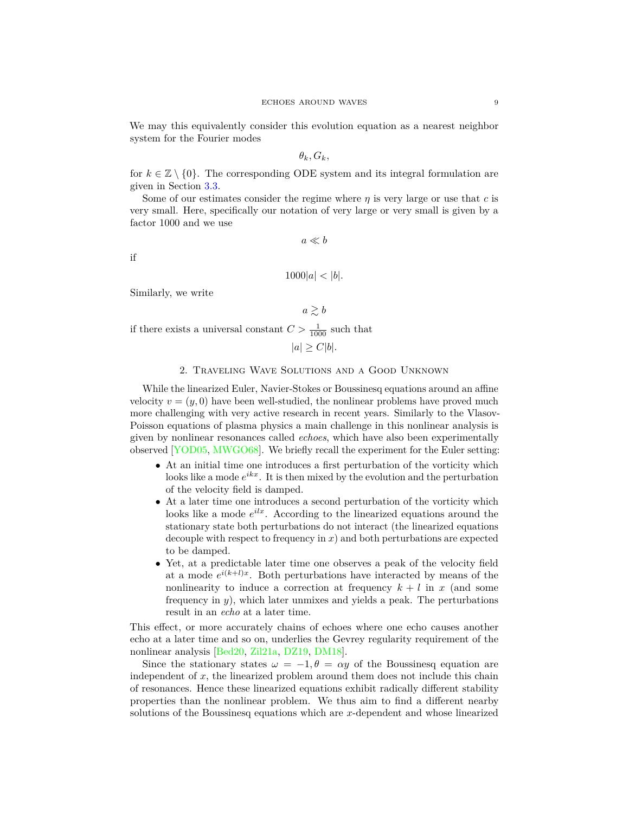We may this equivalently consider this evolution equation as a nearest neighbor system for the Fourier modes

$$
\theta_k, G_k,
$$

for  $k \in \mathbb{Z} \setminus \{0\}$ . The corresponding ODE system and its integral formulation are given in Section [3.3.](#page-25-0)

Some of our estimates consider the regime where  $\eta$  is very large or use that  $c$  is very small. Here, specifically our notation of very large or very small is given by a factor 1000 and we use

 $a \ll b$ 

if

```
1000|a| < |b|.
```
Similarly, we write

 $a \geq b$ 

if there exists a universal constant  $C > \frac{1}{1000}$  such that

$$
|a| \ge C|b|.
$$

### 2. Traveling Wave Solutions and a Good Unknown

<span id="page-8-0"></span>While the linearized Euler, Navier-Stokes or Boussinesq equations around an affine velocity  $v = (y, 0)$  have been well-studied, the nonlinear problems have proved much more challenging with very active research in recent years. Similarly to the Vlasov-Poisson equations of plasma physics a main challenge in this nonlinear analysis is given by nonlinear resonances called *echoes*, which have also been experimentally observed [\[YOD05,](#page-61-21) [MWGO68\]](#page-61-22). We briefly recall the experiment for the Euler setting:

- At an initial time one introduces a first perturbation of the vorticity which looks like a mode  $e^{ikx}$ . It is then mixed by the evolution and the perturbation of the velocity field is damped.
- At a later time one introduces a second perturbation of the vorticity which looks like a mode  $e^{ilx}$ . According to the linearized equations around the stationary state both perturbations do not interact (the linearized equations decouple with respect to frequency in *x*) and both perturbations are expected to be damped.
- Yet, at a predictable later time one observes a peak of the velocity field at a mode  $e^{i(k+l)x}$ . Both perturbations have interacted by means of the nonlinearity to induce a correction at frequency  $k + l$  in *x* (and some frequency in *y*), which later unmixes and yields a peak. The perturbations result in an *echo* at a later time.

This effect, or more accurately chains of echoes where one echo causes another echo at a later time and so on, underlies the Gevrey regularity requirement of the nonlinear analysis [\[Bed20,](#page-60-6) [Zil21a,](#page-62-5) [DZ19,](#page-61-20) [DM18\]](#page-61-19).

Since the stationary states  $\omega = -1, \theta = \alpha y$  of the Boussinesq equation are independent of *x*, the linearized problem around them does not include this chain of resonances. Hence these linearized equations exhibit radically different stability properties than the nonlinear problem. We thus aim to find a different nearby solutions of the Boussinesq equations which are *x*-dependent and whose linearized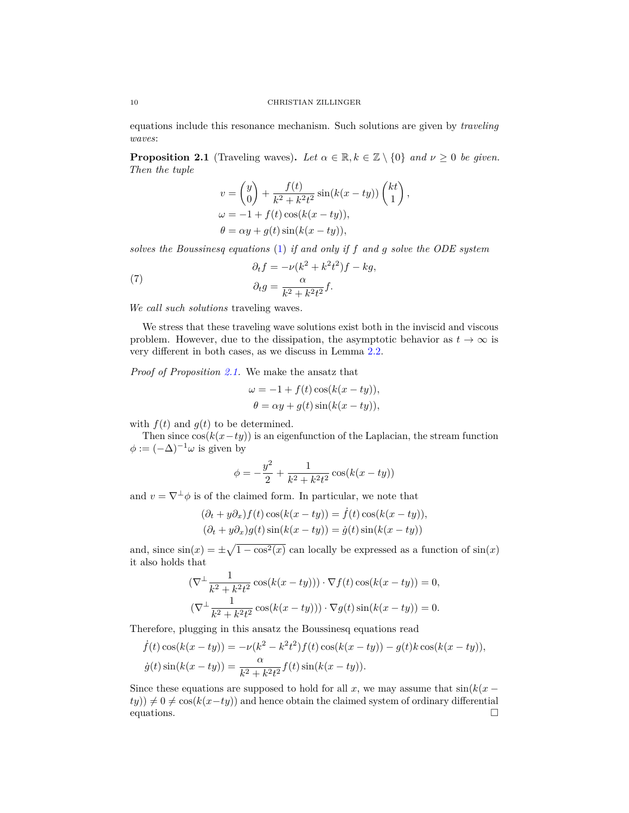equations include this resonance mechanism. Such solutions are given by *traveling waves*:

<span id="page-9-0"></span>**Proposition 2.1** (Traveling waves). Let  $\alpha \in \mathbb{R}, k \in \mathbb{Z} \setminus \{0\}$  and  $\nu \geq 0$  be given. *Then the tuple*

$$
v = \begin{pmatrix} y \\ 0 \end{pmatrix} + \frac{f(t)}{k^2 + k^2 t^2} \sin(k(x - ty)) \begin{pmatrix} kt \\ 1 \end{pmatrix},
$$
  
\n
$$
\omega = -1 + f(t) \cos(k(x - ty)),
$$
  
\n
$$
\theta = \alpha y + g(t) \sin(k(x - ty)),
$$

*solves the Boussinesq equations* [\(1\)](#page-0-1) *if and only if f and g solve the ODE system*

<span id="page-9-1"></span>(7) 
$$
\partial_t f = -\nu(k^2 + k^2 t^2) f - k g,
$$

$$
\partial_t g = \frac{\alpha}{k^2 + k^2 t^2} f.
$$

*We call such solutions* traveling waves*.*

We stress that these traveling wave solutions exist both in the inviscid and viscous problem. However, due to the dissipation, the asymptotic behavior as  $t \to \infty$  is very different in both cases, as we discuss in Lemma [2.2.](#page-10-0)

*Proof of Proposition [2.1.](#page-9-0)* We make the ansatz that

$$
\omega = -1 + f(t) \cos(k(x - ty)),
$$
  

$$
\theta = \alpha y + g(t) \sin(k(x - ty)),
$$

with  $f(t)$  and  $g(t)$  to be determined.

Then since  $cos(k(x - ty))$  is an eigenfunction of the Laplacian, the stream function  $\phi := (-\Delta)^{-1} \omega$  is given by

$$
\phi = -\frac{y^2}{2} + \frac{1}{k^2 + k^2 t^2} \cos(k(x - ty))
$$

and  $v = \nabla^{\perp} \phi$  is of the claimed form. In particular, we note that

$$
(\partial_t + y\partial_x) f(t) \cos(k(x - ty)) = \dot{f}(t) \cos(k(x - ty)),
$$
  

$$
(\partial_t + y\partial_x) g(t) \sin(k(x - ty)) = \dot{g}(t) \sin(k(x - ty))
$$

and, since  $sin(x) = \pm \sqrt{1 - cos^2(x)}$  can locally be expressed as a function of  $sin(x)$ it also holds that

$$
\begin{aligned} \left(\nabla^{\perp} \frac{1}{k^2 + k^2 t^2} \cos(k(x - ty))\right) \cdot \nabla f(t) \cos(k(x - ty)) &= 0, \\ \left(\nabla^{\perp} \frac{1}{k^2 + k^2 t^2} \cos(k(x - ty))\right) \cdot \nabla g(t) \sin(k(x - ty)) &= 0. \end{aligned}
$$

Therefore, plugging in this ansatz the Boussinesq equations read

$$
\dot{f}(t)\cos(k(x - ty)) = -\nu(k^2 - k^2t^2)f(t)\cos(k(x - ty)) - g(t)k\cos(k(x - ty)),
$$
  

$$
\dot{g}(t)\sin(k(x - ty)) = \frac{\alpha}{k^2 + k^2t^2}f(t)\sin(k(x - ty)).
$$

Since these equations are supposed to hold for all  $x$ , we may assume that  $sin(k(x (ty)$ )  $\neq$  0  $\neq$  cos( $k(x - ty)$ ) and hence obtain the claimed system of ordinary differential equations.  $\Box$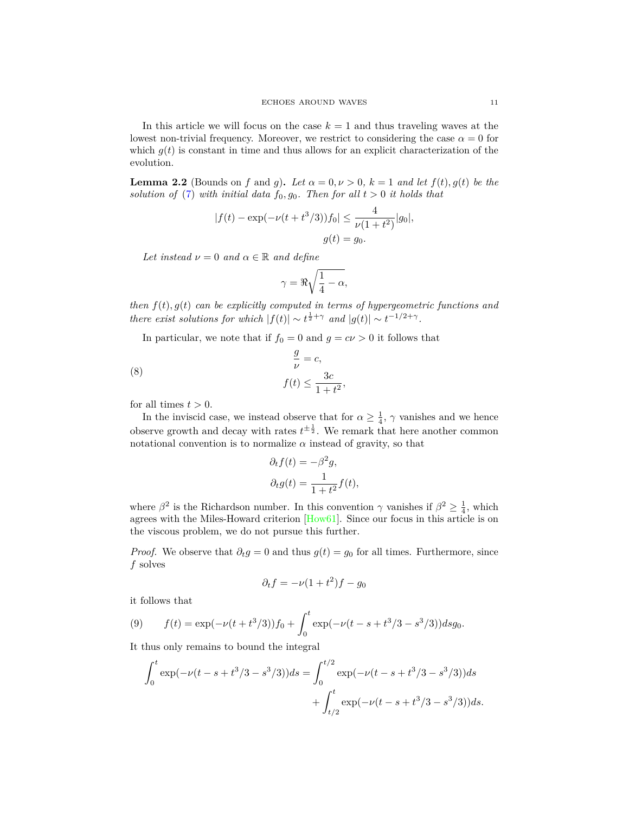In this article we will focus on the case  $k = 1$  and thus traveling waves at the lowest non-trivial frequency. Moreover, we restrict to considering the case  $\alpha = 0$  for which  $g(t)$  is constant in time and thus allows for an explicit characterization of the evolution.

<span id="page-10-0"></span>**Lemma 2.2** (Bounds on *f* and *g*). Let  $\alpha = 0, \nu > 0$ ,  $k = 1$  and let  $f(t), g(t)$  be the *solution of* [\(7\)](#page-9-1) *with initial data*  $f_0, g_0$ *. Then for all*  $t > 0$  *it holds that* 

$$
|f(t) - \exp(-\nu(t + t^3/3))f_0| \le \frac{4}{\nu(1 + t^2)}|g_0|,
$$
  

$$
g(t) = g_0.
$$

*Let instead*  $\nu = 0$  *and*  $\alpha \in \mathbb{R}$  *and define* 

$$
\gamma = \Re \sqrt{\frac{1}{4} - \alpha},
$$

*then f*(*t*)*, g*(*t*) *can be explicitly computed in terms of hypergeometric functions and there exist solutions for which*  $|f(t)| \sim t^{\frac{1}{2} + \gamma}$  *and*  $|g(t)| \sim t^{-1/2 + \gamma}$ .

In particular, we note that if  $f_0 = 0$  and  $g = c\nu > 0$  it follows that

<span id="page-10-1"></span>(8) 
$$
\frac{g}{\nu} = c,
$$

$$
f(t) \le \frac{3c}{1+t^2},
$$

for all times  $t > 0$ .

In the inviscid case, we instead observe that for  $\alpha \geq \frac{1}{4}$ ,  $\gamma$  vanishes and we hence observe growth and decay with rates  $t^{\pm \frac{1}{2}}$ . We remark that here another common notational convention is to normalize  $\alpha$  instead of gravity, so that

$$
\partial_t f(t) = -\beta^2 g,
$$
  

$$
\partial_t g(t) = \frac{1}{1+t^2} f(t),
$$

where  $\beta^2$  is the Richardson number. In this convention  $\gamma$  vanishes if  $\beta^2 \ge \frac{1}{4}$ , which agrees with the Miles-Howard criterion [\[How61\]](#page-61-23). Since our focus in this article is on the viscous problem, we do not pursue this further.

*Proof.* We observe that  $\partial_t g = 0$  and thus  $g(t) = g_0$  for all times. Furthermore, since *f* solves

$$
\partial_t f = -\nu (1 + t^2) f - g_0
$$

it follows that

(9) 
$$
f(t) = \exp(-\nu(t+t^3/3))f_0 + \int_0^t \exp(-\nu(t-s+t^3/3-s^3/3))dsg_0.
$$

It thus only remains to bound the integral

$$
\int_0^t \exp(-\nu(t-s+t^3/3-s^3/3))ds = \int_0^{t/2} \exp(-\nu(t-s+t^3/3-s^3/3))ds
$$

$$
+ \int_{t/2}^t \exp(-\nu(t-s+t^3/3-s^3/3))ds.
$$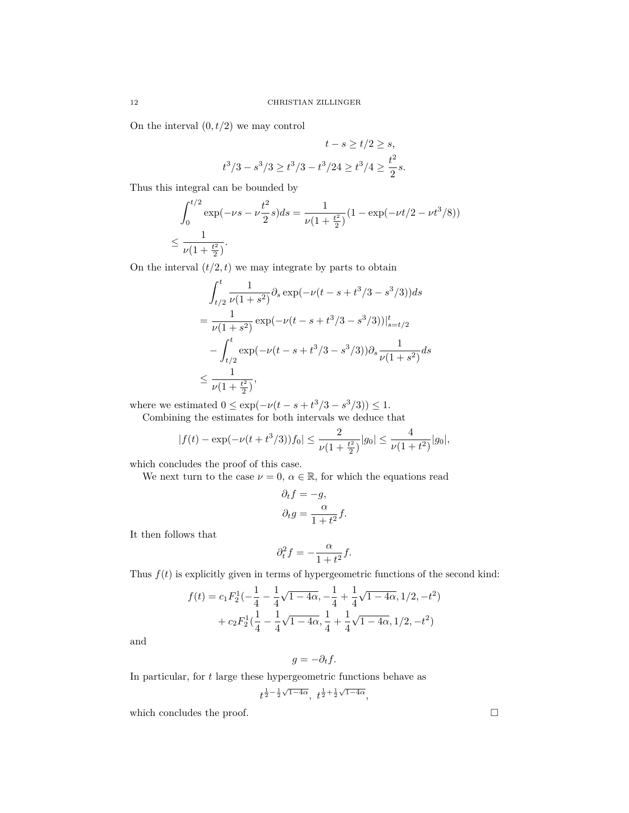On the interval  $(0, t/2)$  we may control

$$
t - s \ge t/2 \ge s,
$$
  

$$
t^3/3 - s^3/3 \ge t^3/3 - t^3/24 \ge t^3/4 \ge \frac{t^2}{2}s.
$$

Thus this integral can be bounded by

$$
\int_0^{t/2} \exp(-\nu s - \nu \frac{t^2}{2} s) ds = \frac{1}{\nu (1 + \frac{t^2}{2})} (1 - \exp(-\nu t/2 - \nu t^3/8))
$$
  

$$
\leq \frac{1}{\nu (1 + \frac{t^2}{2})}.
$$

On the interval  $(t/2, t)$  we may integrate by parts to obtain

$$
\int_{t/2}^{t} \frac{1}{\nu(1+s^2)} \partial_s \exp(-\nu(t-s+t^3/3-s^3/3)) ds
$$
  
= 
$$
\frac{1}{\nu(1+s^2)} \exp(-\nu(t-s+t^3/3-s^3/3))|_{s=t/2}^t
$$
  
- 
$$
\int_{t/2}^{t} \exp(-\nu(t-s+t^3/3-s^3/3)) \partial_s \frac{1}{\nu(1+s^2)} ds
$$
  

$$
\leq \frac{1}{\nu(1+\frac{t^2}{2})},
$$

where we estimated  $0 \le \exp(-\nu(t - s + t^3/3 - s^3/3)) \le 1$ .

Combining the estimates for both intervals we deduce that

$$
|f(t) - \exp(-\nu(t + t^3/3))f_0| \le \frac{2}{\nu(1 + \frac{t^2}{2})}|g_0| \le \frac{4}{\nu(1 + t^2)}|g_0|,
$$

which concludes the proof of this case.

We next turn to the case  $\nu = 0$ ,  $\alpha \in \mathbb{R}$ , for which the equations read

$$
\partial_t f = -g,
$$
  

$$
\partial_t g = \frac{\alpha}{1 + t^2} f.
$$

It then follows that

$$
\partial_t^2 f = -\frac{\alpha}{1+t^2}f.
$$

Thus  $f(t)$  is explicitly given in terms of hypergeometric functions of the second kind:

$$
f(t) = c_1 F_2^1 \left(-\frac{1}{4} - \frac{1}{4} \sqrt{1 - 4\alpha}, -\frac{1}{4} + \frac{1}{4} \sqrt{1 - 4\alpha}, 1/2, -t^2\right) + c_2 F_2^1 \left(\frac{1}{4} - \frac{1}{4} \sqrt{1 - 4\alpha}, \frac{1}{4} + \frac{1}{4} \sqrt{1 - 4\alpha}, 1/2, -t^2\right)
$$

and

$$
g = -\partial_t f.
$$

In particular, for *t* large these hypergeometric functions behave as

$$
t^{\frac{1}{2} - \frac{1}{2}\sqrt{1-4\alpha}}, \ t^{\frac{1}{2} + \frac{1}{2}\sqrt{1-4\alpha}},
$$

which concludes the proof.  $\Box$ 

$$
12\quad
$$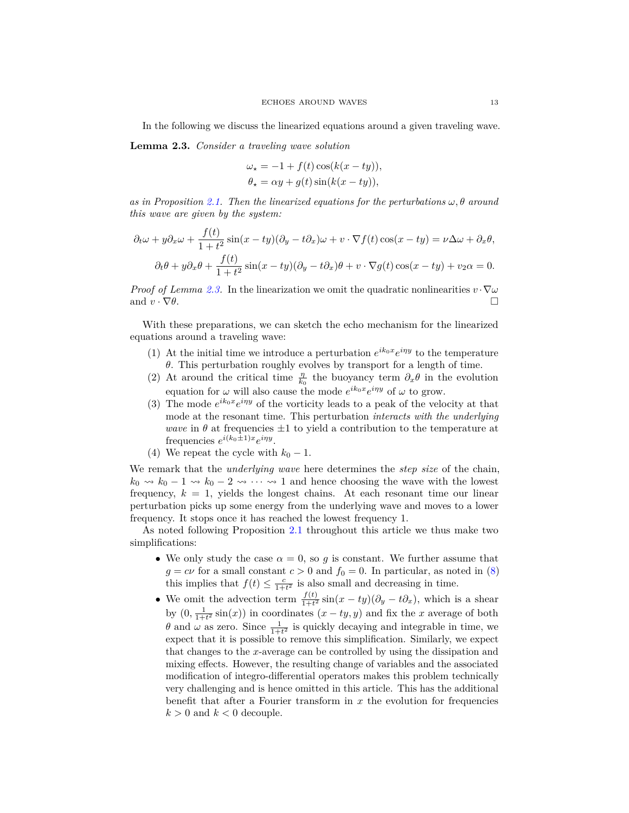In the following we discuss the linearized equations around a given traveling wave.

<span id="page-12-0"></span>**Lemma 2.3.** *Consider a traveling wave solution*

$$
\omega_{\star} = -1 + f(t) \cos(k(x - ty)),
$$
  

$$
\theta_{\star} = \alpha y + g(t) \sin(k(x - ty)),
$$

 $\alpha$ *s in Proposition* [2.1.](#page-9-0) Then the linearized equations for the perturbations  $\omega$ ,  $\theta$  around *this wave are given by the system:*

$$
\partial_t \omega + y \partial_x \omega + \frac{f(t)}{1+t^2} \sin(x - ty)(\partial_y - t \partial_x) \omega + v \cdot \nabla f(t) \cos(x - ty) = \nu \Delta \omega + \partial_x \theta,
$$
  

$$
\partial_t \theta + y \partial_x \theta + \frac{f(t)}{1+t^2} \sin(x - ty)(\partial_y - t \partial_x) \theta + v \cdot \nabla g(t) \cos(x - ty) + v_2 \alpha = 0.
$$

*Proof of Lemma [2.3.](#page-12-0)* In the linearization we omit the quadratic nonlinearities  $v \cdot \nabla \omega$ and  $v \cdot \nabla \theta$ .

With these preparations, we can sketch the echo mechanism for the linearized equations around a traveling wave:

- (1) At the initial time we introduce a perturbation  $e^{ik_0x}e^{i\eta y}$  to the temperature *θ*. This perturbation roughly evolves by transport for a length of time.
- (2) At around the critical time  $\frac{\eta}{k_0}$  the buoyancy term  $\partial_x \theta$  in the evolution equation for  $\omega$  will also cause the mode  $e^{ik_0x}e^{i\eta y}$  of  $\omega$  to grow.
- (3) The mode  $e^{ik_0x}e^{i\eta y}$  of the vorticity leads to a peak of the velocity at that mode at the resonant time. This perturbation *interacts with the underlying wave* in  $\theta$  at frequencies  $\pm 1$  to yield a contribution to the temperature at frequencies  $e^{i(k_0 \pm 1)x}e^{i\eta y}$ .
- (4) We repeat the cycle with  $k_0 1$ .

We remark that the *underlying wave* here determines the *step size* of the chain,  $k_0 \rightarrow k_0 - 1 \rightarrow k_0 - 2 \rightarrow \cdots \rightarrow 1$  and hence choosing the wave with the lowest frequency,  $k = 1$ , yields the longest chains. At each resonant time our linear perturbation picks up some energy from the underlying wave and moves to a lower frequency. It stops once it has reached the lowest frequency 1.

As noted following Proposition [2.1](#page-9-0) throughout this article we thus make two simplifications:

- We only study the case  $\alpha = 0$ , so g is constant. We further assume that  $g = c\nu$  for a small constant  $c > 0$  and  $f_0 = 0$ . In particular, as noted in [\(8\)](#page-10-1) this implies that  $f(t) \leq \frac{c}{1+t^2}$  is also small and decreasing in time.
- We omit the advection term  $\frac{f(t)}{1+t^2} \sin(x ty)(\partial_y t\partial_x)$ , which is a shear by  $(0, \frac{1}{1+t^2} \sin(x))$  in coordinates  $(x - ty, y)$  and fix the *x* average of both *θ* and *ω* as zero. Since  $\frac{1}{1+t^2}$  is quickly decaying and integrable in time, we expect that it is possible to remove this simplification. Similarly, we expect that changes to the *x*-average can be controlled by using the dissipation and mixing effects. However, the resulting change of variables and the associated modification of integro-differential operators makes this problem technically very challenging and is hence omitted in this article. This has the additional benefit that after a Fourier transform in *x* the evolution for frequencies  $k > 0$  and  $k < 0$  decouple.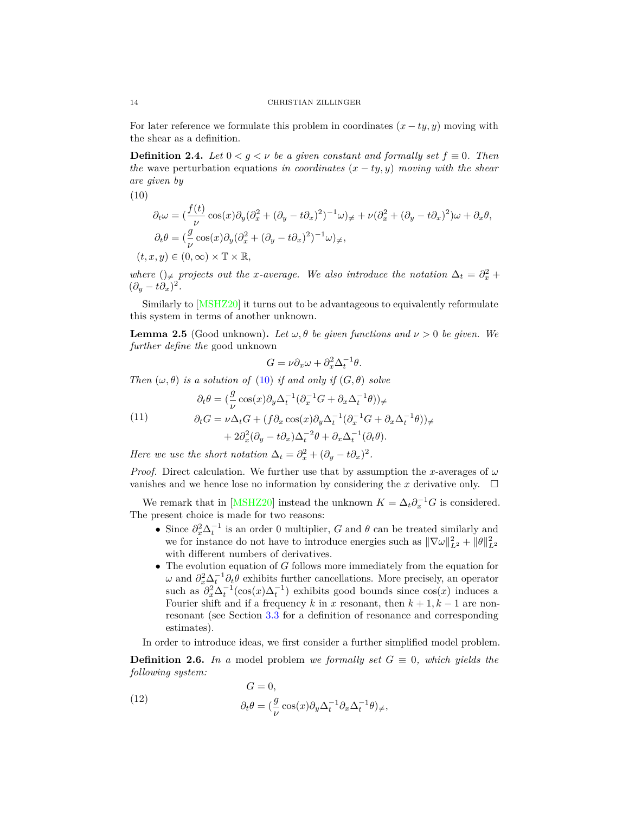For later reference we formulate this problem in coordinates  $(x - ty, y)$  moving with the shear as a definition.

<span id="page-13-0"></span>**Definition 2.4.** *Let*  $0 < g < \nu$  *be a given constant and formally set*  $f \equiv 0$ *. Then the* wave perturbation equations *in coordinates*  $(x - ty, y)$  *moving with the shear are given by*

<span id="page-13-2"></span>(10)

$$
\partial_t \omega = \left(\frac{f(t)}{\nu}\cos(x)\partial_y(\partial_x^2 + (\partial_y - t\partial_x)^2)^{-1}\omega\right)_{\neq} + \nu(\partial_x^2 + (\partial_y - t\partial_x)^2)\omega + \partial_x \theta,
$$
  

$$
\partial_t \theta = \left(\frac{g}{\nu}\cos(x)\partial_y(\partial_x^2 + (\partial_y - t\partial_x)^2)^{-1}\omega\right)_{\neq},
$$
  

$$
(t, x, y) \in (0, \infty) \times \mathbb{T} \times \mathbb{R},
$$

*where*  $()$ <sub>≠</sub> *projects out the x-average. We also introduce the notation*  $\Delta_t = \partial_x^2 + \partial_y^2$  $(\partial_y - t\partial_x)^2$ .

Similarly to [\[MSHZ20\]](#page-61-8) it turns out to be advantageous to equivalently reformulate this system in terms of another unknown.

<span id="page-13-1"></span>**Lemma 2.5** (Good unknown). Let  $\omega$ ,  $\theta$  be given functions and  $\nu > 0$  be given. We *further define the* good unknown

$$
G = \nu \partial_x \omega + \partial_x^2 \Delta_t^{-1} \theta.
$$

*Then*  $(\omega, \theta)$  *is a solution of* [\(10\)](#page-13-2) *if and only if*  $(G, \theta)$  *solve* 

<span id="page-13-3"></span>(11)  
\n
$$
\partial_t \theta = \left(\frac{g}{\nu} \cos(x) \partial_y \Delta_t^{-1} (\partial_x^{-1} G + \partial_x \Delta_t^{-1} \theta)\right) \neq
$$
\n
$$
\partial_t G = \nu \Delta_t G + \left(f \partial_x \cos(x) \partial_y \Delta_t^{-1} (\partial_x^{-1} G + \partial_x \Delta_t^{-1} \theta)\right) + 2 \partial_x^2 (\partial_y - t \partial_x) \Delta_t^{-2} \theta + \partial_x \Delta_t^{-1} (\partial_t \theta).
$$

*Here we use the short notation*  $\Delta_t = \partial_x^2 + (\partial_y - t\partial_x)^2$ .

*Proof.* Direct calculation. We further use that by assumption the *x*-averages of  $\omega$ vanishes and we hence lose no information by considering the  $x$  derivative only.  $\Box$ 

*θ*))<sup>6</sup><sup>=</sup>

We remark that in [\[MSHZ20\]](#page-61-8) instead the unknown  $K = \Delta_t \partial_x^{-1} G$  is considered. The present choice is made for two reasons:

- Since  $\partial_x^2 \Delta_t^{-1}$  is an order 0 multiplier, *G* and  $\theta$  can be treated similarly and we for instance do not have to introduce energies such as  $\|\nabla\omega\|_{L^2}^2 + \|\theta\|_{L^2}^2$ with different numbers of derivatives.
- The evolution equation of *G* follows more immediately from the equation for  $ω$  and  $\partial_x^2 \Delta_t^{-1} \partial_t^2$  exhibits further cancellations. More precisely, an operator such as  $\partial_x^2 \Delta_t^{-1}(\cos(x) \Delta_t^{-1})$  exhibits good bounds since  $\cos(x)$  induces a Fourier shift and if a frequency  $k$  in  $x$  resonant, then  $k + 1, k - 1$  are nonresonant (see Section [3.3](#page-25-0) for a definition of resonance and corresponding estimates).

In order to introduce ideas, we first consider a further simplified model problem.

<span id="page-13-5"></span>**Definition 2.6.** *In a* model problem *we formally set*  $G \equiv 0$ *, which yields the following system:*

<span id="page-13-4"></span>(12) 
$$
G = 0,
$$

$$
\partial_t \theta = \left(\frac{g}{\nu} \cos(x) \partial_y \Delta_t^{-1} \partial_x \Delta_t^{-1} \theta\right) \neq,
$$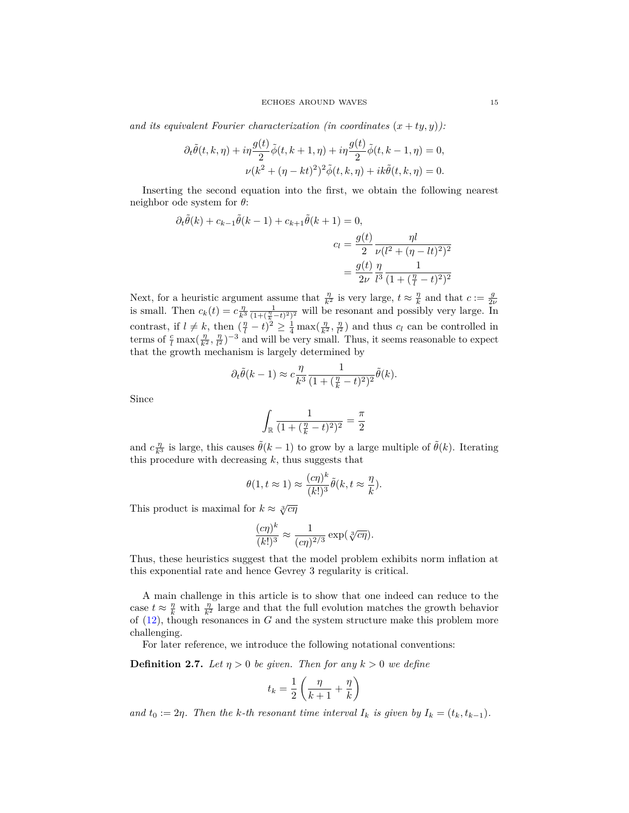and its equivalent Fourier characterization (in coordinates  $(x + ty, y)$ ):

$$
\partial_t \tilde{\theta}(t,k,\eta) + i\eta \frac{g(t)}{2} \tilde{\phi}(t,k+1,\eta) + i\eta \frac{g(t)}{2} \tilde{\phi}(t,k-1,\eta) = 0,
$$
  

$$
\nu(k^2 + (\eta - kt)^2)^2 \tilde{\phi}(t,k,\eta) + ik\tilde{\theta}(t,k,\eta) = 0.
$$

Inserting the second equation into the first, we obtain the following nearest neighbor ode system for *θ*:

$$
\partial_t \tilde{\theta}(k) + c_{k-1} \tilde{\theta}(k-1) + c_{k+1} \tilde{\theta}(k+1) = 0,
$$
  

$$
c_l = \frac{g(t)}{2} \frac{\eta l}{\nu (l^2 + (\eta - lt)^2)^2}
$$

$$
= \frac{g(t)}{2\nu} \frac{\eta}{l^3} \frac{1}{(1 + (\frac{\eta}{l} - t)^2)^2}
$$

Next, for a heuristic argument assume that  $\frac{\eta}{k^2}$  is very large,  $t \approx \frac{\eta}{k}$  and that  $c := \frac{g}{2\nu}$  is small. Then  $c_k(t) = c \frac{\eta}{k^3} \frac{1}{(1 + (\frac{\eta}{k} - t)^2)^2}$  will be resonant and possibly very large. In contrast, if  $l \neq k$ , then  $\left(\frac{\eta}{l} - t\right)^2 \geq \frac{1}{4} \max\left(\frac{\eta}{k^2}, \frac{\eta}{l^2}\right)$  and thus  $c_l$  can be controlled in terms of  $\frac{c}{l}$  max $(\frac{\eta}{k^2}, \frac{\eta}{l^2})^{-3}$  and will be very small. Thus, it seems reasonable to expect that the growth mechanism is largely determined by

$$
\partial_t \tilde{\theta}(k-1) \approx c \frac{\eta}{k^3} \frac{1}{(1 + (\frac{\eta}{k} - t)^2)^2} \tilde{\theta}(k).
$$

Since

$$
\int_{\mathbb{R}}\frac{1}{(1+(\frac{\eta}{k}-t)^2)^2}=\frac{\pi}{2}
$$

and  $c \frac{\eta}{k^3}$  is large, this causes  $\tilde{\theta}(k-1)$  to grow by a large multiple of  $\tilde{\theta}(k)$ . Iterating this procedure with decreasing  $k$ , thus suggests that

$$
\theta(1, t \approx 1) \approx \frac{(c\eta)^k}{(k!)^3} \tilde{\theta}(k, t \approx \frac{\eta}{k}).
$$

This product is maximal for  $k \approx \sqrt[3]{c\eta}$ 

$$
\frac{(c\eta)^k}{(k!)^3} \approx \frac{1}{(c\eta)^{2/3}} \exp(\sqrt[3]{c\eta}).
$$

Thus, these heuristics suggest that the model problem exhibits norm inflation at this exponential rate and hence Gevrey 3 regularity is critical.

A main challenge in this article is to show that one indeed can reduce to the case  $t \approx \frac{\eta}{k}$  with  $\frac{\eta}{k^2}$  large and that the full evolution matches the growth behavior of [\(12\)](#page-13-4), though resonances in *G* and the system structure make this problem more challenging.

For later reference, we introduce the following notational conventions:

<span id="page-14-0"></span>**Definition 2.7.** *Let*  $\eta > 0$  *be given. Then for any*  $k > 0$  *we define* 

$$
t_k = \frac{1}{2} \left( \frac{\eta}{k+1} + \frac{\eta}{k} \right)
$$

*and*  $t_0 := 2\eta$ *. Then the k-th resonant time interval*  $I_k$  *is given by*  $I_k = (t_k, t_{k-1})$ *.*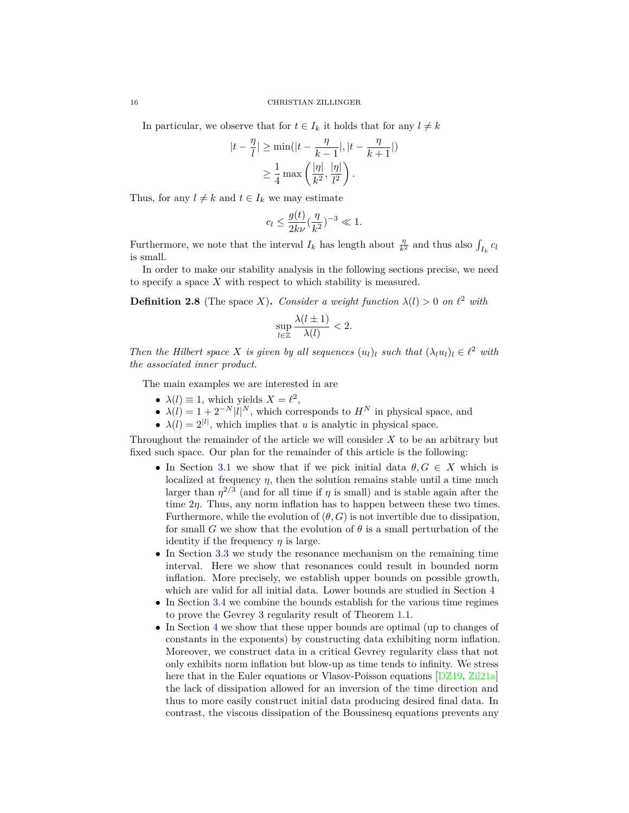In particular, we observe that for  $t \in I_k$  it holds that for any  $l \neq k$ 

$$
|t - \frac{\eta}{l}| \ge \min(|t - \frac{\eta}{k-1}|, |t - \frac{\eta}{k+1}|)
$$
  

$$
\ge \frac{1}{4} \max\left(\frac{|\eta|}{k^2}, \frac{|\eta|}{l^2}\right).
$$

Thus, for any  $l \neq k$  and  $t \in I_k$  we may estimate

$$
c_l \le \frac{g(t)}{2k\nu} (\frac{\eta}{k^2})^{-3} \ll 1.
$$

Furthermore, we note that the interval  $I_k$  has length about  $\frac{\eta}{k^2}$  and thus also  $\int_{I_k} c_l$ is small.

In order to make our stability analysis in the following sections precise, we need to specify a space *X* with respect to which stability is measured.

<span id="page-15-0"></span>**Definition 2.8** (The space *X*). *Consider a weight function*  $\lambda(l) > 0$  *on*  $l^2$  *with* 

$$
\sup_{l\in\mathbb{Z}}\frac{\lambda(l\pm 1)}{\lambda(l)}<2.
$$

*Then the Hilbert space X is given by all sequences*  $(u_l)_l$  *such that*  $(\lambda_l u_l)_l \in \ell^2$  *with the associated inner product.*

The main examples we are interested in are

- $\lambda(l) \equiv 1$ , which yields  $X = l^2$ ,
- $\lambda(l) = 1 + 2^{-N} |l|^N$ , which corresponds to  $H^N$  in physical space, and
- $\lambda(l) = 2^{|l|}$ , which implies that *u* is analytic in physical space.

Throughout the remainder of the article we will consider *X* to be an arbitrary but fixed such space. Our plan for the remainder of this article is the following:

- In Section [3.1](#page-17-0) we show that if we pick initial data  $\theta, G \in X$  which is localized at frequency  $\eta$ , then the solution remains stable until a time much larger than  $\eta^{2/3}$  (and for all time if  $\eta$  is small) and is stable again after the time  $2\eta$ . Thus, any norm inflation has to happen between these two times. Furthermore, while the evolution of  $(\theta, G)$  is not invertible due to dissipation, for small *G* we show that the evolution of  $\theta$  is a small perturbation of the identity if the frequency  $\eta$  is large.
- In Section [3.3](#page-25-0) we study the resonance mechanism on the remaining time interval. Here we show that resonances could result in bounded norm inflation. More precisely, we establish upper bounds on possible growth, which are valid for all initial data. Lower bounds are studied in Section [4](#page-43-0)
- In Section [3.4](#page-41-0) we combine the bounds establish for the various time regimes to prove the Gevrey 3 regularity result of Theorem [1.1.](#page-5-0)
- In Section [4](#page-43-0) we show that these upper bounds are optimal (up to changes of constants in the exponents) by constructing data exhibiting norm inflation. Moreover, we construct data in a critical Gevrey regularity class that not only exhibits norm inflation but blow-up as time tends to infinity. We stress here that in the Euler equations or Vlasov-Poisson equations [\[DZ19,](#page-61-20) [Zil21a\]](#page-62-5) the lack of dissipation allowed for an inversion of the time direction and thus to more easily construct initial data producing desired final data. In contrast, the viscous dissipation of the Boussinesq equations prevents any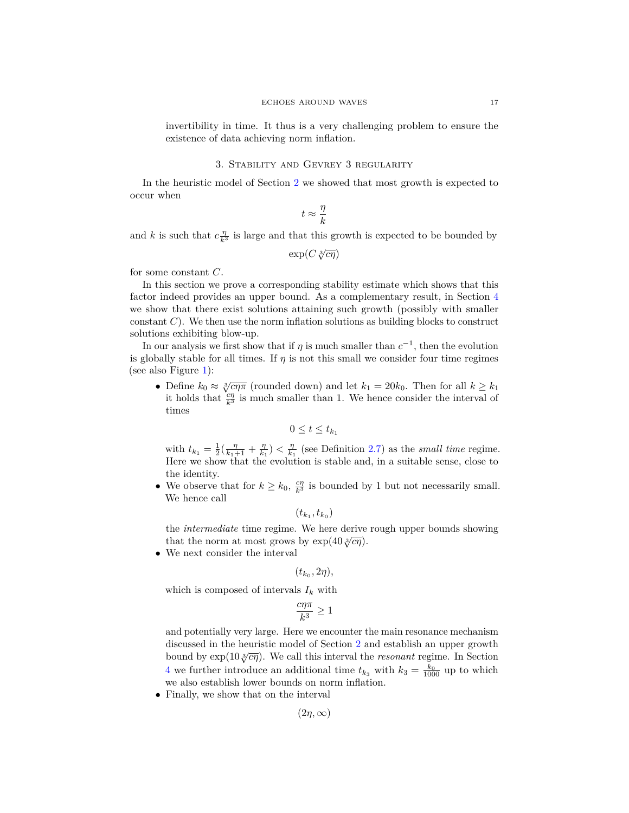invertibility in time. It thus is a very challenging problem to ensure the existence of data achieving norm inflation.

# 3. Stability and Gevrey 3 regularity

<span id="page-16-0"></span>In the heuristic model of Section [2](#page-8-0) we showed that most growth is expected to occur when

$$
t\approx \frac{\eta}{k}
$$

and *k* is such that  $c \frac{\eta}{k^3}$  is large and that this growth is expected to be bounded by

$$
\exp(C\sqrt[3]{c\eta})
$$

for some constant *C*.

In this section we prove a corresponding stability estimate which shows that this factor indeed provides an upper bound. As a complementary result, in Section [4](#page-43-0) we show that there exist solutions attaining such growth (possibly with smaller constant *C*). We then use the norm inflation solutions as building blocks to construct solutions exhibiting blow-up.

In our analysis we first show that if  $\eta$  is much smaller than  $c^{-1}$ , then the evolution is globally stable for all times. If  $\eta$  is not this small we consider four time regimes (see also Figure [1\)](#page-17-1):

• Define  $k_0 \approx \sqrt[3]{c\eta \pi}$  (rounded down) and let  $k_1 = 20k_0$ . Then for all  $k \geq k_1$ it holds that  $\frac{c\eta}{k^3}$  is much smaller than 1. We hence consider the interval of times

$$
0 \le t \le t_{k_1}
$$

with  $t_{k_1} = \frac{1}{2}(\frac{\eta}{k_1+1} + \frac{\eta}{k_1}) < \frac{\eta}{k_1}$  (see Definition [2.7\)](#page-14-0) as the *small time* regime. Here we show that the evolution is stable and, in a suitable sense, close to the identity.

• We observe that for  $k \geq k_0$ ,  $\frac{c\eta}{k^3}$  is bounded by 1 but not necessarily small. We hence call

$$
(t_{k_1},t_{k_0})
$$

the *intermediate* time regime. We here derive rough upper bounds showing that the norm at most grows by  $\exp(40\sqrt[3]{c\eta})$ .

• We next consider the interval

$$
(t_{k_0}, 2\eta),
$$

which is composed of intervals  $I_k$  with

$$
\frac{c\eta\pi}{k^3}\geq 1
$$

and potentially very large. Here we encounter the main resonance mechanism discussed in the heuristic model of Section [2](#page-8-0) and establish an upper growth bound by  $\exp(10\sqrt[3]{\epsilon\eta})$ . We call this interval the *resonant* regime. In Section [4](#page-43-0) we further introduce an additional time  $t_{k_3}$  with  $k_3 = \frac{k_0}{1000}$  up to which we also establish lower bounds on norm inflation.

• Finally, we show that on the interval

 $(2n, \infty)$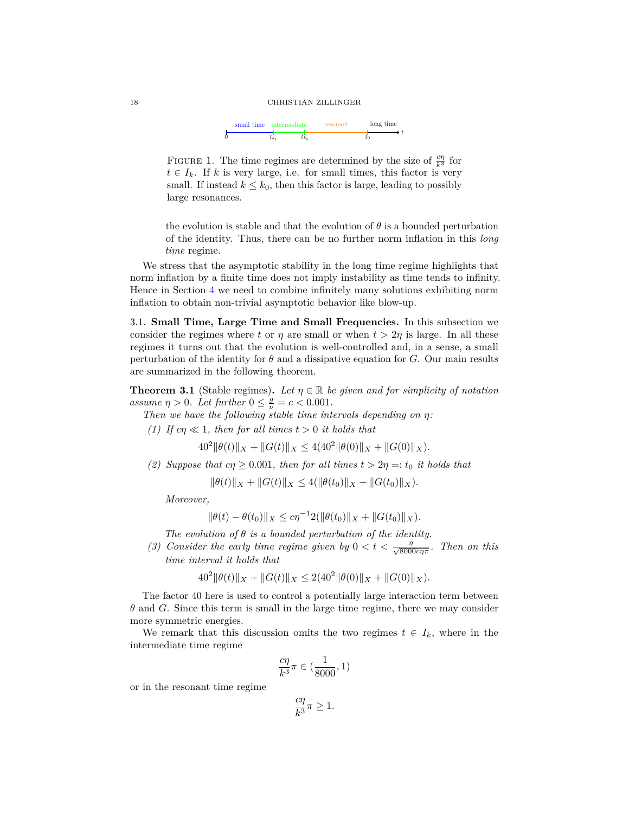## 18 CHRISTIAN ZILLINGER

<span id="page-17-1"></span>

FIGURE 1. The time regimes are determined by the size of  $\frac{c\eta}{k^3}$  for  $t \in I_k$ . If *k* is very large, i.e. for small times, this factor is very small. If instead  $k \leq k_0$ , then this factor is large, leading to possibly large resonances.

the evolution is stable and that the evolution of  $\theta$  is a bounded perturbation of the identity. Thus, there can be no further norm inflation in this *long time* regime.

We stress that the asymptotic stability in the long time regime highlights that norm inflation by a finite time does not imply instability as time tends to infinity. Hence in Section [4](#page-43-0) we need to combine infinitely many solutions exhibiting norm inflation to obtain non-trivial asymptotic behavior like blow-up.

<span id="page-17-0"></span>3.1. **Small Time, Large Time and Small Frequencies.** In this subsection we consider the regimes where *t* or *η* are small or when  $t > 2\eta$  is large. In all these regimes it turns out that the evolution is well-controlled and, in a sense, a small perturbation of the identity for  $\theta$  and a dissipative equation for *G*. Our main results are summarized in the following theorem.

<span id="page-17-2"></span>**Theorem 3.1** (Stable regimes). Let  $\eta \in \mathbb{R}$  be given and for simplicity of notation *assume*  $\eta > 0$ *. Let further*  $0 \le \frac{g}{\nu} = c < 0.001$ *.* 

*Then we have the following stable time intervals depending on η:*

*(1) If*  $c\eta \ll 1$ *, then for all times*  $t > 0$  *it holds that* 

 $40^2 \|\theta(t)\|_X + \|G(t)\|_X \le 4(40^2 \|\theta(0)\|_X + \|G(0)\|_X).$ 

*(2) Suppose that*  $c\eta > 0.001$ *, then for all times*  $t > 2\eta =: t_0$  *it holds that* 

 $\|\theta(t)\|_X + \|G(t)\|_X \leq 4(\|\theta(t_0)\|_X + \|G(t_0)\|_X).$ 

*Moreover,*

$$
\|\theta(t) - \theta(t_0)\|_X \le c\eta^{-1}2(\|\theta(t_0)\|_X + \|G(t_0)\|_X).
$$

*The evolution of θ is a bounded perturbation of the identity.*

*(3) Consider the early time regime given by*  $0 < t < \frac{\eta}{\sqrt{2000}}$ 8000*cηπ . Then on this time interval it holds that*

$$
402 ||\theta(t)||X + ||G(t)||X \le 2(402 ||\theta(0)||X + ||G(0)||X).
$$

The factor 40 here is used to control a potentially large interaction term between *θ* and *G*. Since this term is small in the large time regime, there we may consider more symmetric energies.

We remark that this discussion omits the two regimes  $t \in I_k$ , where in the intermediate time regime

$$
\frac{c\eta}{k^3}\pi\in(\frac{1}{8000},1)
$$

or in the resonant time regime

$$
\frac{c\eta}{k^3}\pi \ge 1.
$$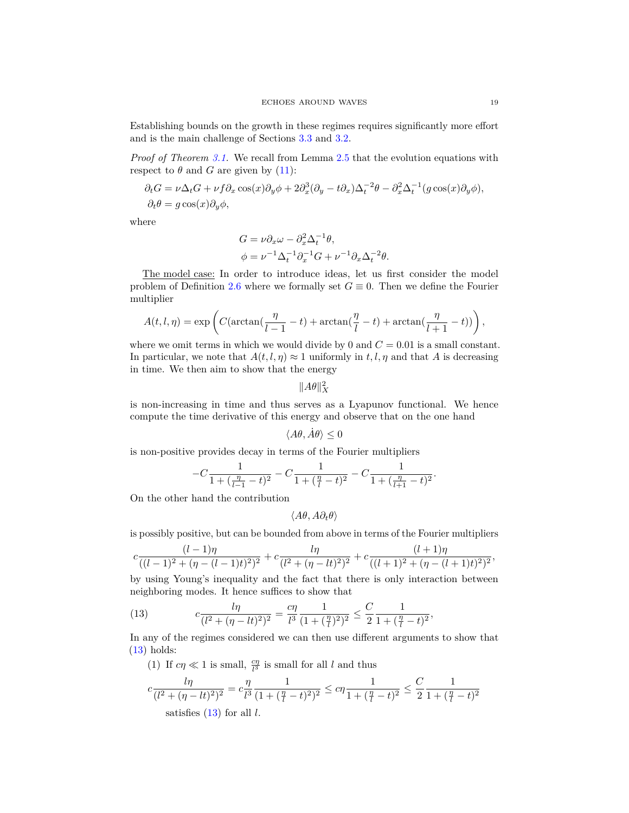Establishing bounds on the growth in these regimes requires significantly more effort and is the main challenge of Sections [3.3](#page-25-0) and [3.2.](#page-23-0)

*Proof of Theorem [3.1.](#page-17-2)* We recall from Lemma [2.5](#page-13-1) that the evolution equations with respect to  $\theta$  and *G* are given by [\(11\)](#page-13-3):

$$
\partial_t G = \nu \Delta_t G + \nu f \partial_x \cos(x) \partial_y \phi + 2 \partial_x^3 (\partial_y - t \partial_x) \Delta_t^{-2} \theta - \partial_x^2 \Delta_t^{-1} (g \cos(x) \partial_y \phi),
$$
  

$$
\partial_t \theta = g \cos(x) \partial_y \phi,
$$

where

$$
G = \nu \partial_x \omega - \partial_x^2 \Delta_t^{-1} \theta,
$$
  

$$
\phi = \nu^{-1} \Delta_t^{-1} \partial_x^{-1} G + \nu^{-1} \partial_x \Delta_t^{-2} \theta.
$$

The model case: In order to introduce ideas, let us first consider the model problem of Definition [2.6](#page-13-5) where we formally set  $G \equiv 0$ . Then we define the Fourier multiplier

$$
A(t,l,\eta)=\exp\left(C(\arctan(\frac{\eta}{l-1}-t)+\arctan(\frac{\eta}{l}-t)+\arctan(\frac{\eta}{l+1}-t))\right),
$$

where we omit terms in which we would divide by 0 and  $C = 0.01$  is a small constant. In particular, we note that  $A(t, l, \eta) \approx 1$  uniformly in  $t, l, \eta$  and that A is decreasing in time. We then aim to show that the energy

 $||A\theta||_X^2$ 

is non-increasing in time and thus serves as a Lyapunov functional. We hence compute the time derivative of this energy and observe that on the one hand

$$
\langle A\theta, \dot{A}\theta \rangle \le 0
$$

is non-positive provides decay in terms of the Fourier multipliers

$$
-C\frac{1}{1+(\frac{\eta}{l-1}-t)^2}-C\frac{1}{1+(\frac{\eta}{l}-t)^2}-C\frac{1}{1+(\frac{\eta}{l+1}-t)^2}.
$$

On the other hand the contribution

$$
\langle A\theta, A\partial_t\theta\rangle
$$

is possibly positive, but can be bounded from above in terms of the Fourier multipliers

$$
c\frac{(l-1)\eta}{((l-1)^2+(\eta-(l-1)t)^2)^2}+c\frac{l\eta}{(l^2+(\eta-lt)^2)^2}+c\frac{(l+1)\eta}{((l+1)^2+(\eta-(l+1)t)^2)^2},
$$

by using Young's inequality and the fact that there is only interaction between neighboring modes. It hence suffices to show that

<span id="page-18-0"></span>(13) 
$$
c \frac{l\eta}{(l^2 + (\eta - lt)^2)^2} = \frac{c\eta}{l^3} \frac{1}{(1 + (\frac{\eta}{l})^2)^2} \le \frac{C}{2} \frac{1}{1 + (\frac{\eta}{l} - t)^2},
$$

In any of the regimes considered we can then use different arguments to show that  $(13)$  holds:

(1) If  $c\eta \ll 1$  is small,  $\frac{c\eta}{l^3}$  is small for all *l* and thus

$$
c \frac{l\eta}{(l^2 + (\eta - lt)^2)^2} = c \frac{\eta}{l^3} \frac{1}{(1 + (\frac{\eta}{l} - t)^2)^2} \le c\eta \frac{1}{1 + (\frac{\eta}{l} - t)^2} \le \frac{C}{2} \frac{1}{1 + (\frac{\eta}{l} - t)^2}
$$
  
satisfies (13) for all *l*.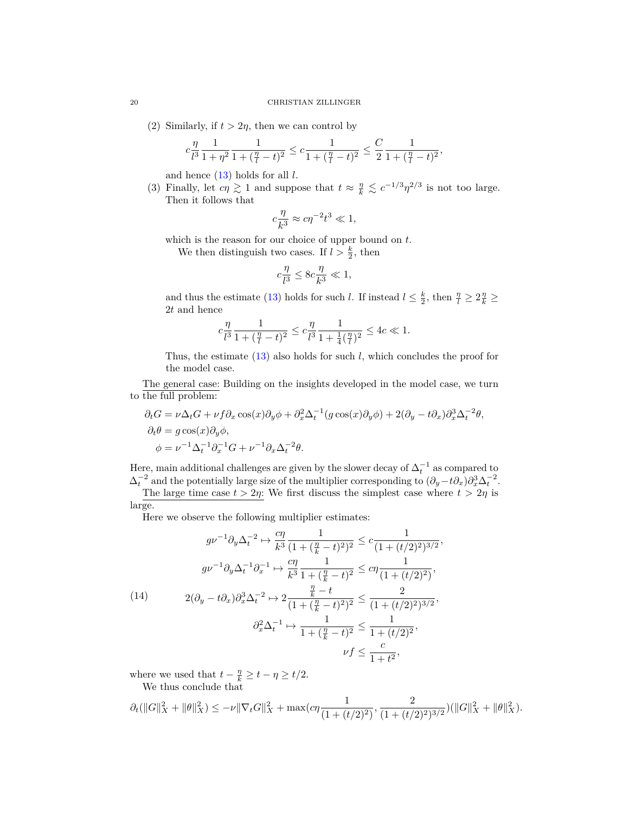(2) Similarly, if  $t > 2\eta$ , then we can control by

$$
c\frac{\eta}{l^3}\frac{1}{1+\eta^2}\frac{1}{1+(\frac{\eta}{l}-t)^2} \leq c\frac{1}{1+(\frac{\eta}{l}-t)^2} \leq \frac{C}{2}\frac{1}{1+(\frac{\eta}{l}-t)^2},
$$

and hence [\(13\)](#page-18-0) holds for all *l*.

(3) Finally, let  $c\eta \gtrsim 1$  and suppose that  $t \approx \frac{\eta}{k} \lesssim c^{-1/3} \eta^{2/3}$  is not too large. Then it follows that

$$
c\frac{\eta}{k^3} \approx c\eta^{-2}t^3 \ll 1,
$$

which is the reason for our choice of upper bound on *t*.

We then distinguish two cases. If  $l > \frac{k}{2}$ , then

$$
c\frac{\eta}{l^3} \le 8c\frac{\eta}{k^3} \ll 1,
$$

and thus the estimate [\(13\)](#page-18-0) holds for such *l*. If instead  $l \leq \frac{k}{2}$ , then  $\frac{\eta}{l} \geq 2\frac{\eta}{k} \geq$ 2*t* and hence

$$
c\frac{\eta}{l^3} \frac{1}{1+(\frac{\eta}{l}-t)^2} \leq c\frac{\eta}{l^3} \frac{1}{1+\frac{1}{4}(\frac{\eta}{l})^2} \leq 4c \ll 1.
$$

Thus, the estimate [\(13\)](#page-18-0) also holds for such *l*, which concludes the proof for the model case.

The general case: Building on the insights developed in the model case, we turn to the full problem:

$$
\partial_t G = \nu \Delta_t G + \nu f \partial_x \cos(x) \partial_y \phi + \partial_x^2 \Delta_t^{-1} (g \cos(x) \partial_y \phi) + 2(\partial_y - t \partial_x) \partial_x^3 \Delta_t^{-2} \theta,
$$
  
\n
$$
\partial_t \theta = g \cos(x) \partial_y \phi,
$$
  
\n
$$
\phi = \nu^{-1} \Delta_t^{-1} \partial_x^{-1} G + \nu^{-1} \partial_x \Delta_t^{-2} \theta.
$$

Here, main additional challenges are given by the slower decay of  $\Delta_t^{-1}$  as compared to  $\Delta_t^{-2}$  and the potentially large size of the multiplier corresponding to  $(\partial_y - t \partial_x)\partial_x^3 \Delta_t^{-2}$ .

The large time case  $t > 2\eta$ : We first discuss the simplest case where  $t > 2\eta$  is large.

Here we observe the following multiplier estimates:

<span id="page-19-0"></span>
$$
g\nu^{-1}\partial_y \Delta_t^{-2} \mapsto \frac{c\eta}{k^3} \frac{1}{(1+(\frac{\eta}{k}-t)^2)^2} \leq c \frac{1}{(1+(t/2)^2)^{3/2}},
$$

$$
g\nu^{-1}\partial_y \Delta_t^{-1}\partial_x^{-1} \mapsto \frac{c\eta}{k^3} \frac{1}{1+(\frac{\eta}{k}-t)^2} \leq c\eta \frac{1}{(1+(t/2)^2)},
$$

$$
2(\partial_y - t\partial_x)\partial_x^3 \Delta_t^{-2} \mapsto 2\frac{\frac{\eta}{k}-t}{(1+(\frac{\eta}{k}-t)^2)^2} \leq \frac{2}{(1+(t/2)^2)^{3/2}},
$$

$$
\partial_x^2 \Delta_t^{-1} \mapsto \frac{1}{1+(\frac{\eta}{k}-t)^2} \leq \frac{1}{1+(t/2)^2},
$$

$$
\nu f \leq \frac{c}{1+t^2},
$$

where we used that  $t - \frac{\eta}{k} \ge t - \eta \ge t/2$ .

We thus conclude that

$$
\partial_t (\|G\|_X^2 + \|\theta\|_X^2) \le -\nu \|\nabla_t G\|_X^2 + \max\left(c\eta \frac{1}{(1 + (t/2)^2)}, \frac{2}{(1 + (t/2)^2)^{3/2}}\right) (\|G\|_X^2 + \|\theta\|_X^2).
$$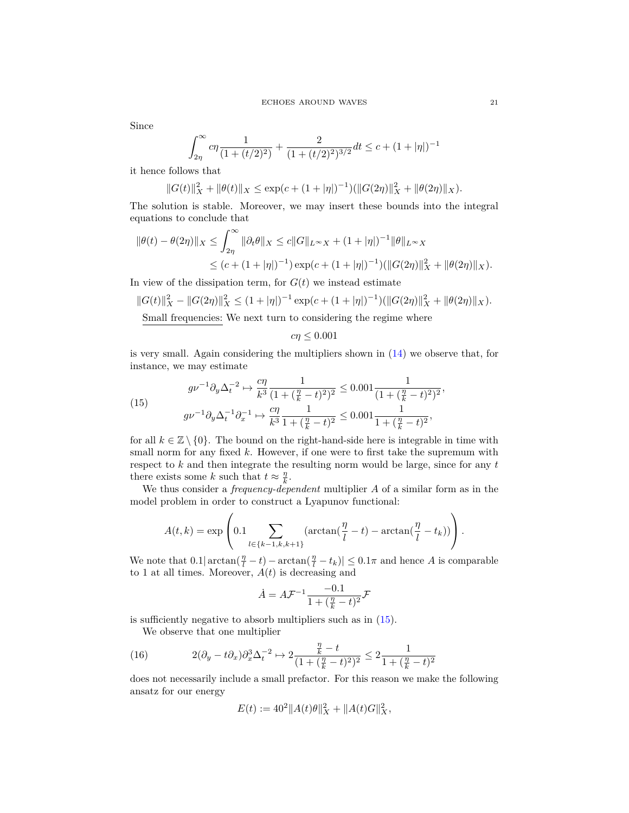Since

$$
\int_{2\eta}^{\infty} c\eta \frac{1}{(1 + (t/2)^2)} + \frac{2}{(1 + (t/2)^2)^{3/2}} dt \le c + (1 + |\eta|)^{-1}
$$

it hence follows that

$$
||G(t)||_{X}^{2} + ||\theta(t)||_{X} \le \exp(c + (1+|\eta|)^{-1})(||G(2\eta)||_{X}^{2} + ||\theta(2\eta)||_{X}).
$$

The solution is stable. Moreover, we may insert these bounds into the integral equations to conclude that

$$
\|\theta(t) - \theta(2\eta)\|_{X} \le \int_{2\eta}^{\infty} \|\partial_t \theta\|_{X} \le c \|G\|_{L^{\infty}X} + (1 + |\eta|)^{-1} \|\theta\|_{L^{\infty}X}
$$
  

$$
\le (c + (1 + |\eta|)^{-1}) \exp(c + (1 + |\eta|)^{-1}) (\|G(2\eta)\|_{X}^{2} + \|\theta(2\eta)\|_{X}).
$$

In view of the dissipation term, for  $G(t)$  we instead estimate

$$
||G(t)||_X^2 - ||G(2\eta)||_X^2 \le (1+|\eta|)^{-1} \exp(c + (1+|\eta|)^{-1})(||G(2\eta)||_X^2 + ||\theta(2\eta)||_X).
$$

Small frequencies: We next turn to considering the regime where

$$
c\eta \leq 0.001
$$

is very small. Again considering the multipliers shown in [\(14\)](#page-19-0) we observe that, for instance, we may estimate

<span id="page-20-0"></span>(15) 
$$
g\nu^{-1}\partial_y \Delta_t^{-2} \mapsto \frac{c\eta}{k^3} \frac{1}{(1+(\frac{\eta}{k}-t)^2)^2} \leq 0.001 \frac{1}{(1+(\frac{\eta}{k}-t)^2)^2},
$$

$$
g\nu^{-1}\partial_y \Delta_t^{-1}\partial_x^{-1} \mapsto \frac{c\eta}{k^3} \frac{1}{1+(\frac{\eta}{k}-t)^2} \leq 0.001 \frac{1}{1+(\frac{\eta}{k}-t)^2},
$$

for all  $k \in \mathbb{Z} \setminus \{0\}$ . The bound on the right-hand-side here is integrable in time with small norm for any fixed *k*. However, if one were to first take the supremum with respect to *k* and then integrate the resulting norm would be large, since for any *t* there exists some *k* such that  $t \approx \frac{\eta}{k}$ .

We thus consider a *frequency-dependent* multiplier *A* of a similar form as in the model problem in order to construct a Lyapunov functional:

$$
A(t,k) = \exp\left(0.1 \sum_{l \in \{k-1,k,k+1\}} (\arctan(\frac{\eta}{l} - t) - \arctan(\frac{\eta}{l} - t_k))\right).
$$

We note that  $0.1|\arctan(\frac{\eta}{l} - t) - \arctan(\frac{\eta}{l} - t_k)| \leq 0.1\pi$  and hence *A* is comparable to 1 at all times. Moreover,  $A(t)$  is decreasing and

$$
\dot{A} = A\mathcal{F}^{-1} \frac{-0.1}{1 + (\frac{\eta}{k} - t)^2} \mathcal{F}
$$

is sufficiently negative to absorb multipliers such as in [\(15\)](#page-20-0).

We observe that one multiplier

<span id="page-20-1"></span>(16) 
$$
2(\partial_y - t\partial_x)\partial_x^3 \Delta_t^{-2} \mapsto 2\frac{\frac{\eta}{k} - t}{(1 + (\frac{\eta}{k} - t)^2)^2} \leq 2\frac{1}{1 + (\frac{\eta}{k} - t)^2}
$$

does not necessarily include a small prefactor. For this reason we make the following ansatz for our energy

$$
E(t) := 40^2 \|A(t)\theta\|_X^2 + \|A(t)G\|_X^2,
$$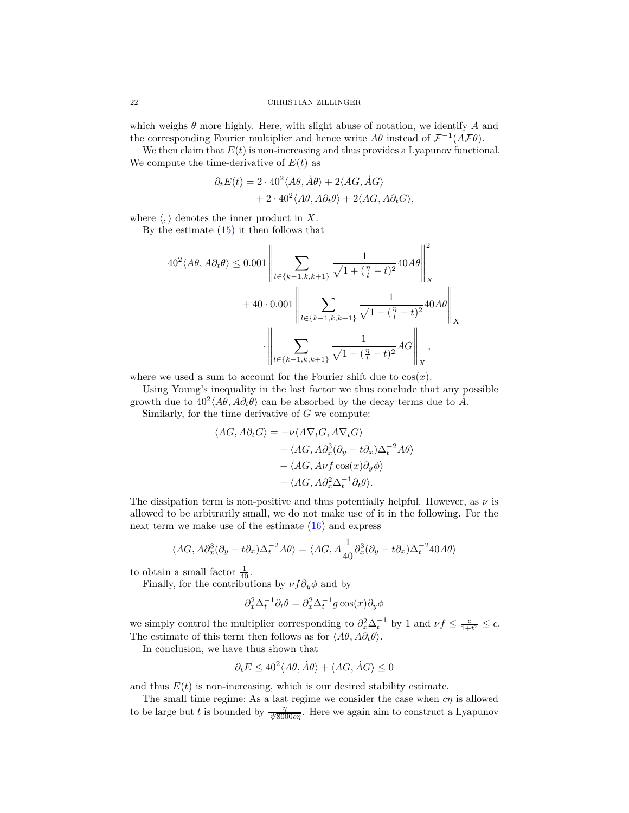which weighs *θ* more highly. Here, with slight abuse of notation, we identify *A* and the corresponding Fourier multiplier and hence write  $A\theta$  instead of  $\mathcal{F}^{-1}(A\mathcal{F}\theta)$ .

We then claim that  $E(t)$  is non-increasing and thus provides a Lyapunov functional. We compute the time-derivative of  $E(t)$  as

$$
\begin{split} \partial_t E(t) &= 2 \cdot 40^2 \langle A \theta, \dot{A} \theta \rangle + 2 \langle A G, \dot{A} G \rangle \\ &+ 2 \cdot 40^2 \langle A \theta, A \partial_t \theta \rangle + 2 \langle A G, A \partial_t G \rangle, \end{split}
$$

where  $\langle , \rangle$  denotes the inner product in *X*.

By the estimate  $(15)$  it then follows that

$$
40^{2} \langle A\theta, A\partial_{t}\theta \rangle \le 0.001 \left\| \sum_{l \in \{k-1, k, k+1\}} \frac{1}{\sqrt{1 + (\frac{\eta}{l} - t)^{2}}} 40A\theta \right\|_{X}^{2}
$$
  
+ 40 \cdot 0.001 
$$
\left\| \sum_{l \in \{k-1, k, k+1\}} \frac{1}{\sqrt{1 + (\frac{\eta}{l} - t)^{2}}} 40A\theta \right\|_{X}
$$

$$
\cdot \left\| \sum_{l \in \{k-1, k, k+1\}} \frac{1}{\sqrt{1 + (\frac{\eta}{l} - t)^{2}}} A G \right\|_{X},
$$

where we used a sum to account for the Fourier shift due to  $cos(x)$ .

Using Young's inequality in the last factor we thus conclude that any possible growth due to  $40^2 \langle A\theta, A\partial_t \theta \rangle$  can be absorbed by the decay terms due to  $\tilde{A}$ .

Similarly, for the time derivative of *G* we compute:

$$
\langle AG, A\partial_t G \rangle = -\nu \langle A \nabla_t G, A \nabla_t G \rangle + \langle AG, A \partial_x^3 (\partial_y - t \partial_x) \Delta_t^{-2} A \theta \rangle + \langle AG, A \nu f \cos(x) \partial_y \phi \rangle + \langle AG, A \partial_x^2 \Delta_t^{-1} \partial_t \theta \rangle.
$$

The dissipation term is non-positive and thus potentially helpful. However, as  $\nu$  is allowed to be arbitrarily small, we do not make use of it in the following. For the next term we make use of the estimate [\(16\)](#page-20-1) and express

$$
\langle AG, A\partial_x^3(\partial_y - t\partial_x)\Delta_t^{-2}A\theta \rangle = \langle AG, A\frac{1}{40}\partial_x^3(\partial_y - t\partial_x)\Delta_t^{-2}40A\theta \rangle
$$

to obtain a small factor  $\frac{1}{40}$ .

Finally, for the contributions by  $\nu f \partial_y \phi$  and by

$$
\partial_x^2 \Delta_t^{-1} \partial_t \theta = \partial_x^2 \Delta_t^{-1} g \cos(x) \partial_y \phi
$$

we simply control the multiplier corresponding to  $\partial_x^2 \Delta_t^{-1}$  by 1 and  $\nu f \leq \frac{c}{1+t^2} \leq c$ . The estimate of this term then follows as for  $\langle A\theta, A\partial_t\theta \rangle$ .

In conclusion, we have thus shown that

$$
\partial_t E \le 40^2 \langle A\theta, \dot{A}\theta \rangle + \langle A\theta, \dot{A}\theta \rangle \le 0
$$

and thus  $E(t)$  is non-increasing, which is our desired stability estimate.

The small time regime: As a last regime we consider the case when *cη* is allowed to be large but *t* is bounded by  $\frac{\eta}{\sqrt[3]{8000 \text{cm}}}$ . Here we again aim to construct a Lyapunov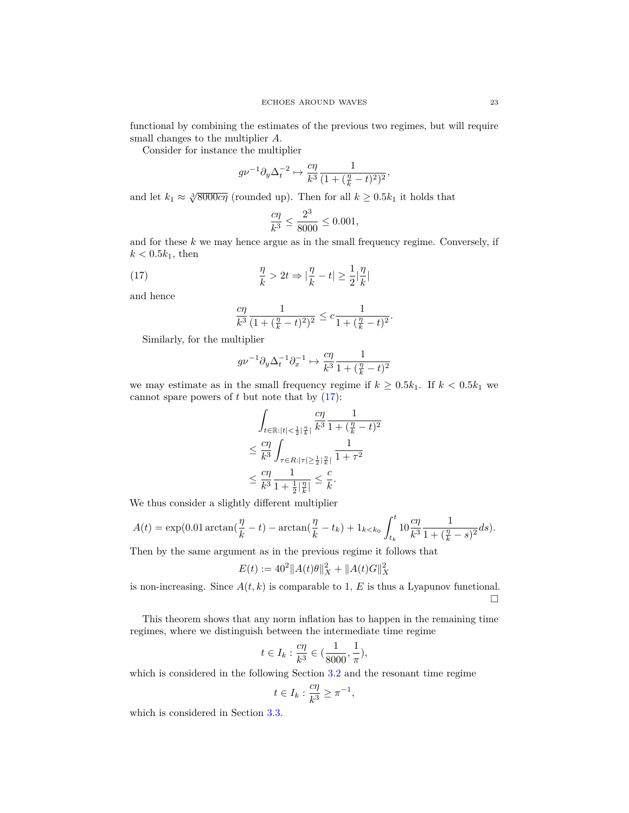functional by combining the estimates of the previous two regimes, but will require small changes to the multiplier *A*.

Consider for instance the multiplier

$$
g\nu^{-1}\partial_y\Delta_t^{-2} \mapsto \frac{c\eta}{k^3} \frac{1}{(1+(\frac{\eta}{k}-t)^2)^2},
$$

and let  $k_1 \approx \sqrt[3]{8000c\eta}$  (rounded up). Then for all  $k \ge 0.5k_1$  it holds that

$$
\frac{c\eta}{k^3} \le \frac{2^3}{8000} \le 0.001,
$$

and for these *k* we may hence argue as in the small frequency regime. Conversely, if  $k < 0.5k_1$ , then

<span id="page-22-0"></span>(17) 
$$
\frac{\eta}{k} > 2t \Rightarrow |\frac{\eta}{k} - t| \ge \frac{1}{2} |\frac{\eta}{k}|
$$

and hence

$$
\frac{c\eta}{k^3} \frac{1}{(1 + (\frac{\eta}{k} - t)^2)^2} \leq c \frac{1}{1 + (\frac{\eta}{k} - t)^2}.
$$

Similarly, for the multiplier

$$
g\nu^{-1} \partial_y \Delta_t^{-1} \partial_x^{-1} \mapsto \frac{c\eta}{k^3} \frac{1}{1+(\frac{\eta}{k}-t)^2}
$$

we may estimate as in the small frequency regime if  $k \geq 0.5k_1$ . If  $k < 0.5k_1$  we cannot spare powers of  $t$  but note that by  $(17)$ :

$$
\int_{t \in \mathbb{R} : |t| < \frac{1}{2} \left| \frac{\eta}{k} \right|} \frac{c\eta}{k^3} \frac{1}{1 + (\frac{\eta}{k} - t)^2} \\
\leq \frac{c\eta}{k^3} \int_{\tau \in R : |\tau| \geq \frac{1}{2} \left| \frac{\eta}{k} \right|} \frac{1}{1 + \tau^2} \\
\leq \frac{c\eta}{k^3} \frac{1}{1 + \frac{1}{2} \left| \frac{\eta}{k} \right|} \leq \frac{c}{k}.
$$

We thus consider a slightly different multiplier

$$
A(t) = \exp(0.01 \arctan(\frac{\eta}{k} - t) - \arctan(\frac{\eta}{k} - t_k) + 1_{k < k_0} \int_{t_k}^t 10 \frac{c\eta}{k^3} \frac{1}{1 + (\frac{\eta}{k} - s)^2} ds).
$$

Then by the same argument as in the previous regime it follows that

$$
E(t) := 40^2 \|A(t)\theta\|_X^2 + \|A(t)G\|_X^2
$$

is non-increasing. Since  $A(t, k)$  is comparable to 1,  $E$  is thus a Lyapunov functional.  $\Box$ 

This theorem shows that any norm inflation has to happen in the remaining time regimes, where we distinguish between the intermediate time regime

$$
t \in I_k : \frac{c\eta}{k^3} \in (\frac{1}{8000}, \frac{1}{\pi}),
$$

which is considered in the following Section [3.2](#page-23-0) and the resonant time regime

$$
t\in I_k: \frac{c\eta}{k^3}\geq \pi^{-1},
$$

which is considered in Section [3.3.](#page-25-0)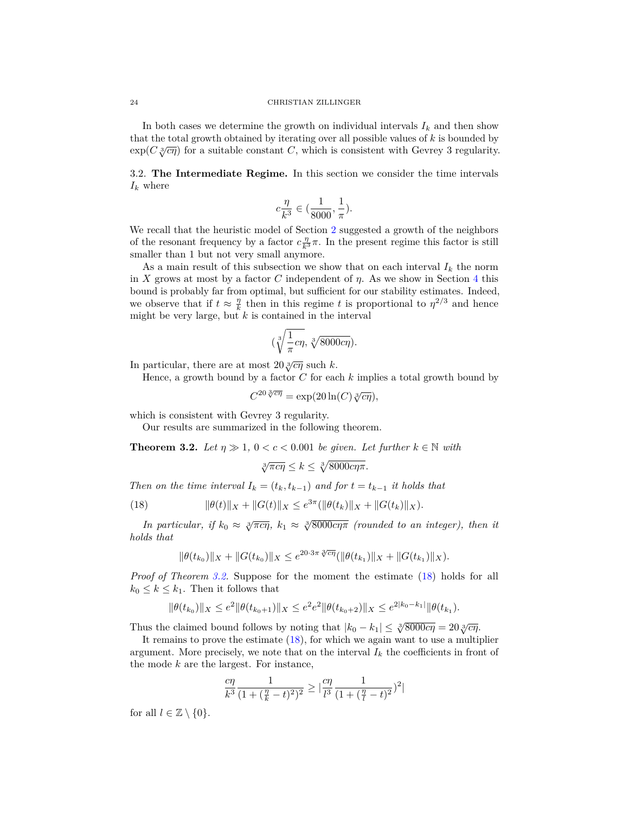#### 24 CHRISTIAN ZILLINGER

In both cases we determine the growth on individual intervals  $I_k$  and then show that the total growth obtained by iterating over all possible values of *k* is bounded by exp( $C \sqrt[3]{c\eta}$ ) for a suitable constant *C*, which is consistent with Gevrey 3 regularity.

<span id="page-23-0"></span>3.2. **The Intermediate Regime.** In this section we consider the time intervals *I<sup>k</sup>* where

$$
c\frac{\eta}{k^3}\in(\frac{1}{8000},\frac{1}{\pi}).
$$

We recall that the heuristic model of Section [2](#page-8-0) suggested a growth of the neighbors of the resonant frequency by a factor  $c \frac{\eta}{k^3} \pi$ . In the present regime this factor is still smaller than 1 but not very small anymore.

As a main result of this subsection we show that on each interval  $I_k$  the norm in *X* grows at most by a factor *C* independent of *η*. As we show in Section [4](#page-43-0) this bound is probably far from optimal, but sufficient for our stability estimates. Indeed, we observe that if  $t \approx \frac{\eta}{k}$  then in this regime *t* is proportional to  $\eta^{2/3}$  and hence might be very large, but *k* is contained in the interval

$$
(\sqrt[3]{\frac{1}{\pi}c\eta}, \sqrt[3]{8000c\eta}).
$$

In particular, there are at most  $20\sqrt[3]{c\eta}$  such *k*.

Hence, a growth bound by a factor *C* for each *k* implies a total growth bound by

$$
C^{20\sqrt[3]{c\eta}} = \exp(20\ln(C)\sqrt[3]{c\eta}),
$$

which is consistent with Gevrey 3 regularity.

Our results are summarized in the following theorem.

<span id="page-23-1"></span>**Theorem 3.2.** *Let*  $\eta \gg 1$ ,  $0 < c < 0.001$  *be given. Let further*  $k \in \mathbb{N}$  *with* 

$$
\sqrt[3]{\pi c\eta} \le k \le \sqrt[3]{8000c\eta\pi}.
$$

*Then on the time interval*  $I_k = (t_k, t_{k-1})$  *and for*  $t = t_{k-1}$  *it holds that* 

<span id="page-23-2"></span>(18) 
$$
\|\theta(t)\|_X + \|G(t)\|_X \le e^{3\pi} (\|\theta(t_k)\|_X + \|G(t_k)\|_X).
$$

*In particular, if*  $k_0 \approx \sqrt[3]{\pi c \eta}$ ,  $k_1 \approx \sqrt[3]{8000 c \eta \pi}$  (rounded to an integer), then it *holds that*

$$
\|\theta(t_{k_0})\|_X + \|G(t_{k_0})\|_X \le e^{20\cdot 3\pi \sqrt[3]{c\eta}} (\|\theta(t_{k_1})\|_X + \|G(t_{k_1})\|_X).
$$

*Proof of Theorem [3.2.](#page-23-1)* Suppose for the moment the estimate [\(18\)](#page-23-2) holds for all  $k_0 \leq k \leq k_1$ . Then it follows that

$$
\|\theta(t_{k_0})\|_X \leq e^2 \|\theta(t_{k_0+1})\|_X \leq e^2 e^2 \|\theta(t_{k_0+2})\|_X \leq e^{2|k_0-k_1|} \|\theta(t_{k_1}).
$$

Thus the claimed bound follows by noting that  $|k_0 - k_1| \leq \sqrt[3]{8000c\eta} = 20\sqrt[3]{c\eta}$ .

It remains to prove the estimate [\(18\)](#page-23-2), for which we again want to use a multiplier argument. More precisely, we note that on the interval  $I_k$  the coefficients in front of the mode *k* are the largest. For instance,

$$
\frac{c\eta}{k^3} \frac{1}{(1+(\frac{\eta}{k}-t)^2)^2} \ge \big|\frac{c\eta}{l^3} \frac{1}{(1+(\frac{\eta}{l}-t)^2})^2\big|
$$

for all  $l \in \mathbb{Z} \setminus \{0\}$ .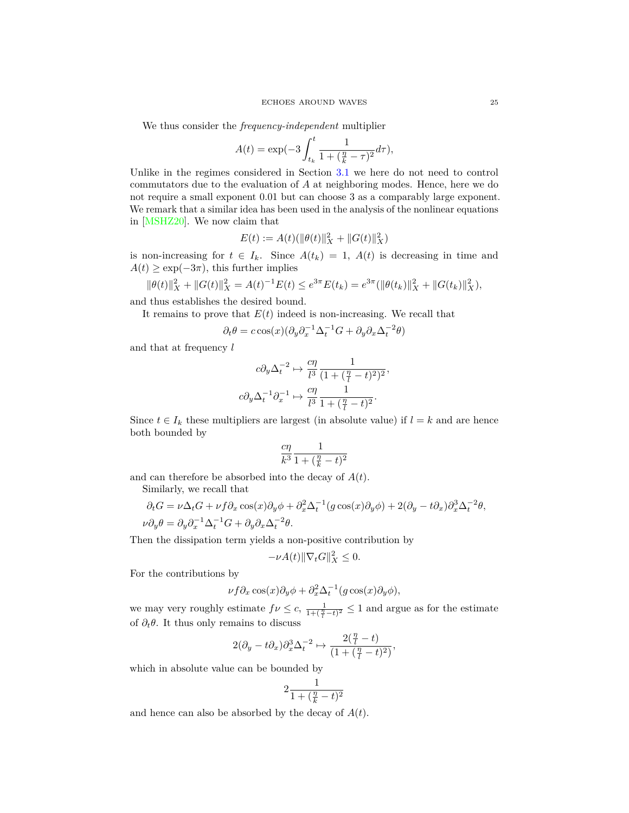We thus consider the *frequency-independent* multiplier

$$
A(t) = \exp(-3\int_{t_k}^{t} \frac{1}{1 + (\frac{\eta}{k} - \tau)^2} d\tau),
$$

Unlike in the regimes considered in Section [3.1](#page-17-0) we here do not need to control commutators due to the evaluation of *A* at neighboring modes. Hence, here we do not require a small exponent 0*.*01 but can choose 3 as a comparably large exponent. We remark that a similar idea has been used in the analysis of the nonlinear equations in [\[MSHZ20\]](#page-61-8). We now claim that

$$
E(t) := A(t)(\|\theta(t)\|_X^2 + \|G(t)\|_X^2)
$$

is non-increasing for  $t \in I_k$ . Since  $A(t_k) = 1$ ,  $A(t)$  is decreasing in time and  $A(t) \geq \exp(-3\pi)$ , this further implies

$$
\|\theta(t)\|_X^2 + \|G(t)\|_X^2 = A(t)^{-1}E(t) \le e^{3\pi}E(t_k) = e^{3\pi}(\|\theta(t_k)\|_X^2 + \|G(t_k)\|_X^2),
$$

and thus establishes the desired bound.

It remains to prove that  $E(t)$  indeed is non-increasing. We recall that

$$
\partial_t \theta = c \cos(x) (\partial_y \partial_x^{-1} \Delta_t^{-1} G + \partial_y \partial_x \Delta_t^{-2} \theta)
$$

and that at frequency *l*

$$
c\partial_y \Delta_t^{-2} \mapsto \frac{c\eta}{l^3} \frac{1}{(1 + (\frac{\eta}{l} - t)^2)^2},
$$
  

$$
c\partial_y \Delta_t^{-1} \partial_x^{-1} \mapsto \frac{c\eta}{l^3} \frac{1}{1 + (\frac{\eta}{l} - t)^2}.
$$

Since  $t \in I_k$  these multipliers are largest (in absolute value) if  $l = k$  and are hence both bounded by

$$
\frac{c\eta}{k^3}\frac{1}{1+(\frac{\eta}{k}-t)^2}
$$

and can therefore be absorbed into the decay of *A*(*t*).

Similarly, we recall that

$$
\partial_t G = \nu \Delta_t G + \nu f \partial_x \cos(x) \partial_y \phi + \partial_x^2 \Delta_t^{-1} (g \cos(x) \partial_y \phi) + 2(\partial_y - t \partial_x) \partial_x^3 \Delta_t^{-2} \theta,
$$
  

$$
\nu \partial_y \theta = \partial_y \partial_x^{-1} \Delta_t^{-1} G + \partial_y \partial_x \Delta_t^{-2} \theta.
$$

Then the dissipation term yields a non-positive contribution by

$$
-\nu A(t)\|\nabla_t G\|_X^2 \le 0.
$$

For the contributions by

$$
\nu f \partial_x \cos(x) \partial_y \phi + \partial_x^2 \Delta_t^{-1} (g \cos(x) \partial_y \phi),
$$

we may very roughly estimate  $f\nu \leq c$ ,  $\frac{1}{1+(\frac{\eta}{l}-t)^2} \leq 1$  and argue as for the estimate of  $\partial_t \theta$ . It thus only remains to discuss

$$
2(\partial_y - t\partial_x)\partial_x^3 \Delta_t^{-2} \mapsto \frac{2(\frac{\eta}{l} - t)}{(1 + (\frac{\eta}{l} - t)^2)},
$$

which in absolute value can be bounded by

$$
2\frac{1}{1+(\frac{\eta}{k}-t)^2}
$$

and hence can also be absorbed by the decay of *A*(*t*).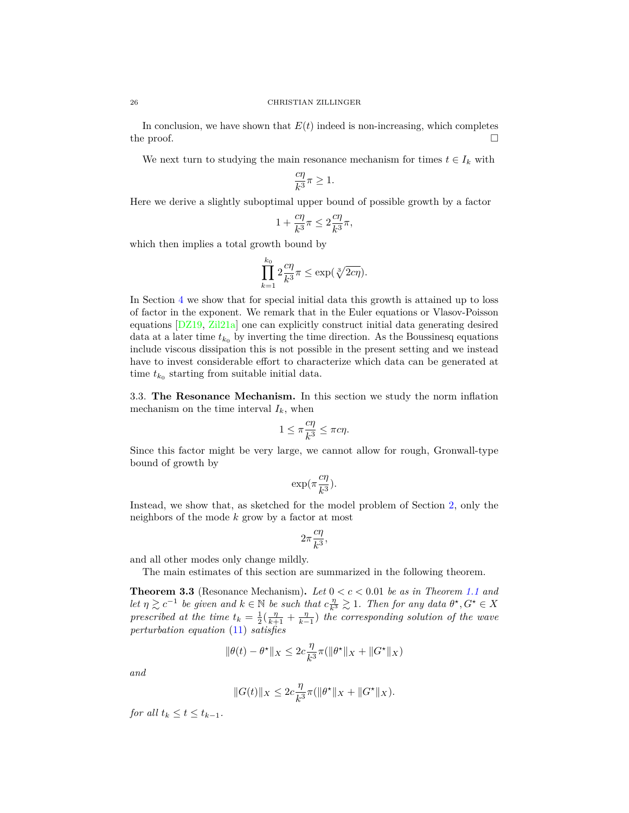In conclusion, we have shown that  $E(t)$  indeed is non-increasing, which completes the proof.  $\Box$ 

We next turn to studying the main resonance mechanism for times  $t \in I_k$  with

$$
\frac{c\eta}{k^3}\pi \ge 1.
$$

Here we derive a slightly suboptimal upper bound of possible growth by a factor

$$
1 + \frac{c\eta}{k^3}\pi \le 2\frac{c\eta}{k^3}\pi,
$$

which then implies a total growth bound by

$$
\prod_{k=1}^{k_0} 2\frac{c\eta}{k^3}\pi \le \exp\left(\sqrt[3]{2c\eta}\right).
$$

In Section [4](#page-43-0) we show that for special initial data this growth is attained up to loss of factor in the exponent. We remark that in the Euler equations or Vlasov-Poisson equations [\[DZ19,](#page-61-20) [Zil21a\]](#page-62-5) one can explicitly construct initial data generating desired data at a later time  $t_{k_0}$  by inverting the time direction. As the Boussinesq equations include viscous dissipation this is not possible in the present setting and we instead have to invest considerable effort to characterize which data can be generated at time  $t_{k_0}$  starting from suitable initial data.

<span id="page-25-0"></span>3.3. **The Resonance Mechanism.** In this section we study the norm inflation mechanism on the time interval  $I_k$ , when

$$
1 \le \pi \frac{c\eta}{k^3} \le \pi c\eta.
$$

Since this factor might be very large, we cannot allow for rough, Gronwall-type bound of growth by

$$
\exp(\pi\frac{c\eta}{k^3}).
$$

Instead, we show that, as sketched for the model problem of Section [2,](#page-8-0) only the neighbors of the mode *k* grow by a factor at most

$$
2\pi \frac{c\eta}{k^3},
$$

and all other modes only change mildly.

The main estimates of this section are summarized in the following theorem.

<span id="page-25-1"></span>**Theorem 3.3** (Resonance Mechanism). Let  $0 < c < 0.01$  be as in Theorem [1.1](#page-5-0) and *let*  $\eta \geq c^{-1}$  *be given and*  $k \in \mathbb{N}$  *be such that*  $c \frac{\eta}{k^3} \geq 1$ *. Then for any data*  $\theta^{\star}, G^{\star} \in X$ *prescribed at the time*  $t_k = \frac{1}{2}(\frac{\eta}{k+1} + \frac{\eta}{k-1})$  *the corresponding solution of the wave perturbation equation* [\(11\)](#page-13-3) *satisfies*

$$
\|\theta(t)-\theta^\star\|_X\leq 2c\frac{\eta}{k^3}\pi(\|\theta^\star\|_X+\|G^\star\|_X)
$$

*and*

$$
||G(t)||_X \leq 2c \frac{\eta}{k^3} \pi (||\theta^*||_X + ||G^*||_X).
$$

*for all*  $t_k \le t \le t_{k-1}$ *.*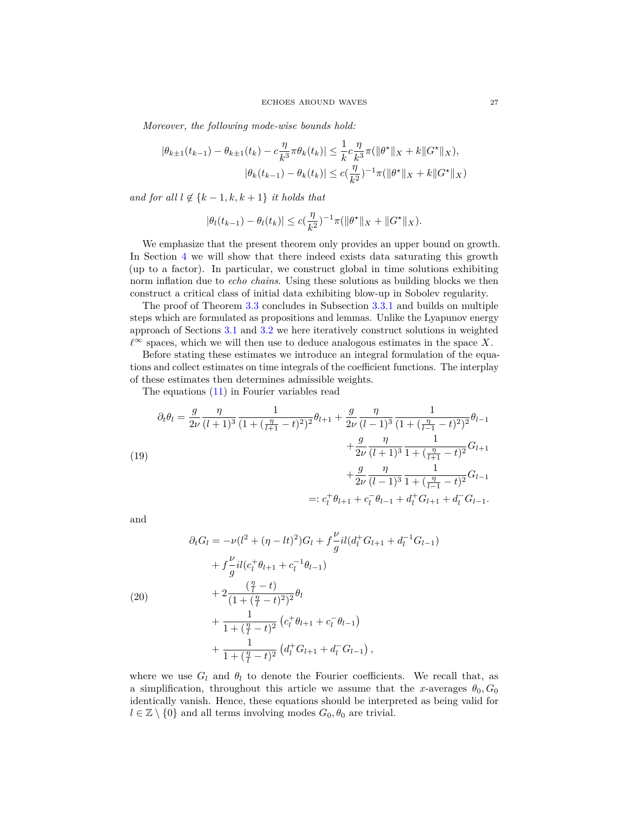*Moreover, the following mode-wise bounds hold:*

$$
|\theta_{k\pm 1}(t_{k-1}) - \theta_{k\pm 1}(t_k) - c\frac{\eta}{k^3}\pi \theta_k(t_k)| \leq \frac{1}{k}c\frac{\eta}{k^3}\pi(\|\theta^{\star}\|_X + k\|G^{\star}\|_X),
$$
  

$$
|\theta_k(t_{k-1}) - \theta_k(t_k)| \leq c(\frac{\eta}{k^2})^{-1}\pi(\|\theta^{\star}\|_X + k\|G^{\star}\|_X)
$$

*and for all*  $l \notin \{k-1, k, k+1\}$  *it holds that* 

$$
|\theta_l(t_{k-1}) - \theta_l(t_k)| \le c(\frac{\eta}{k^2})^{-1} \pi (||\theta^*||_X + ||G^*||_X).
$$

We emphasize that the present theorem only provides an upper bound on growth. In Section [4](#page-43-0) we will show that there indeed exists data saturating this growth (up to a factor). In particular, we construct global in time solutions exhibiting norm inflation due to *echo chains*. Using these solutions as building blocks we then construct a critical class of initial data exhibiting blow-up in Sobolev regularity.

The proof of Theorem [3.3](#page-25-1) concludes in Subsection [3.3.1](#page-36-0) and builds on multiple steps which are formulated as propositions and lemmas. Unlike the Lyapunov energy approach of Sections [3.1](#page-17-0) and [3.2](#page-23-0) we here iteratively construct solutions in weighted  $\ell^∞$  spaces, which we will then use to deduce analogous estimates in the space *X*.

Before stating these estimates we introduce an integral formulation of the equations and collect estimates on time integrals of the coefficient functions. The interplay of these estimates then determines admissible weights.

The equations [\(11\)](#page-13-3) in Fourier variables read

<span id="page-26-0"></span>
$$
\partial_t \theta_l = \frac{g}{2\nu} \frac{\eta}{(l+1)^3} \frac{1}{(1+(\frac{\eta}{l+1}-t)^2)^2} \theta_{l+1} + \frac{g}{2\nu} \frac{\eta}{(l-1)^3} \frac{1}{(1+(\frac{\eta}{l-1}-t)^2)^2} \theta_{l-1} + \frac{g}{2\nu} \frac{\eta}{(l+1)^3} \frac{1}{1+(\frac{\eta}{l+1}-t)^2} G_{l+1} + \frac{g}{2\nu} \frac{\eta}{(l-1)^3} \frac{1}{1+(\frac{\eta}{l-1}-t)^2} G_{l-1} =: c_l^+ \theta_{l+1} + c_l^- \theta_{l-1} + d_l^+ G_{l+1} + d_l^- G_{l-1}.
$$

and

$$
\partial_t G_l = -\nu (l^2 + (\eta - lt)^2) G_l + f \frac{\nu}{g} i l (d_l^{\dagger} G_{l+1} + d_l^{-1} G_{l-1})
$$
  
+  $f \frac{\nu}{g} i l (c_l^{\dagger} \theta_{l+1} + c_l^{-1} \theta_{l-1})$   
+  $2 \frac{(\frac{\eta}{l} - t)}{(1 + (\frac{\eta}{l} - t)^2)^2} \theta_l$   
+  $\frac{1}{1 + (\frac{\eta}{l} - t)^2} (c_l^{\dagger} \theta_{l+1} + c_l^{-} \theta_{l-1})$   
+  $\frac{1}{1 + (\frac{\eta}{l} - t)^2} (d_l^{\dagger} G_{l+1} + d_l^{-} G_{l-1}),$ 

where we use  $G_l$  and  $\theta_l$  to denote the Fourier coefficients. We recall that, as a simplification, throughout this article we assume that the *x*-averages  $\theta_0$ ,  $G_0$ identically vanish. Hence, these equations should be interpreted as being valid for  $l \in \mathbb{Z} \setminus \{0\}$  and all terms involving modes  $G_0, \theta_0$  are trivial.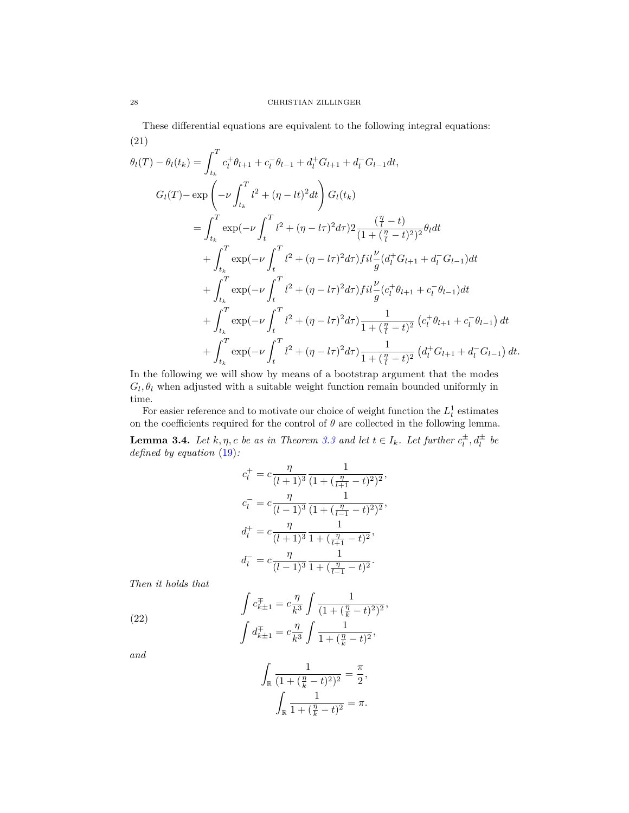<span id="page-27-1"></span>These differential equations are equivalent to the following integral equations: (21)

$$
\theta_{l}(T) - \theta_{l}(t_{k}) = \int_{t_{k}}^{T} c_{l}^{+} \theta_{l+1} + c_{l}^{-} \theta_{l-1} + d_{l}^{+} G_{l+1} + d_{l}^{-} G_{l-1} dt,
$$
\n
$$
G_{l}(T) - \exp\left(-\nu \int_{t_{k}}^{T} l^{2} + (\eta - lt)^{2} dt\right) G_{l}(t_{k})
$$
\n
$$
= \int_{t_{k}}^{T} \exp(-\nu \int_{t}^{T} l^{2} + (\eta - l\tau)^{2} d\tau) 2 \frac{(\frac{\eta}{l} - t)}{(1 + (\frac{\eta}{l} - t)^{2})^{2}} \theta_{l} dt
$$
\n
$$
+ \int_{t_{k}}^{T} \exp(-\nu \int_{t}^{T} l^{2} + (\eta - l\tau)^{2} d\tau) f i l \frac{\nu}{g} (d_{l}^{+} G_{l+1} + d_{l}^{-} G_{l-1}) dt
$$
\n
$$
+ \int_{t_{k}}^{T} \exp(-\nu \int_{t}^{T} l^{2} + (\eta - l\tau)^{2} d\tau) f i l \frac{\nu}{g} (c_{l}^{+} \theta_{l+1} + c_{l}^{-} \theta_{l-1}) dt
$$
\n
$$
+ \int_{t_{k}}^{T} \exp(-\nu \int_{t}^{T} l^{2} + (\eta - l\tau)^{2} d\tau) \frac{1}{1 + (\frac{\eta}{l} - t)^{2}} (c_{l}^{+} \theta_{l+1} + c_{l}^{-} \theta_{l-1}) dt
$$
\n
$$
+ \int_{t_{k}}^{T} \exp(-\nu \int_{t}^{T} l^{2} + (\eta - l\tau)^{2} d\tau) \frac{1}{1 + (\frac{\eta}{l} - t)^{2}} (d_{l}^{+} G_{l+1} + d_{l}^{-} G_{l-1}) dt.
$$

In the following we will show by means of a bootstrap argument that the modes  $G_l$ ,  $\theta_l$  when adjusted with a suitable weight function remain bounded uniformly in time.

For easier reference and to motivate our choice of weight function the  $L_t^1$  estimates on the coefficients required for the control of  $\theta$  are collected in the following lemma.

<span id="page-27-2"></span>**Lemma 3.4.** Let  $k, \eta, c$  be as in Theorem [3.3](#page-25-1) and let  $t \in I_k$ . Let further  $c_l^{\pm}, d_l^{\pm}$  be *defined by equation* [\(19\)](#page-26-0)*:*

$$
c_l^+ = c \frac{\eta}{(l+1)^3} \frac{1}{(1 + (\frac{\eta}{l+1} - t)^2)^2},
$$
  
\n
$$
c_l^- = c \frac{\eta}{(l-1)^3} \frac{1}{(1 + (\frac{\eta}{l-1} - t)^2)^2},
$$
  
\n
$$
d_l^+ = c \frac{\eta}{(l+1)^3} \frac{1}{1 + (\frac{\eta}{l+1} - t)^2},
$$
  
\n
$$
d_l^- = c \frac{\eta}{(l-1)^3} \frac{1}{1 + (\frac{\eta}{l-1} - t)^2}.
$$

*Then it holds that*

<span id="page-27-0"></span>(22) 
$$
\int c_{k\pm 1}^{\mp} = c \frac{\eta}{k^3} \int \frac{1}{(1 + (\frac{\eta}{k} - t)^2)^2},
$$

$$
\int d_{k\pm 1}^{\mp} = c \frac{\eta}{k^3} \int \frac{1}{1 + (\frac{\eta}{k} - t)^2},
$$

*and*

$$
\int_{\mathbb{R}} \frac{1}{(1 + (\frac{\eta}{k} - t)^2)^2} = \frac{\pi}{2},
$$

$$
\int_{\mathbb{R}} \frac{1}{1 + (\frac{\eta}{k} - t)^2} = \pi.
$$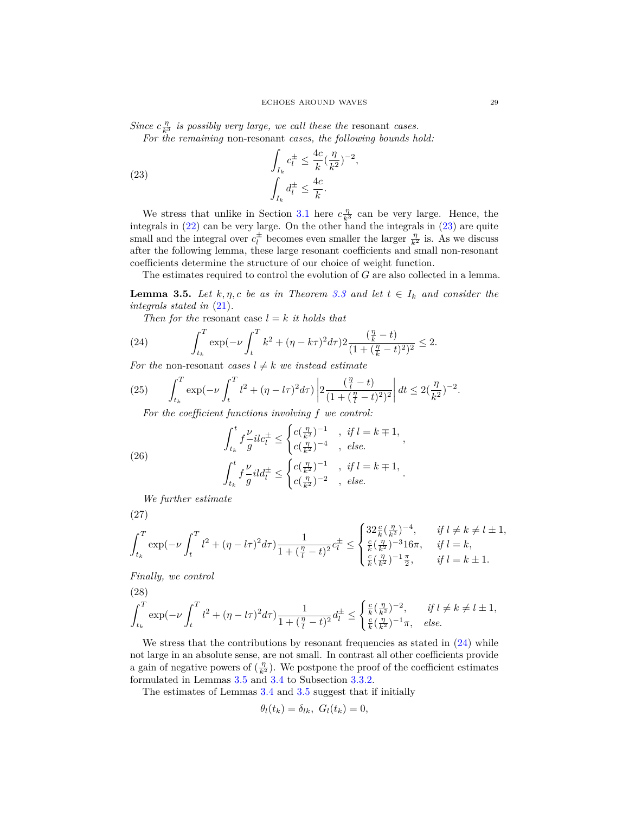*Since*  $c \frac{\eta}{k^3}$  *is possibly very large, we call these the* resonant *cases.* 

*For the remaining* non-resonant *cases, the following bounds hold:*

<span id="page-28-0"></span>(23) 
$$
\int_{I_k} c_l^{\pm} \leq \frac{4c}{k} (\frac{\eta}{k^2})^{-2},
$$

$$
\int_{I_k} d_l^{\pm} \leq \frac{4c}{k}.
$$

We stress that unlike in Section [3.1](#page-17-0) here  $c_{\overline{k}3}^{\eta}$  can be very large. Hence, the integrals in [\(22\)](#page-27-0) can be very large. On the other hand the integrals in [\(23\)](#page-28-0) are quite small and the integral over  $c_l^{\pm}$  becomes even smaller the larger  $\frac{\eta}{k^2}$  is. As we discuss after the following lemma, these large resonant coefficients and small non-resonant coefficients determine the structure of our choice of weight function.

The estimates required to control the evolution of *G* are also collected in a lemma.

<span id="page-28-2"></span>**Lemma 3.5.** *Let*  $k, \eta, c$  *be as in Theorem [3.3](#page-25-1) and let*  $t \in I_k$  *and consider the integrals stated in* [\(21\)](#page-27-1)*.*

*Then for the* resonant case  $l = k$  *it holds that* 

<span id="page-28-1"></span>(24) 
$$
\int_{t_k}^{T} \exp(-\nu \int_{t}^{T} k^2 + (\eta - k\tau)^2 d\tau) 2 \frac{\left(\frac{\eta}{k} - t\right)}{(1 + \left(\frac{\eta}{k} - t\right)^2)^2} \leq 2.
$$

*For the* non-resonant *cases*  $l \neq k$  *we instead estimate* 

<span id="page-28-6"></span>(25) 
$$
\int_{t_k}^{T} \exp(-\nu \int_{t}^{T} l^2 + (\eta - l\tau)^2 d\tau) \left| 2 \frac{(\frac{\eta}{l} - t)}{(1 + (\frac{\eta}{l} - t)^2)^2} \right| dt \leq 2(\frac{\eta}{k^2})^{-2}.
$$

*For the coefficient functions involving f we control:*

<span id="page-28-3"></span>(26) 
$$
\int_{t_k}^{t} f \frac{\nu}{g} i l c_l^{\pm} \leq \begin{cases} c(\frac{\eta}{k^2})^{-1} & , \text{ if } l = k \mp 1, \\ c(\frac{\eta}{k^2})^{-4} & , \text{ else.} \end{cases}
$$

$$
\int_{t_k}^{t} f \frac{\nu}{g} i l d_l^{\pm} \leq \begin{cases} c(\frac{\eta}{k^2})^{-1} & , \text{ if } l = k \mp 1, \\ c(\frac{\eta}{k^2})^{-2} & , \text{ else.} \end{cases}
$$

*We further estimate*

<span id="page-28-4"></span>
$$
(27)
$$

$$
\int_{t_k}^{T} \exp(-\nu \int_t^T l^2 + (\eta - l\tau)^2 d\tau) \frac{1}{1 + (\frac{\eta}{l} - t)^2} c_l^{\pm} \le \begin{cases} 32 \frac{c}{k} (\frac{\eta}{k^2})^{-4}, & \text{if } l \neq k \neq l \pm 1, \\ \frac{c}{k} (\frac{\eta}{k^2})^{-3} 16\pi, & \text{if } l = k, \\ \frac{c}{k} (\frac{\eta}{k^2})^{-1} \frac{\pi}{2}, & \text{if } l = k \pm 1. \end{cases}
$$

<span id="page-28-5"></span>*Finally, we control*

(28)  

$$
\int_{t_k}^{T} \exp(-\nu \int_{t}^{T} l^2 + (\eta - l\tau)^2 d\tau) \frac{1}{1 + (\frac{\eta}{l} - t)^2} d\tau \leq \begin{cases} \frac{c}{k} (\frac{\eta}{k^2})^{-2}, & \text{if } l \neq k \neq l \pm 1, \\ \frac{c}{k} (\frac{\eta}{k^2})^{-1} \pi, & \text{else.} \end{cases}
$$

We stress that the contributions by resonant frequencies as stated in  $(24)$  while not large in an absolute sense, are not small. In contrast all other coefficients provide a gain of negative powers of  $(\frac{\eta}{k^2})$ . We postpone the proof of the coefficient estimates formulated in Lemmas [3.5](#page-28-2) and [3.4](#page-27-2) to Subsection [3.3.2.](#page-38-0)

The estimates of Lemmas [3.4](#page-27-2) and [3.5](#page-28-2) suggest that if initially

$$
\theta_l(t_k) = \delta_{lk}, \ G_l(t_k) = 0,
$$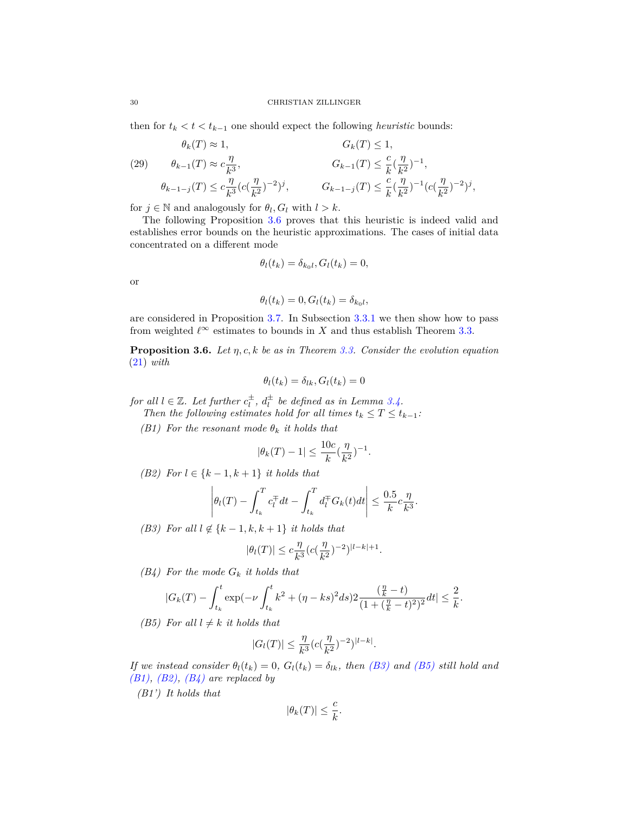then for  $t_k < t < t_{k-1}$  one should expect the following *heuristic* bounds:

<span id="page-29-6"></span>(29) 
$$
\theta_k(T) \approx 1,
$$
  $G_k(T) \le 1,$   
\n $\theta_{k-1}(T) \approx c \frac{\eta}{k^3},$   $G_{k-1}(T) \le \frac{c}{k} (\frac{\eta}{k^2})^{-1},$   
\n $\theta_{k-1-j}(T) \le c \frac{\eta}{k^3} (c(\frac{\eta}{k^2})^{-2})^j,$   $G_{k-1-j}(T) \le \frac{c}{k} (\frac{\eta}{k^2})^{-1} (c(\frac{\eta}{k^2})^{-2})^j,$ 

for  $j \in \mathbb{N}$  and analogously for  $\theta_l$ ,  $G_l$  with  $l > k$ .

The following Proposition [3.6](#page-29-0) proves that this heuristic is indeed valid and establishes error bounds on the heuristic approximations. The cases of initial data concentrated on a different mode

$$
\theta_l(t_k) = \delta_{k_0l}, G_l(t_k) = 0,
$$

or

$$
\theta_l(t_k) = 0, G_l(t_k) = \delta_{k_0l},
$$

are considered in Proposition [3.7.](#page-35-0) In Subsection [3.3.1](#page-36-0) we then show how to pass from weighted  $\ell^{\infty}$  estimates to bounds in *X* and thus establish Theorem [3.3.](#page-25-1)

<span id="page-29-0"></span>**Proposition 3.6.** *Let η, c, k be as in Theorem [3.3.](#page-25-1) Consider the evolution equation* [\(21\)](#page-27-1) *with*

$$
\theta_l(t_k) = \delta_{lk}, G_l(t_k) = 0
$$

*for all*  $l \in \mathbb{Z}$ *. Let further*  $c_l^{\pm}$ *,*  $d_l^{\pm}$  *be defined as in Lemma [3.4.](#page-27-2)* 

*Then the following estimates hold for all times*  $t_k \leq T \leq t_{k-1}$ *:* 

<span id="page-29-3"></span>*(B1)* For the resonant mode  $\theta_k$  *it holds that* 

$$
|\theta_k(T) - 1| \le \frac{10c}{k} (\frac{\eta}{k^2})^{-1}.
$$

<span id="page-29-4"></span>*(B2) For*  $l \in \{k-1, k+1\}$  *it holds that* 

$$
\left|\theta_l(T) - \int_{t_k}^T c_l^{\pm} dt - \int_{t_k}^T d_l^{\pm} G_k(t) dt\right| \leq \frac{0.5}{k} c \frac{\eta}{k^3}.
$$

<span id="page-29-1"></span>*(B3)* For all  $l \notin \{k-1, k, k+1\}$  *it holds that* 

$$
|\theta_l(T)| \le c \frac{\eta}{k^3} (c(\frac{\eta}{k^2})^{-2})^{|l-k|+1}.
$$

<span id="page-29-5"></span>*(B4) For the mode G<sup>k</sup> it holds that*

$$
|G_k(T) - \int_{t_k}^t \exp(-\nu \int_{t_k}^t k^2 + (\eta - ks)^2 ds) 2 \frac{(\frac{\eta}{k} - t)}{(1 + (\frac{\eta}{k} - t)^2)^2} dt| \leq \frac{2}{k}.
$$

<span id="page-29-2"></span>*(B5)* For all  $l \neq k$  *it holds that* 

$$
|G_l(T)| \leq \frac{\eta}{k^3} (c(\frac{\eta}{k^2})^{-2})^{|l-k|}.
$$

*If we instead consider*  $\theta_l(t_k) = 0$ ,  $G_l(t_k) = \delta_{lk}$ , then [\(B3\)](#page-29-1) and [\(B5\)](#page-29-2) still hold and *[\(B1\),](#page-29-3) [\(B2\),](#page-29-4) [\(B4\)](#page-29-5) are replaced by*

*(B1') It holds that*

$$
|\theta_k(T)| \leq \frac{c}{k}.
$$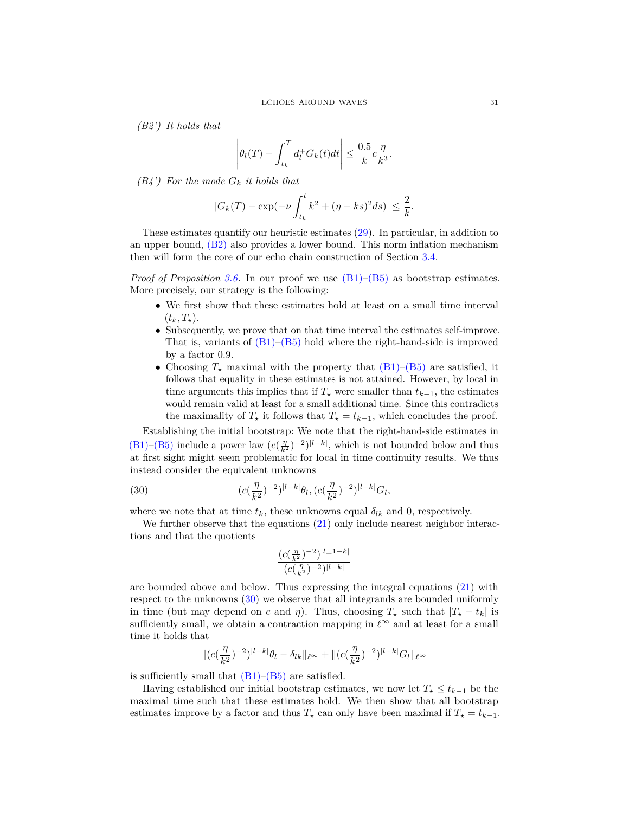*(B2') It holds that*

$$
\left| \theta_l(T) - \int_{t_k}^T d_l^{\top} G_k(t) dt \right| \leq \frac{0.5}{k} c \frac{\eta}{k^3}.
$$

*(B4') For the mode G<sup>k</sup> it holds that*

$$
|G_k(T) - \exp(-\nu \int_{t_k}^t k^2 + (\eta - ks)^2 ds)| \le \frac{2}{k}.
$$

These estimates quantify our heuristic estimates [\(29\)](#page-29-6). In particular, in addition to an upper bound, [\(B2\)](#page-29-4) also provides a lower bound. This norm inflation mechanism then will form the core of our echo chain construction of Section [3.4.](#page-41-0)

*Proof of Proposition* [3.6.](#page-29-0) In our proof we use  $(B1)$ – $(B5)$  as bootstrap estimates. More precisely, our strategy is the following:

- We first show that these estimates hold at least on a small time interval  $(t_k, T_*)$ .
- Subsequently, we prove that on that time interval the estimates self-improve. That is, variants of  $(B1)$ – $(B5)$  hold where the right-hand-side is improved by a factor 0*.*9.
- Choosing  $T_{\star}$  maximal with the property that  $(B1)$ – $(B5)$  are satisfied, it follows that equality in these estimates is not attained. However, by local in time arguments this implies that if  $T^2$  were smaller than  $t_{k-1}$ , the estimates would remain valid at least for a small additional time. Since this contradicts the maximality of  $T^*$  it follows that  $T^* = t_{k-1}$ , which concludes the proof.

Establishing the initial bootstrap: We note that the right-hand-side estimates in [\(B1\)–](#page-29-3)[\(B5\)](#page-29-2) include a power law  $(c(\frac{\eta}{k^2})^{-2})^{|l-k|}$ , which is not bounded below and thus at first sight might seem problematic for local in time continuity results. We thus instead consider the equivalent unknowns

<span id="page-30-0"></span>(30) 
$$
(c(\frac{\eta}{k^2})^{-2})^{|l-k|}\theta_l, (c(\frac{\eta}{k^2})^{-2})^{|l-k|}G_l,
$$

where we note that at time  $t_k$ , these unknowns equal  $\delta_{lk}$  and 0, respectively.

We further observe that the equations  $(21)$  only include nearest neighbor interactions and that the quotients

$$
\frac{(c(\frac{\eta}{k^2})^{-2})^{|l\pm 1-k|}}{(c(\frac{\eta}{k^2})^{-2})^{|l-k|}}
$$

are bounded above and below. Thus expressing the integral equations [\(21\)](#page-27-1) with respect to the unknowns [\(30\)](#page-30-0) we observe that all integrands are bounded uniformly in time (but may depend on *c* and *η*). Thus, choosing  $T_{\star}$  such that  $|T_{\star} - t_k|$  is sufficiently small, we obtain a contraction mapping in  $\ell^{\infty}$  and at least for a small time it holds that

$$
\|(c(\frac{\eta}{k^2})^{-2})^{|l-k|}\theta_l-\delta_{lk}\|_{\ell^\infty}+\|(c(\frac{\eta}{k^2})^{-2})^{|l-k|}G_l\|_{\ell^\infty}
$$

is sufficiently small that  $(B1)$ – $(B5)$  are satisfied.

Having established our initial bootstrap estimates, we now let  $T_{\star} \leq t_{k-1}$  be the maximal time such that these estimates hold. We then show that all bootstrap estimates improve by a factor and thus  $T_{\star}$  can only have been maximal if  $T_{\star} = t_{k-1}$ .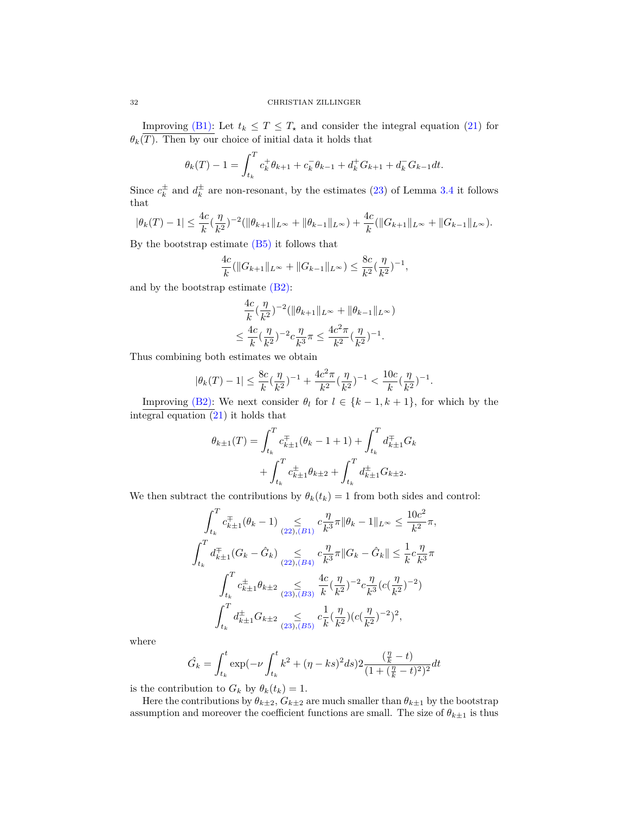Improving [\(B1\):](#page-29-3) Let  $t_k \leq T \leq T_{\star}$  and consider the integral equation [\(21\)](#page-27-1) for  $\theta_k(\overline{T})$ . Then by our choice of initial data it holds that

$$
\theta_k(T) - 1 = \int_{t_k}^T c_k^+ \theta_{k+1} + c_k^- \theta_{k-1} + d_k^+ G_{k+1} + d_k^- G_{k-1} dt.
$$

Since  $c_k^{\pm}$  and  $d_k^{\pm}$  are non-resonant, by the estimates [\(23\)](#page-28-0) of Lemma [3.4](#page-27-2) it follows that

$$
|\theta_k(T)-1| \leq \frac{4c}{k}(\frac{\eta}{k^2})^{-2}(\|\theta_{k+1}\|_{L^\infty} + \|\theta_{k-1}\|_{L^\infty}) + \frac{4c}{k}(\|G_{k+1}\|_{L^\infty} + \|G_{k-1}\|_{L^\infty}).
$$

By the bootstrap estimate [\(B5\)](#page-29-2) it follows that

$$
\frac{4c}{k}(\|G_{k+1}\|_{L^{\infty}} + \|G_{k-1}\|_{L^{\infty}}) \le \frac{8c}{k^2}(\frac{\eta}{k^2})^{-1},
$$

and by the bootstrap estimate [\(B2\):](#page-29-4)

$$
\frac{4c}{k}(\frac{\eta}{k^2})^{-2}(\|\theta_{k+1}\|_{L^\infty} + \|\theta_{k-1}\|_{L^\infty})
$$
  

$$
\leq \frac{4c}{k}(\frac{\eta}{k^2})^{-2}c\frac{\eta}{k^3}\pi \leq \frac{4c^2\pi}{k^2}(\frac{\eta}{k^2})^{-1}.
$$

Thus combining both estimates we obtain

$$
|\theta_k(T)-1| \le \frac{8c}{k}(\frac{\eta}{k^2})^{-1} + \frac{4c^2\pi}{k^2}(\frac{\eta}{k^2})^{-1} < \frac{10c}{k}(\frac{\eta}{k^2})^{-1}.
$$

Improving [\(B2\):](#page-29-4) We next consider  $\theta_l$  for  $l \in \{k-1, k+1\}$ , for which by the integral equation [\(21\)](#page-27-1) it holds that

$$
\theta_{k\pm 1}(T) = \int_{t_k}^T c_{k\pm 1}^{\mp}(\theta_k - 1 + 1) + \int_{t_k}^T d_{k\pm 1}^{\mp} G_k + \int_{t_k}^T c_{k\pm 1}^{\pm} \theta_{k\pm 2} + \int_{t_k}^T d_{k\pm 1}^{\pm} G_{k\pm 2}.
$$

We then subtract the contributions by  $\theta_k(t_k) = 1$  from both sides and control:

$$
\int_{t_k}^{T} c_{k+1}^{+}(\theta_k - 1) \sum_{(22),(B1)} c_{\overline{k}3}^{1} \pi \|\theta_k - 1\|_{L^{\infty}} \le \frac{10c^2}{k^2} \pi,
$$
  

$$
\int_{t_k}^{T} d_{k+1}^{+}(G_k - \hat{G}_k) \sum_{(22),(B4)} c_{\overline{k}3}^{1} \pi \|G_k - \hat{G}_k\| \le \frac{1}{k} c_{\overline{k}3}^{1} \pi
$$
  

$$
\int_{t_k}^{T} c_{k+1}^{+} \theta_{k+2} \sum_{(23),(B3)} \frac{4c}{k} (\frac{\eta}{k^2})^{-2} c_{\overline{k}3}^{1} (c(\frac{\eta}{k^2})^{-2})
$$
  

$$
\int_{t_k}^{T} d_{k+1}^{+} G_{k+2} \sum_{(23),(B5)} c_{\overline{k}}^{1} (\frac{\eta}{k^2}) (c(\frac{\eta}{k^2})^{-2})^{2},
$$

where

$$
\hat{G}_k = \int_{t_k}^t \exp(-\nu \int_{t_k}^t k^2 + (\eta - ks)^2 ds) 2 \frac{(\frac{\eta}{k} - t)}{(1 + (\frac{\eta}{k} - t)^2)^2} dt
$$

is the contribution to  $G_k$  by  $\theta_k(t_k) = 1$ .

Here the contributions by  $\theta_{k\pm 2}$ ,  $G_{k\pm 2}$  are much smaller than  $\theta_{k\pm 1}$  by the bootstrap assumption and moreover the coefficient functions are small. The size of  $\theta_{k\pm 1}$  is thus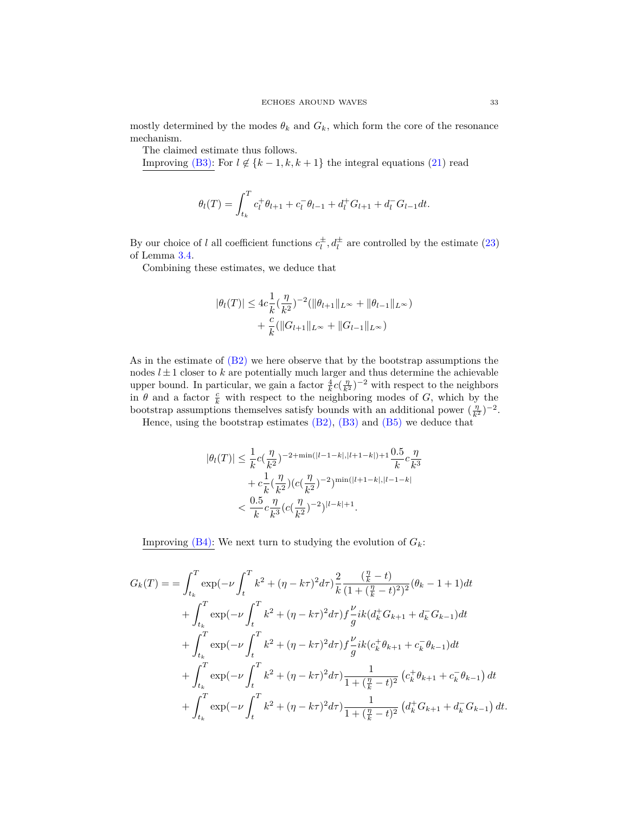mostly determined by the modes  $\theta_k$  and  $G_k$ , which form the core of the resonance mechanism.

The claimed estimate thus follows.

Improving [\(B3\):](#page-29-1) For  $l \notin \{k-1, k, k+1\}$  the integral equations [\(21\)](#page-27-1) read

$$
\theta_l(T) = \int_{t_k}^T c_l^+ \theta_{l+1} + c_l^- \theta_{l-1} + d_l^+ G_{l+1} + d_l^- G_{l-1} dt.
$$

By our choice of *l* all coefficient functions  $c_l^{\pm}$ ,  $d_l^{\pm}$  are controlled by the estimate [\(23\)](#page-28-0) of Lemma [3.4.](#page-27-2)

Combining these estimates, we deduce that

$$
|\theta_l(T)| \le 4c \frac{1}{k} (\frac{\eta}{k^2})^{-2} (\|\theta_{l+1}\|_{L^\infty} + \|\theta_{l-1}\|_{L^\infty})
$$
  
+  $\frac{c}{k} (\|G_{l+1}\|_{L^\infty} + \|G_{l-1}\|_{L^\infty})$ 

As in the estimate of [\(B2\)](#page-29-4) we here observe that by the bootstrap assumptions the nodes  $l \pm 1$  closer to  $k$  are potentially much larger and thus determine the achievable upper bound. In particular, we gain a factor  $\frac{4}{k}c(\frac{\eta}{k^2})^{-2}$  with respect to the neighbors in  $\theta$  and a factor  $\frac{c}{k}$  with respect to the neighboring modes of *G*, which by the bootstrap assumptions themselves satisfy bounds with an additional power  $(\frac{\eta}{k^2})^{-2}$ .

Hence, using the bootstrap estimates  $(B2)$ ,  $(B3)$  and  $(B5)$  we deduce that

$$
|\theta_l(T)| \leq \frac{1}{k}c(\frac{\eta}{k^2})^{-2+\min(|l-1-k|,|l+1-k|)+1}\frac{0.5}{k}c\frac{\eta}{k^3} + c\frac{1}{k}(\frac{\eta}{k^2})(c(\frac{\eta}{k^2})^{-2})^{\min(|l+1-k|,|l-1-k|)} < \frac{0.5}{k}c\frac{\eta}{k^3}(c(\frac{\eta}{k^2})^{-2})^{|l-k|+1}.
$$

Improving  $(B4)$ : We next turn to studying the evolution of  $G_k$ :

$$
G_k(T) = \int_{t_k}^T \exp(-\nu \int_t^T k^2 + (\eta - k\tau)^2 d\tau) \frac{2}{k} \frac{(\frac{\eta}{k} - t)}{(1 + (\frac{\eta}{k} - t)^2)^2} (\theta_k - 1 + 1) dt + \int_{t_k}^T \exp(-\nu \int_t^T k^2 + (\eta - k\tau)^2 d\tau) f \frac{\nu}{g} ik (d_k^+ G_{k+1} + d_k^- G_{k-1}) dt + \int_{t_k}^T \exp(-\nu \int_t^T k^2 + (\eta - k\tau)^2 d\tau) f \frac{\nu}{g} ik (c_k^+ \theta_{k+1} + c_k^- \theta_{k-1}) dt + \int_{t_k}^T \exp(-\nu \int_t^T k^2 + (\eta - k\tau)^2 d\tau) \frac{1}{1 + (\frac{\eta}{k} - t)^2} (c_k^+ \theta_{k+1} + c_k^- \theta_{k-1}) dt + \int_{t_k}^T \exp(-\nu \int_t^T k^2 + (\eta - k\tau)^2 d\tau) \frac{1}{1 + (\frac{\eta}{k} - t)^2} (d_k^+ G_{k+1} + d_k^- G_{k-1}) dt.
$$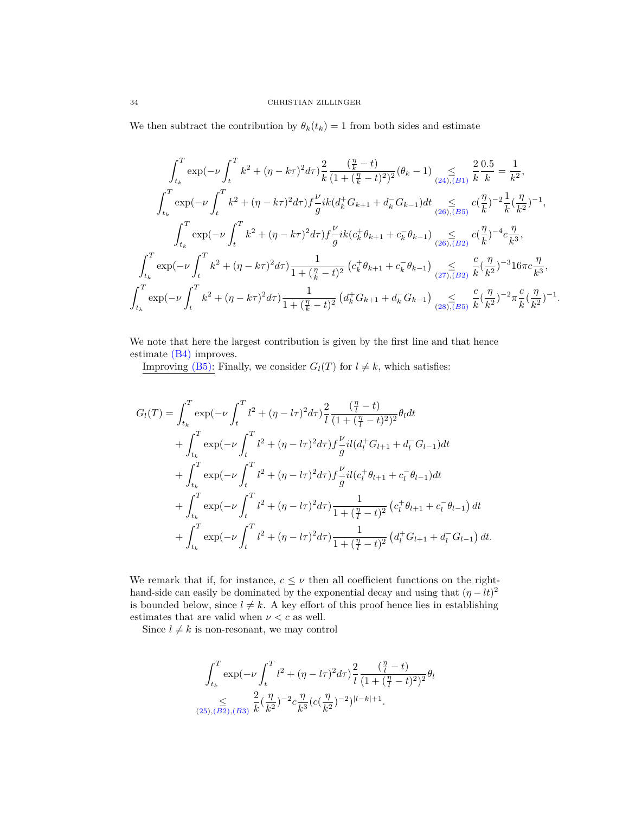We then subtract the contribution by  $\theta_k(t_k) = 1$  from both sides and estimate

$$
\int_{t_k}^{T} \exp(-\nu \int_{t}^{T} k^2 + (\eta - k\tau)^2 d\tau) \frac{2}{k} \frac{(\frac{\eta}{k} - t)}{(1 + (\frac{\eta}{k} - t)^2)^2} (\theta_k - 1) \sum_{(24), (B1)} \frac{2}{k} \frac{0.5}{k} = \frac{1}{k^2},
$$
  

$$
\int_{t_k}^{T} \exp(-\nu \int_{t}^{T} k^2 + (\eta - k\tau)^2 d\tau) f \frac{\nu}{g} ik (d_k^+ G_{k+1} + d_k^- G_{k-1}) dt \sum_{(26), (B5)} c(\frac{\eta}{k})^{-2} \frac{1}{k} (\frac{\eta}{k^2})^{-1},
$$
  

$$
\int_{t_k}^{T} \exp(-\nu \int_{t}^{T} k^2 + (\eta - k\tau)^2 d\tau) f \frac{\nu}{g} ik (c_k^+ \theta_{k+1} + c_k^- \theta_{k-1}) \sum_{(26), (B2)} c(\frac{\eta}{k})^{-4} c \frac{\eta}{k^3},
$$
  

$$
\int_{t_k}^{T} \exp(-\nu \int_{t}^{T} k^2 + (\eta - k\tau)^2 d\tau) \frac{1}{1 + (\frac{\eta}{k} - t)^2} (c_k^+ \theta_{k+1} + c_k^- \theta_{k-1}) \sum_{(27), (B2)} \frac{c}{k} (\frac{\eta}{k^2})^{-3} 16\pi c \frac{\eta}{k^3},
$$
  

$$
\int_{t_k}^{T} \exp(-\nu \int_{t}^{T} k^2 + (\eta - k\tau)^2 d\tau) \frac{1}{1 + (\frac{\eta}{k} - t)^2} (d_k^+ G_{k+1} + d_k^- G_{k-1}) \sum_{(28), (B5)} \frac{c}{k} (\frac{\eta}{k^2})^{-2} \pi \frac{c}{k} (\frac{\eta}{k^2})^{-1}.
$$

We note that here the largest contribution is given by the first line and that hence estimate [\(B4\)](#page-29-5) improves.

Improving [\(B5\):](#page-29-2) Finally, we consider  $G_l(T)$  for  $l \neq k$ , which satisfies:

$$
G_{l}(T) = \int_{t_{k}}^{T} \exp(-\nu \int_{t}^{T} l^{2} + (\eta - l\tau)^{2} d\tau) \frac{2}{l} \frac{(\frac{\eta}{l} - t)}{(1 + (\frac{\eta}{l} - t)^{2})^{2}} \theta_{l} dt
$$
  
+ 
$$
\int_{t_{k}}^{T} \exp(-\nu \int_{t}^{T} l^{2} + (\eta - l\tau)^{2} d\tau) f \frac{\nu}{g} i l (d_{l}^{+} G_{l+1} + d_{l}^{-} G_{l-1}) dt
$$
  
+ 
$$
\int_{t_{k}}^{T} \exp(-\nu \int_{t}^{T} l^{2} + (\eta - l\tau)^{2} d\tau) f \frac{\nu}{g} i l (c_{l}^{+} \theta_{l+1} + c_{l}^{-} \theta_{l-1}) dt
$$
  
+ 
$$
\int_{t_{k}}^{T} \exp(-\nu \int_{t}^{T} l^{2} + (\eta - l\tau)^{2} d\tau) \frac{1}{1 + (\frac{\eta}{l} - t)^{2}} (c_{l}^{+} \theta_{l+1} + c_{l}^{-} \theta_{l-1}) dt
$$
  
+ 
$$
\int_{t_{k}}^{T} \exp(-\nu \int_{t}^{T} l^{2} + (\eta - l\tau)^{2} d\tau) \frac{1}{1 + (\frac{\eta}{l} - t)^{2}} (d_{l}^{+} G_{l+1} + d_{l}^{-} G_{l-1}) dt.
$$

We remark that if, for instance,  $c \leq \nu$  then all coefficient functions on the righthand-side can easily be dominated by the exponential decay and using that  $(\eta - lt)^2$ is bounded below, since  $l \neq k$ . A key effort of this proof hence lies in establishing estimates that are valid when  $\nu < c$  as well.

Since  $l \neq k$  is non-resonant, we may control

$$
\int_{t_k}^{T} \exp(-\nu \int_{t}^{T} l^2 + (\eta - l\tau)^2 d\tau) \frac{2}{l} \frac{(\frac{\eta}{l} - t)}{(1 + (\frac{\eta}{l} - t)^2)^2} \theta_l
$$
  

$$
\leq \sum_{(25),(B2),(B3)} \frac{2}{k} (\frac{\eta}{k^2})^{-2} c \frac{\eta}{k^3} (c(\frac{\eta}{k^2})^{-2})^{|l - k| + 1}.
$$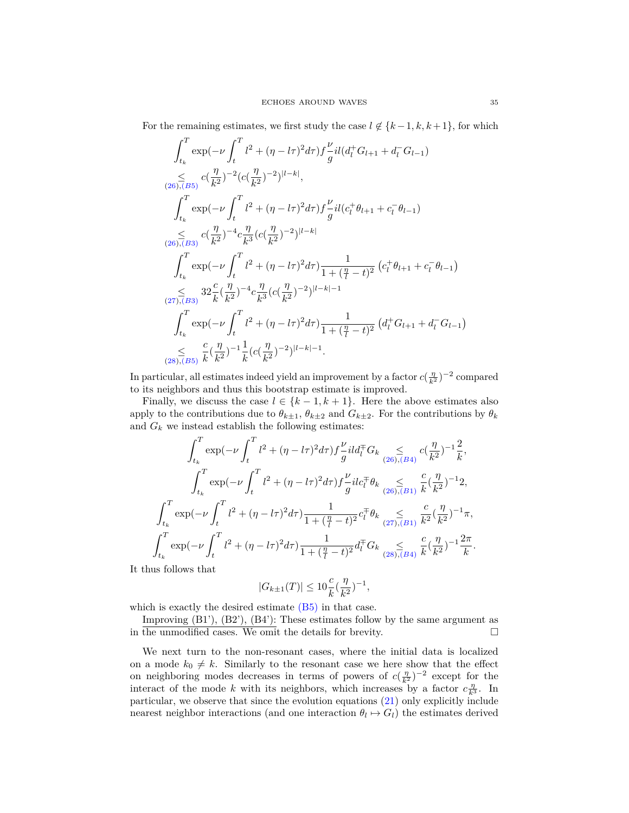For the remaining estimates, we first study the case  $l \notin \{k-1, k, k+1\}$ , for which

$$
\int_{t_k}^{T} \exp(-\nu \int_{t}^{T} l^2 + (\eta - l\tau)^2 d\tau) f \frac{\nu}{g} i l (d_l^+ G_{l+1} + d_l^- G_{l-1})
$$
\n
$$
\leq c (\frac{\eta}{k^2})^{-2} (c (\frac{\eta}{k^2})^{-2})^{|l-k|},
$$
\n
$$
\int_{t_k}^{T} \exp(-\nu \int_{t}^{T} l^2 + (\eta - l\tau)^2 d\tau) f \frac{\nu}{g} i l (c_l^+ \theta_{l+1} + c_l^- \theta_{l-1})
$$
\n
$$
\leq c (\frac{\eta}{k^2})^{-4} c \frac{\eta}{k^3} (c (\frac{\eta}{k^2})^{-2})^{|l-k|}
$$
\n
$$
\int_{t_k}^{T} \exp(-\nu \int_{t}^{T} l^2 + (\eta - l\tau)^2 d\tau) \frac{1}{1 + (\frac{\eta}{l} - t)^2} (c_l^+ \theta_{l+1} + c_l^- \theta_{l-1})
$$
\n
$$
\leq 32 \frac{c}{k} (\frac{\eta}{k^2})^{-4} c \frac{\eta}{k^3} (c (\frac{\eta}{k^2})^{-2})^{|l-k|-1}
$$
\n
$$
\int_{t_k}^{T} \exp(-\nu \int_{t}^{T} l^2 + (\eta - l\tau)^2 d\tau) \frac{1}{1 + (\frac{\eta}{l} - t)^2} (d_l^+ G_{l+1} + d_l^- G_{l-1})
$$
\n
$$
\leq \frac{c}{2k^3} (\frac{\eta}{k^2})^{-1} \frac{1}{k} (c (\frac{\eta}{k^2})^{-2})^{|l-k|-1}.
$$

In particular, all estimates indeed yield an improvement by a factor  $c(\frac{\eta}{k^2})^{-2}$  compared to its neighbors and thus this bootstrap estimate is improved.

Finally, we discuss the case  $l \in \{k-1, k+1\}$ . Here the above estimates also apply to the contributions due to  $\theta_{k\pm 1}$ ,  $\theta_{k\pm 2}$  and  $G_{k\pm 2}$ . For the contributions by  $\theta_k$ and  $G_k$  we instead establish the following estimates:

$$
\int_{t_k}^{T} \exp(-\nu \int_{t}^{T} l^2 + (\eta - l\tau)^2 d\tau) f \frac{\nu}{g} i l d_{l}^{\top} G_k \leq \frac{c(\frac{\eta}{k^2})^{-1} \frac{2}{k}}{(26),(B4)} c(\frac{\eta}{k^2})^{-1} \frac{2}{k},
$$
  

$$
\int_{t_k}^{T} \exp(-\nu \int_{t}^{T} l^2 + (\eta - l\tau)^2 d\tau) f \frac{\nu}{g} i l c_{l}^{\top} \theta_k \leq \frac{c}{(26),(B1)} \frac{c}{k} (\frac{\eta}{k^2})^{-1} 2,
$$
  

$$
\int_{t_k}^{T} \exp(-\nu \int_{t}^{T} l^2 + (\eta - l\tau)^2 d\tau) \frac{1}{1 + (\frac{\eta}{l} - t)^2} c_{l}^{\top} \theta_k \leq \frac{c}{(27),(B1)} \frac{c}{k^2} (\frac{\eta}{k^2})^{-1} \pi,
$$
  

$$
\int_{t_k}^{T} \exp(-\nu \int_{t}^{T} l^2 + (\eta - l\tau)^2 d\tau) \frac{1}{1 + (\frac{\eta}{l} - t)^2} d_{l}^{\top} G_k \leq \frac{c}{(28),(B4)} \frac{\eta}{k} (\frac{\eta}{k^2})^{-1} \frac{2\pi}{k}.
$$

It thus follows that

$$
|G_{k\pm 1}(T)| \leq 10\frac{c}{k}(\frac{\eta}{k^2})^{-1},
$$

which is exactly the desired estimate  $(B5)$  in that case.

Improving  $(B1')$ ,  $(B2')$ ,  $(B4')$ : These estimates follow by the same argument as in the unmodified cases. We omit the details for brevity.  $\Box$ 

We next turn to the non-resonant cases, where the initial data is localized on a mode  $k_0 \neq k$ . Similarly to the resonant case we here show that the effect on neighboring modes decreases in terms of powers of  $c(\frac{\eta}{k^2})^{-2}$  except for the interact of the mode *k* with its neighbors, which increases by a factor  $c_{\overline{k}}^{\eta}$ . In particular, we observe that since the evolution equations [\(21\)](#page-27-1) only explicitly include nearest neighbor interactions (and one interaction  $\theta_l \mapsto G_l$ ) the estimates derived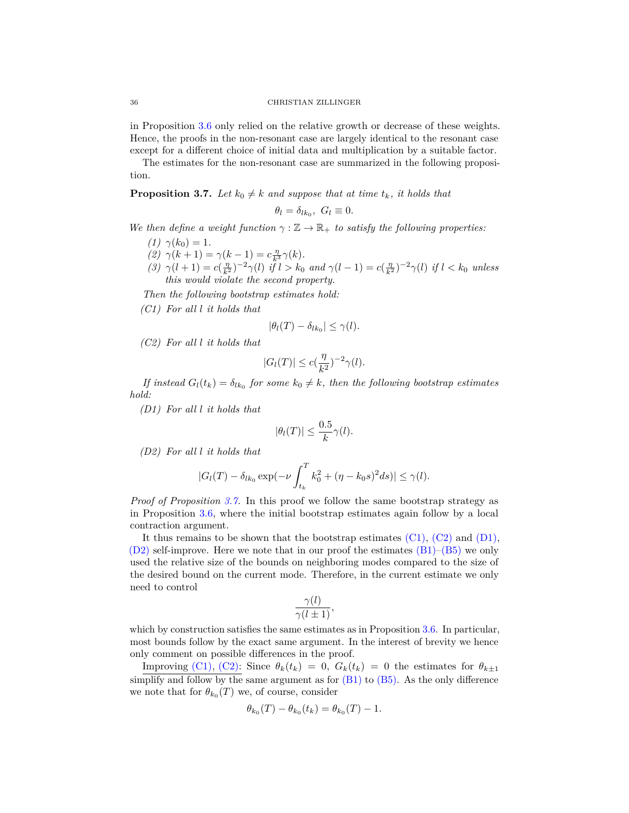#### 36 CHRISTIAN ZILLINGER

in Proposition [3.6](#page-29-0) only relied on the relative growth or decrease of these weights. Hence, the proofs in the non-resonant case are largely identical to the resonant case except for a different choice of initial data and multiplication by a suitable factor.

The estimates for the non-resonant case are summarized in the following proposition.

<span id="page-35-0"></span>**Proposition 3.7.** Let  $k_0 \neq k$  and suppose that at time  $t_k$ , it holds that

$$
\theta_l = \delta_{lk_0}, \ G_l \equiv 0.
$$

*We then define a weight function*  $\gamma : \mathbb{Z} \to \mathbb{R}_+$  *to satisfy the following properties:* 

- *(1)*  $\gamma(k_0) = 1$ .
- *(2)*  $\gamma(k+1) = \gamma(k-1) = c \frac{\eta}{k^3} \gamma(k)$ .
- (3)  $\gamma(l+1) = c(\frac{\eta}{k^2})^{-2} \gamma(l)$  if  $l > k_0$  and  $\gamma(l-1) = c(\frac{\eta}{k^2})^{-2} \gamma(l)$  if  $l < k_0$  unless *this would violate the second property.*

*Then the following bootstrap estimates hold:*

<span id="page-35-1"></span>*(C1) For all l it holds that*

$$
|\theta_l(T) - \delta_{lk_0}| \leq \gamma(l).
$$

<span id="page-35-2"></span>*(C2) For all l it holds that*

$$
|G_l(T)| \le c(\frac{\eta}{k^2})^{-2} \gamma(l).
$$

*If instead*  $G_l(t_k) = \delta_{lk_0}$  *for some*  $k_0 \neq k$ *, then the following bootstrap estimates hold:*

<span id="page-35-3"></span>*(D1) For all l it holds that*

$$
|\theta_l(T)| \le \frac{0.5}{k}\gamma(l).
$$

<span id="page-35-4"></span>*(D2) For all l it holds that*

$$
|G_l(T) - \delta_{lk_0} \exp(-\nu \int_{t_k}^T k_0^2 + (\eta - k_0 s)^2 ds)| \leq \gamma(l).
$$

*Proof of Proposition [3.7.](#page-35-0)* In this proof we follow the same bootstrap strategy as in Proposition [3.6,](#page-29-0) where the initial bootstrap estimates again follow by a local contraction argument.

It thus remains to be shown that the bootstrap estimates  $(C1)$ ,  $(C2)$  and  $(D1)$ ,  $(D2)$  self-improve. Here we note that in our proof the estimates  $(B1)$ – $(B5)$  we only used the relative size of the bounds on neighboring modes compared to the size of the desired bound on the current mode. Therefore, in the current estimate we only need to control

$$
\frac{\gamma(l)}{\gamma(l\pm 1)},
$$

which by construction satisfies the same estimates as in Proposition [3.6.](#page-29-0) In particular, most bounds follow by the exact same argument. In the interest of brevity we hence only comment on possible differences in the proof.

Improving [\(C1\),](#page-35-1) [\(C2\):](#page-35-2) Since  $\theta_k(t_k) = 0$ ,  $G_k(t_k) = 0$  the estimates for  $\theta_{k\pm 1}$ simplify and follow by the same argument as for  $(B1)$  to  $(B5)$ . As the only difference we note that for  $\theta_{k_0}(T)$  we, of course, consider

$$
\theta_{k_0}(T) - \theta_{k_0}(t_k) = \theta_{k_0}(T) - 1.
$$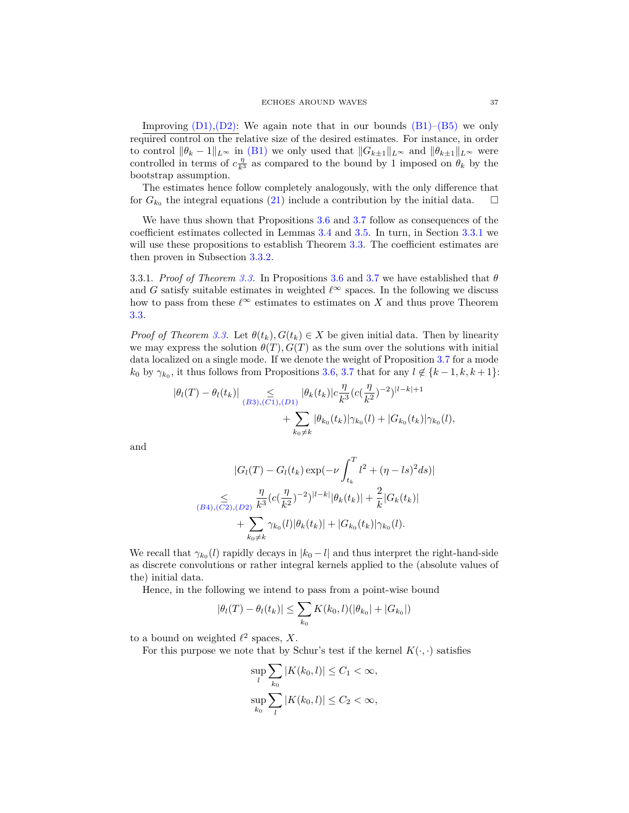Improving  $(D_1), (D_2)$ : We again note that in our bounds  $(B_1)$ – $(B_5)$  we only required control on the relative size of the desired estimates. For instance, in order to control  $\|\theta_k - 1\|_{L^\infty}$  in [\(B1\)](#page-29-3) we only used that  $\|G_{k\pm 1}\|_{L^\infty}$  and  $\|\theta_{k\pm 1}\|_{L^\infty}$  were controlled in terms of  $c_{\overline{k}3}^{\eta}$  as compared to the bound by 1 imposed on  $\theta_k$  by the bootstrap assumption.

The estimates hence follow completely analogously, with the only difference that for  $G_{k_0}$  the integral equations [\(21\)](#page-27-1) include a contribution by the initial data.  $\square$ 

We have thus shown that Propositions [3.6](#page-29-0) and [3.7](#page-35-0) follow as consequences of the coefficient estimates collected in Lemmas [3.4](#page-27-2) and [3.5.](#page-28-2) In turn, in Section [3.3.1](#page-36-0) we will use these propositions to establish Theorem [3.3.](#page-25-1) The coefficient estimates are then proven in Subsection [3.3.2.](#page-38-0)

<span id="page-36-0"></span>3.3.1. *Proof of Theorem [3.3.](#page-25-1)* In Propositions [3.6](#page-29-0) and [3.7](#page-35-0) we have established that *θ* and *G* satisfy suitable estimates in weighted  $\ell^{\infty}$  spaces. In the following we discuss how to pass from these  $\ell^{\infty}$  estimates to estimates on *X* and thus prove Theorem [3.3.](#page-25-1)

*Proof of Theorem [3.3.](#page-25-1)* Let  $\theta(t_k), G(t_k) \in X$  be given initial data. Then by linearity we may express the solution  $\theta(T)$ ,  $G(T)$  as the sum over the solutions with initial data localized on a single mode. If we denote the weight of Proposition [3.7](#page-35-0) for a mode  $k_0$  by  $\gamma_{k_0}$ , it thus follows from Propositions [3.6,](#page-29-0) [3.7](#page-35-0) that for any  $l \notin \{k-1, k, k+1\}$ :

$$
\begin{aligned} |\theta_l(T) - \theta_l(t_k)| &\leq \int_{(B3),(C1),(D1)} |\theta_k(t_k)| c \frac{\eta}{k^3} (c(\frac{\eta}{k^2})^{-2})^{|l-k|+1} \\ &+ \sum_{k_0 \neq k} |\theta_{k_0}(t_k)| \gamma_{k_0}(l) + |G_{k_0}(t_k)| \gamma_{k_0}(l), \end{aligned}
$$

and

$$
|G_{l}(T) - G_{l}(t_{k}) \exp(-\nu \int_{t_{k}}^{T} l^{2} + (\eta - ls)^{2} ds)|
$$
  

$$
\sum_{(B4), (\overline{C2}), (D2)} \frac{\eta}{k^{3}} (c(\frac{\eta}{k^{2}})^{-2})^{|l-k|} |\theta_{k}(t_{k})| + \frac{2}{k} |G_{k}(t_{k})|
$$
  

$$
+ \sum_{k_{0} \neq k} \gamma_{k_{0}}(l) |\theta_{k}(t_{k})| + |G_{k_{0}}(t_{k})| \gamma_{k_{0}}(l).
$$

We recall that  $\gamma_{k_0}(l)$  rapidly decays in  $|k_0 - l|$  and thus interpret the right-hand-side as discrete convolutions or rather integral kernels applied to the (absolute values of the) initial data.

Hence, in the following we intend to pass from a point-wise bound

$$
|\theta_l(T) - \theta_l(t_k)| \le \sum_{k_0} K(k_0, l)(|\theta_{k_0}| + |G_{k_0}|)
$$

to a bound on weighted  $\ell^2$  spaces, *X*.

For this purpose we note that by Schur's test if the kernel  $K(\cdot, \cdot)$  satisfies

$$
\sup_{l} \sum_{k_0} |K(k_0, l)| \le C_1 < \infty,
$$
  

$$
\sup_{k_0} \sum_{l} |K(k_0, l)| \le C_2 < \infty,
$$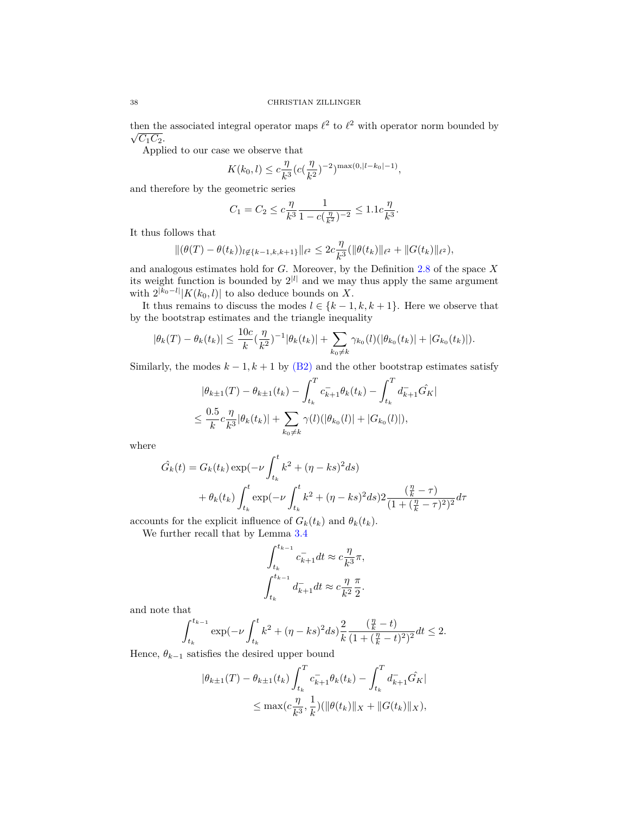then the associated integral operator maps  $\ell^2$  to  $\ell^2$  with operator norm bounded by  $\sqrt{C_1C_2}$ .

Applied to our case we observe that

$$
K(k_0, l) \le c \frac{\eta}{k^3} (c(\frac{\eta}{k^2})^{-2})^{\max(0, |l - k_0| - 1)},
$$

and therefore by the geometric series

$$
C_1 = C_2 \le c \frac{\eta}{k^3} \frac{1}{1 - c(\frac{\eta}{k^2})^{-2}} \le 1.1c \frac{\eta}{k^3}.
$$

It thus follows that

$$
\|(\theta(T)-\theta(t_k))_{l\in\{k-1,k,k+1\}}\|_{\ell^2}\leq 2c\frac{\eta}{k^3}(\|\theta(t_k)\|_{\ell^2}+\|G(t_k)\|_{\ell^2}),
$$

and analogous estimates hold for *G*. Moreover, by the Definition [2.8](#page-15-0) of the space *X* its weight function is bounded by  $2^{|l|}$  and we may thus apply the same argument with  $2^{|k_0 - l|} |K(k_0, l)|$  to also deduce bounds on X.

It thus remains to discuss the modes  $l \in \{k-1, k, k+1\}$ . Here we observe that by the bootstrap estimates and the triangle inequality

$$
|\theta_k(T) - \theta_k(t_k)| \leq \frac{10c}{k} (\frac{\eta}{k^2})^{-1} |\theta_k(t_k)| + \sum_{k_0 \neq k} \gamma_{k_0}(l) (|\theta_{k_0}(t_k)| + |G_{k_0}(t_k)|).
$$

Similarly, the modes  $k - 1$ ,  $k + 1$  by [\(B2\)](#page-29-4) and the other bootstrap estimates satisfy

$$
|\theta_{k\pm 1}(T) - \theta_{k\pm 1}(t_k) - \int_{t_k}^T c_{k+1}^- \theta_k(t_k) - \int_{t_k}^T d_{k+1}^- \hat{G}_K|
$$
  

$$
\leq \frac{0.5}{k} c \frac{\eta}{k^3} |\theta_k(t_k)| + \sum_{k_0 \neq k} \gamma(l) (|\theta_{k_0}(l)| + |G_{k_0}(l)|),
$$

where

$$
\hat{G}_k(t) = G_k(t_k) \exp(-\nu \int_{t_k}^t k^2 + (\eta - ks)^2 ds) \n+ \theta_k(t_k) \int_{t_k}^t \exp(-\nu \int_{t_k}^t k^2 + (\eta - ks)^2 ds) 2 \frac{(\frac{\eta}{k} - \tau)}{(1 + (\frac{\eta}{k} - \tau)^2)^2} d\tau
$$

accounts for the explicit influence of  $G_k(t_k)$  and  $\theta_k(t_k)$ .

We further recall that by Lemma [3.4](#page-27-2)

$$
\begin{split} \int_{t_k}^{t_{k-1}}c_{k+1}^-dt&\approx c\frac{\eta}{k^3}\pi,\\ \int_{t_k}^{t_{k-1}}d_{k+1}^-dt&\approx c\frac{\eta}{k^2}\frac{\pi}{2}. \end{split}
$$

and note that

$$
\int_{t_k}^{t_{k-1}} \exp(-\nu\int_{t_k}^t k^2 + (\eta - k s)^2 ds) \frac{2}{k} \frac{(\frac{\eta}{k} - t)}{(1 + (\frac{\eta}{k} - t)^2)^2} dt \leq 2.
$$

Hence,  $\theta_{k-1}$  satisfies the desired upper bound

$$
|\theta_{k\pm 1}(T) - \theta_{k\pm 1}(t_k) \int_{t_k}^T c_{k+1}^- \theta_k(t_k) - \int_{t_k}^T d_{k+1}^- \hat{G}_K|
$$
  

$$
\leq \max(c \frac{\eta}{k^3}, \frac{1}{k}) (\|\theta(t_k)\|_X + \|G(t_k)\|_X),
$$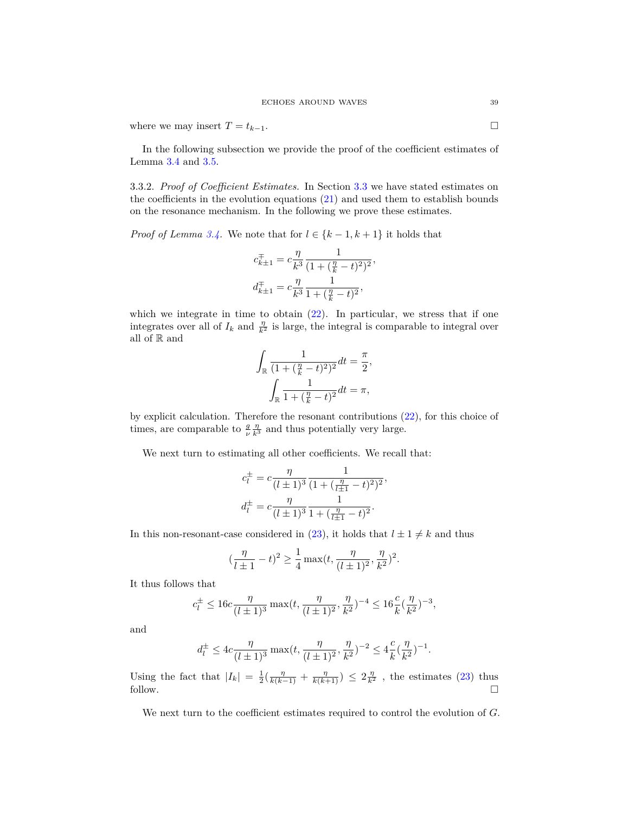where we may insert  $T = t_{k-1}$ .

In the following subsection we provide the proof of the coefficient estimates of Lemma [3.4](#page-27-2) and [3.5.](#page-28-2)

<span id="page-38-0"></span>3.3.2. *Proof of Coefficient Estimates.* In Section [3.3](#page-25-0) we have stated estimates on the coefficients in the evolution equations  $(21)$  and used them to establish bounds on the resonance mechanism. In the following we prove these estimates.

*Proof of Lemma [3.4.](#page-27-2)* We note that for  $l \in \{k-1, k+1\}$  it holds that

$$
\begin{split} c_{k\pm1}^\mp &= c\frac{\eta}{k^3}\frac{1}{(1+(\frac{\eta}{k}-t)^2)^2}\\ d_{k\pm1}^\mp &= c\frac{\eta}{k^3}\frac{1}{1+(\frac{\eta}{k}-t)^2}, \end{split}
$$

*,*

which we integrate in time to obtain  $(22)$ . In particular, we stress that if one integrates over all of  $I_k$  and  $\frac{\eta}{k^2}$  is large, the integral is comparable to integral over all of R and

$$
\int_{\mathbb{R}} \frac{1}{(1 + (\frac{\eta}{k} - t)^2)^2} dt = \frac{\pi}{2},
$$

$$
\int_{\mathbb{R}} \frac{1}{1 + (\frac{\eta}{k} - t)^2} dt = \pi,
$$

by explicit calculation. Therefore the resonant contributions [\(22\)](#page-27-0), for this choice of times, are comparable to  $\frac{g}{\nu} \frac{\eta}{k^3}$  and thus potentially very large.

We next turn to estimating all other coefficients. We recall that:

$$
c_l^{\pm} = c \frac{\eta}{(l \pm 1)^3} \frac{1}{(1 + (\frac{\eta}{l \pm 1} - t)^2)^2},
$$
  

$$
d_l^{\pm} = c \frac{\eta}{(l \pm 1)^3} \frac{1}{1 + (\frac{\eta}{l \pm 1} - t)^2}.
$$

In this non-resonant-case considered in [\(23\)](#page-28-0), it holds that  $l \pm 1 \neq k$  and thus

$$
(\frac{\eta}{l\pm 1}-t)^2\geq \frac{1}{4}\max(t,\frac{\eta}{(l\pm 1)^2},\frac{\eta}{k^2})^2.
$$

It thus follows that

$$
c_l^{\pm} \le 16c \frac{\eta}{(l \pm 1)^3} \max(t, \frac{\eta}{(l \pm 1)^2}, \frac{\eta}{k^2})^{-4} \le 16 \frac{c}{k} (\frac{\eta}{k^2})^{-3},
$$

and

$$
d_l^{\pm} \leq 4c \frac{\eta}{(l\pm 1)^3} \max(t, \frac{\eta}{(l\pm 1)^2}, \frac{\eta}{k^2})^{-2} \leq 4\frac{c}{k} (\frac{\eta}{k^2})^{-1}.
$$

Using the fact that  $|I_k| = \frac{1}{2}(\frac{\eta}{k(k-1)} + \frac{\eta}{k(k+1)}) \leq 2\frac{\eta}{k^2}$ , the estimates [\(23\)](#page-28-0) thus follow.  $\Box$ 

We next turn to the coefficient estimates required to control the evolution of *G*.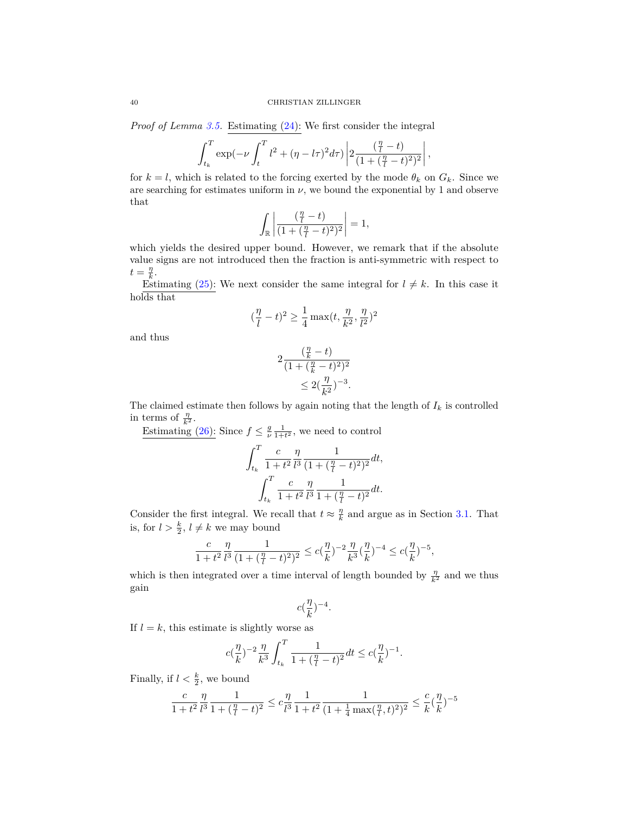*Proof of Lemma [3.5.](#page-28-2)* Estimating [\(24\)](#page-28-1): We first consider the integral

$$
\int_{t_k}^{T} \exp(-\nu \int_{t}^{T} l^2 + (\eta - l\tau)^2 d\tau) \left| 2 \frac{(\frac{\eta}{l} - t)}{(1 + (\frac{\eta}{l} - t)^2)^2} \right|,
$$

for  $k = l$ , which is related to the forcing exerted by the mode  $\theta_k$  on  $G_k$ . Since we are searching for estimates uniform in  $\nu$ , we bound the exponential by 1 and observe that

$$
\int_{\mathbb{R}}\left|\frac{(\frac{\eta}{l}-t)}{(1+(\frac{\eta}{l}-t)^2)^2}\right|=1,
$$

which yields the desired upper bound. However, we remark that if the absolute value signs are not introduced then the fraction is anti-symmetric with respect to  $t = \frac{\eta}{k}$ .

Estimating [\(25\)](#page-28-6): We next consider the same integral for  $l \neq k$ . In this case it holds that

$$
(\frac{\eta}{l}-t)^2\geq \frac{1}{4}\max(t,\frac{\eta}{k^2},\frac{\eta}{l^2})^2
$$

and thus

$$
2\frac{(\frac{\eta}{k} - t)}{(1 + (\frac{\eta}{k} - t)^2)^2} \le 2(\frac{\eta}{k^2})^{-3}.
$$

The claimed estimate then follows by again noting that the length of  $I_k$  is controlled in terms of  $\frac{\eta}{k^2}$ .

Estimating [\(26\)](#page-28-3): Since  $f \leq \frac{g}{\nu} \frac{1}{1+t^2}$ , we need to control

$$
\begin{aligned} \int_{t_k}^T \frac{c}{1+t^2} \frac{\eta}{l^3} \frac{1}{(1+(\frac{\eta}{l}-t)^2)^2} dt, \\ \int_{t_k}^T \frac{c}{1+t^2} \frac{\eta}{l^3} \frac{1}{1+(\frac{\eta}{l}-t)^2} dt. \end{aligned}
$$

Consider the first integral. We recall that  $t \approx \frac{\eta}{k}$  and argue as in Section [3.1.](#page-17-0) That is, for  $l > \frac{k}{2}$ ,  $l \neq k$  we may bound

$$
\frac{c}{1+t^2} \frac{\eta}{l^3} \frac{1}{(1+(\frac{\eta}{l}-t)^2)^2} \le c(\frac{\eta}{k})^{-2} \frac{\eta}{k^3} (\frac{\eta}{k})^{-4} \le c(\frac{\eta}{k})^{-5},
$$

which is then integrated over a time interval of length bounded by  $\frac{\eta}{k^2}$  and we thus gain

$$
c(\frac{\eta}{k})^{-4}.
$$

If  $l = k$ , this estimate is slightly worse as

$$
c(\frac{\eta}{k})^{-2}\frac{\eta}{k^3}\int_{t_k}^T \frac{1}{1+(\frac{\eta}{l}-t)^2}dt \leq c(\frac{\eta}{k})^{-1}.
$$

Finally, if  $l < \frac{k}{2}$ , we bound

$$
\frac{c}{1+t^2}\frac{\eta}{l^3}\frac{1}{1+(\frac{\eta}{l}-t)^2} \leq c\frac{\eta}{l^3}\frac{1}{1+t^2}\frac{1}{(1+\frac{1}{4}\max(\frac{\eta}{l},t)^2)^2} \leq \frac{c}{k}(\frac{\eta}{k})^{-5}
$$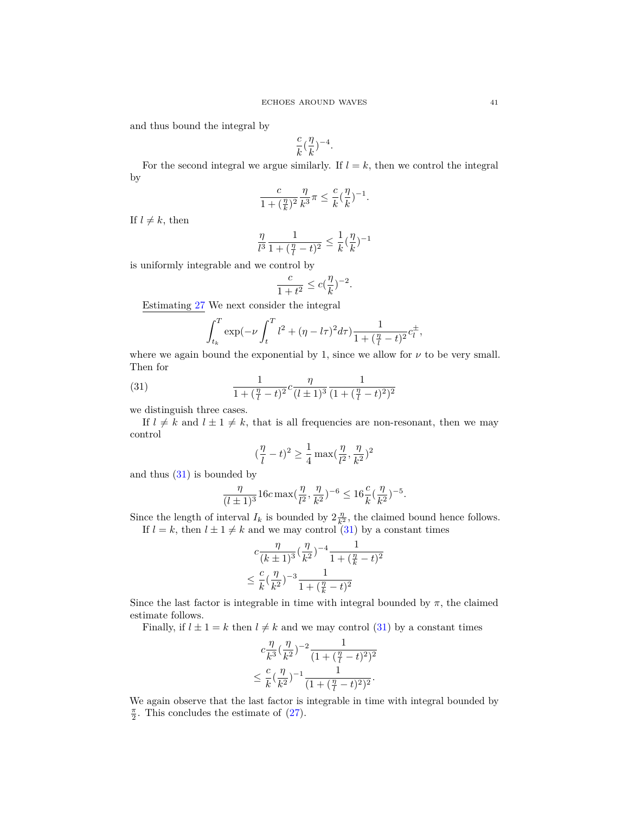and thus bound the integral by

$$
\frac{c}{k}(\frac{\eta}{k})^{-4}.
$$

For the second integral we argue similarly. If  $l = k$ , then we control the integral by

$$
\frac{c}{1 + (\frac{\eta}{k})^2} \frac{\eta}{k^3} \pi \le \frac{c}{k} (\frac{\eta}{k})^{-1}
$$

*.*

If  $l \neq k$ , then

$$
\frac{\eta}{l^3} \frac{1}{1 + (\frac{\eta}{l} - t)^2} \le \frac{1}{k} (\frac{\eta}{k})^{-1}
$$

is uniformly integrable and we control by

$$
\frac{c}{1+t^2} \le c(\frac{\eta}{k})^{-2}.
$$

Estimating [27](#page-28-4) We next consider the integral

$$
\int_{t_k}^{T} \exp(-\nu \int_t^T l^2 + (\eta - l\tau)^2 d\tau) \frac{1}{1 + (\frac{\eta}{l} - t)^2} c_l^{\pm},
$$

where we again bound the exponential by 1, since we allow for  $\nu$  to be very small. Then for

<span id="page-40-0"></span>(31) 
$$
\frac{1}{1+(\frac{\eta}{l}-t)^2}c\frac{\eta}{(l\pm 1)^3}\frac{1}{(1+(\frac{\eta}{l}-t)^2)^2}
$$

we distinguish three cases.

If  $l \neq k$  and  $l \pm 1 \neq k$ , that is all frequencies are non-resonant, then we may control

$$
(\frac{\eta}{l}-t)^2\geq \frac{1}{4}\max(\frac{\eta}{l^2},\frac{\eta}{k^2})^2
$$

and thus [\(31\)](#page-40-0) is bounded by

$$
\frac{\eta}{(l\pm 1)^3} 16c \max(\frac{\eta}{l^2}, \frac{\eta}{k^2})^{-6} \leq 16 \frac{c}{k} (\frac{\eta}{k^2})^{-5}.
$$

Since the length of interval  $I_k$  is bounded by  $2\frac{\eta}{k^2}$ , the claimed bound hence follows.

If  $l = k$ , then  $l \pm 1 \neq k$  and we may control [\(31\)](#page-40-0) by a constant times

$$
c \frac{\eta}{(k \pm 1)^3} (\frac{\eta}{k^2})^{-4} \frac{1}{1 + (\frac{\eta}{k} - t)^2}
$$
  

$$
\leq \frac{c}{k} (\frac{\eta}{k^2})^{-3} \frac{1}{1 + (\frac{\eta}{k} - t)^2}
$$

Since the last factor is integrable in time with integral bounded by  $\pi$ , the claimed estimate follows.

Finally, if  $l \pm 1 = k$  then  $l \neq k$  and we may control [\(31\)](#page-40-0) by a constant times

$$
c\frac{\eta}{k^3}(\frac{\eta}{k^2})^{-2}\frac{1}{(1+(\frac{\eta}{l}-t)^2)^2} \leq \frac{c}{k}(\frac{\eta}{k^2})^{-1}\frac{1}{(1+(\frac{\eta}{l}-t)^2)^2}.
$$

We again observe that the last factor is integrable in time with integral bounded by  $\frac{\pi}{2}$ . This concludes the estimate of [\(27\)](#page-28-4).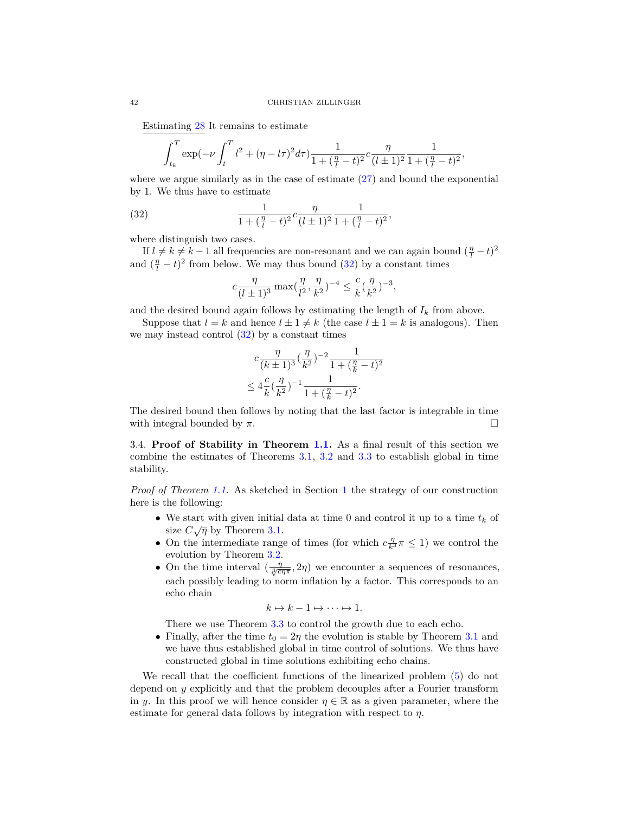Estimating [28](#page-28-5) It remains to estimate

$$
\int_{t_k}^{T} \exp(-\nu \int_{t}^{T} l^2 + (\eta - l\tau)^2 d\tau) \frac{1}{1 + (\frac{\eta}{l} - t)^2} c \frac{\eta}{(l \pm 1)^2} \frac{1}{1 + (\frac{\eta}{l} - t)^2},
$$

where we argue similarly as in the case of estimate  $(27)$  and bound the exponential by 1. We thus have to estimate

<span id="page-41-1"></span>(32) 
$$
\frac{1}{1+(\frac{\eta}{l}-t)^2}c\frac{\eta}{(l\pm 1)^2}\frac{1}{1+(\frac{\eta}{l}-t)^2},
$$

where distinguish two cases.

If  $l \neq k \neq k-1$  all frequencies are non-resonant and we can again bound  $(\frac{\eta}{l} - t)^2$ and  $(\frac{\eta}{l} - t)^2$  from below. We may thus bound [\(32\)](#page-41-1) by a constant times

$$
c\frac{\eta}{(l\pm 1)^3}\max(\frac{\eta}{l^2},\frac{\eta}{k^2})^{-4}\leq \frac{c}{k}(\frac{\eta}{k^2})^{-3},
$$

and the desired bound again follows by estimating the length of  $I_k$  from above.

Suppose that  $l = k$  and hence  $l \pm 1 \neq k$  (the case  $l \pm 1 = k$  is analogous). Then we may instead control  $(32)$  by a constant times

$$
c \frac{\eta}{(k \pm 1)^3} (\frac{\eta}{k^2})^{-2} \frac{1}{1 + (\frac{\eta}{k} - t)^2}
$$
  

$$
\leq 4 \frac{c}{k} (\frac{\eta}{k^2})^{-1} \frac{1}{1 + (\frac{\eta}{k} - t)^2}.
$$

The desired bound then follows by noting that the last factor is integrable in time with integral bounded by *π*.

<span id="page-41-0"></span>3.4. **Proof of Stability in Theorem [1.1.](#page-5-0)** As a final result of this section we combine the estimates of Theorems [3.1,](#page-17-2) [3.2](#page-23-1) and [3.3](#page-25-1) to establish global in time stability.

*Proof of Theorem [1.1.](#page-5-0)* As sketched in Section [1](#page-0-0) the strategy of our construction here is the following:

- We start with given initial data at time 0 and control it up to a time *t<sup>k</sup>* of  $\frac{1}{\sinh \theta}$  with given initial size  $C\sqrt{\eta}$  by Theorem [3.1.](#page-17-2)
- On the intermediate range of times (for which  $c_{\overline{k}3}^{\eta} \pi \leq 1$ ) we control the evolution by Theorem [3.2.](#page-23-1)
- On the time interval  $(\frac{\eta}{\sqrt[3]{c\eta\pi}}, 2\eta)$  we encounter a sequences of resonances, each possibly leading to norm inflation by a factor. This corresponds to an echo chain

$$
k \mapsto k-1 \mapsto \cdots \mapsto 1.
$$

There we use Theorem [3.3](#page-25-1) to control the growth due to each echo.

• Finally, after the time  $t_0 = 2\eta$  the evolution is stable by Theorem [3.1](#page-17-2) and we have thus established global in time control of solutions. We thus have constructed global in time solutions exhibiting echo chains.

We recall that the coefficient functions of the linearized problem [\(5\)](#page-4-0) do not depend on *y* explicitly and that the problem decouples after a Fourier transform in *y*. In this proof we will hence consider  $\eta \in \mathbb{R}$  as a given parameter, where the estimate for general data follows by integration with respect to *η*.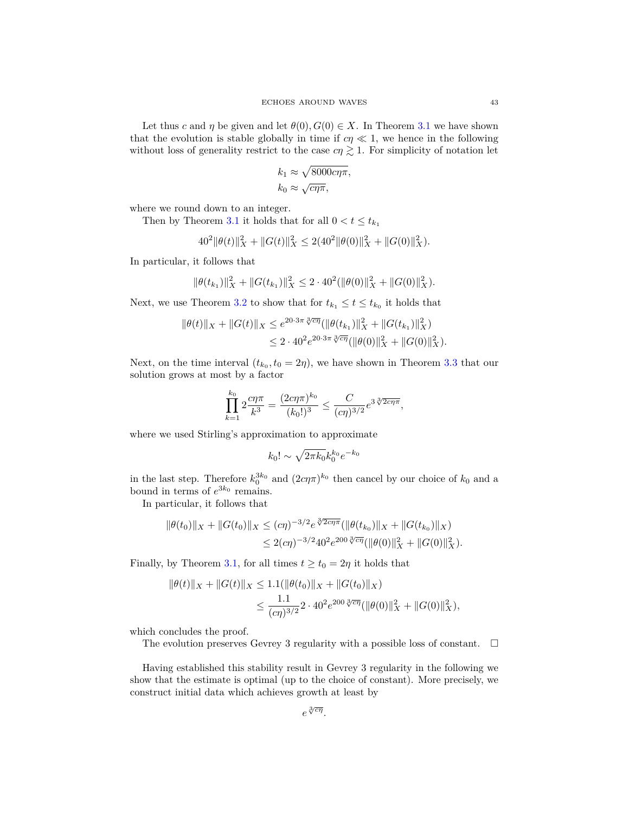Let thus *c* and *η* be given and let  $\theta(0), G(0) \in X$ . In Theorem [3.1](#page-17-2) we have shown that the evolution is stable globally in time if  $c\eta \ll 1$ , we hence in the following without loss of generality restrict to the case  $c\eta \gtrsim 1$ . For simplicity of notation let

$$
k_1 \approx \sqrt{8000c\eta\pi},
$$
  

$$
k_0 \approx \sqrt{c\eta\pi},
$$

where we round down to an integer.

Then by Theorem [3.1](#page-17-2) it holds that for all  $0 < t \leq t_{k_1}$ 

$$
402 ||\theta(t)||2X + ||G(t)||2X \le 2(402 ||\theta(0)||2X + ||G(0)||2X).
$$

In particular, it follows that

$$
\|\theta(t_{k_1})\|_X^2 + \|G(t_{k_1})\|_X^2 \leq 2 \cdot 40^2 (\|\theta(0)\|_X^2 + \|G(0)\|_X^2).
$$

Next, we use Theorem [3.2](#page-23-1) to show that for  $t_{k_1} \leq t \leq t_{k_0}$  it holds that

$$
\|\theta(t)\|_{X} + \|G(t)\|_{X} \leq e^{20\cdot 3\pi \sqrt[3]{c\eta}} (\|\theta(t_{k_1})\|_{X}^2 + \|G(t_{k_1})\|_{X}^2)
$$
  

$$
\leq 2 \cdot 40^2 e^{20\cdot 3\pi \sqrt[3]{c\eta}} (\|\theta(0)\|_{X}^2 + \|G(0)\|_{X}^2).
$$

Next, on the time interval  $(t_{k_0}, t_0 = 2\eta)$ , we have shown in Theorem [3.3](#page-25-1) that our solution grows at most by a factor

$$
\prod_{k=1}^{k_0} 2\frac{c\eta \pi}{k^3} = \frac{(2c\eta \pi)^{k_0}}{(k_0!)^3} \le \frac{C}{(c\eta)^{3/2}} e^{3\sqrt[3]{2c\eta \pi}},
$$

where we used Stirling's approximation to approximate

$$
k_0! \sim \sqrt{2\pi k_0} k_0^{k_0} e^{-k_0}
$$

in the last step. Therefore  $k_0^{3k_0}$  and  $(2c\eta\pi)^{k_0}$  then cancel by our choice of  $k_0$  and a bound in terms of  $e^{3k_0}$  remains.

In particular, it follows that

$$
\|\theta(t_0)\|_X + \|G(t_0)\|_X \leq (c\eta)^{-3/2} e^{\sqrt[3]{2c\eta\pi}} (\|\theta(t_{k_0})\|_X + \|G(t_{k_0})\|_X)
$$
  

$$
\leq 2(c\eta)^{-3/2} 40^2 e^{200 \sqrt[3]{c\eta}} (\|\theta(0)\|_X^2 + \|G(0)\|_X^2).
$$

Finally, by Theorem [3.1,](#page-17-2) for all times  $t \ge t_0 = 2\eta$  it holds that

$$
\|\theta(t)\|_{X} + \|G(t)\|_{X} \le 1.1(\|\theta(t_0)\|_{X} + \|G(t_0)\|_{X})
$$
  

$$
\le \frac{1.1}{(c\eta)^{3/2}} 2 \cdot 40^{2} e^{200 \sqrt[3]{c\eta}} (\|\theta(0)\|_{X}^{2} + \|G(0)\|_{X}^{2}),
$$

which concludes the proof.

The evolution preserves Gevrey 3 regularity with a possible loss of constant.  $\Box$ 

Having established this stability result in Gevrey 3 regularity in the following we show that the estimate is optimal (up to the choice of constant). More precisely, we construct initial data which achieves growth at least by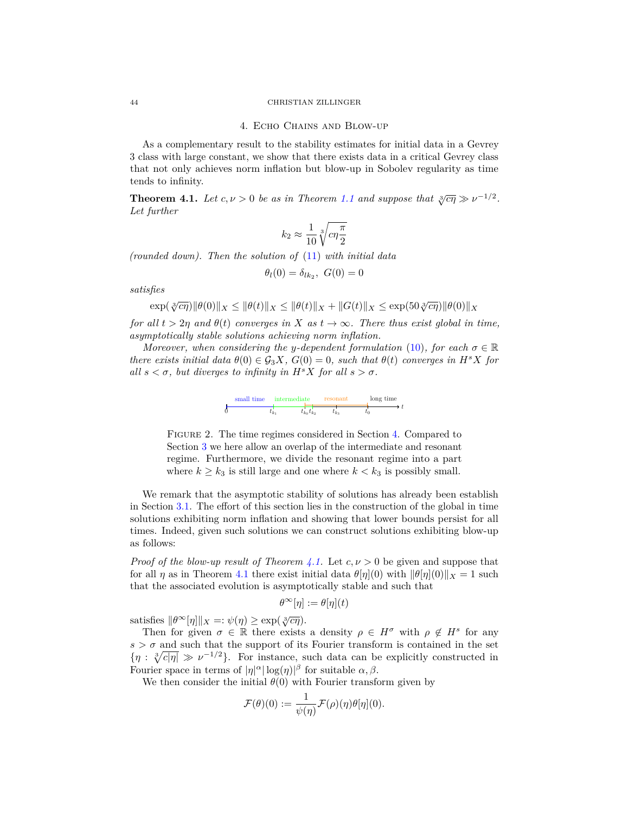#### 44 CHRISTIAN ZILLINGER

#### 4. Echo Chains and Blow-up

As a complementary result to the stability estimates for initial data in a Gevrey 3 class with large constant, we show that there exists data in a critical Gevrey class that not only achieves norm inflation but blow-up in Sobolev regularity as time tends to infinity.

<span id="page-43-1"></span>**Theorem 4.1.** *Let*  $c, \nu > 0$  *be as in Theorem [1.1](#page-5-0) and suppose that*  $\sqrt[3]{c\eta} \gg \nu^{-1/2}$ *. Let further*

$$
k_2 \approx \frac{1}{10} \sqrt[3]{c \eta \frac{\pi}{2}}
$$

*(rounded down). Then the solution of* [\(11\)](#page-13-3) *with initial data*

$$
\theta_l(0) = \delta_{lk_2}, \ G(0) = 0
$$

*satisfies*

$$
\exp(\sqrt[3]{c\eta})\|\theta(0)\|_X \le \|\theta(t)\|_X \le \|\theta(t)\|_X + \|G(t)\|_X \le \exp(50\sqrt[3]{c\eta})\|\theta(0)\|_X
$$

*for all*  $t > 2\eta$  *and*  $\theta(t)$  *converges in*  $X$  *as*  $t \to \infty$ *. There thus exist global in time, asymptotically stable solutions achieving norm inflation.*

*Moreover, when considering the y-dependent formulation* [\(10\)](#page-13-2)*, for each*  $\sigma \in \mathbb{R}$ *there exists initial data*  $\theta(0) \in \mathcal{G}_3 X$ ,  $G(0) = 0$ , such that  $\theta(t)$  converges in  $H^s X$  for *all*  $s < \sigma$ *, but diverges to infinity in*  $H^s X$  *for all*  $s > \sigma$ *.* 

| small time |     | intermediate |                     | resonant      |  | long time |  |  |  |
|------------|-----|--------------|---------------------|---------------|--|-----------|--|--|--|
|            | υĸ. |              | $t_{k_0}$ $t_{k_2}$ | $\iota_{k_2}$ |  |           |  |  |  |

Figure 2. The time regimes considered in Section [4.](#page-43-0) Compared to Section [3](#page-16-0) we here allow an overlap of the intermediate and resonant regime. Furthermore, we divide the resonant regime into a part where  $k \geq k_3$  is still large and one where  $k < k_3$  is possibly small.

We remark that the asymptotic stability of solutions has already been establish in Section [3.1.](#page-17-0) The effort of this section lies in the construction of the global in time solutions exhibiting norm inflation and showing that lower bounds persist for all times. Indeed, given such solutions we can construct solutions exhibiting blow-up as follows:

*Proof of the blow-up result of Theorem [4.1.](#page-43-1)* Let  $c, \nu > 0$  be given and suppose that for all *η* as in Theorem [4.1](#page-43-1) there exist initial data  $\theta[\eta](0)$  with  $\|\theta[\eta](0)\|_X = 1$  such that the associated evolution is asymptotically stable and such that

$$
\theta^{\infty}[\eta] := \theta[\eta](t)
$$

satisfies  $\|\theta^{\infty}[\eta]\|_{X} =:\psi(\eta) \geq \exp(\sqrt[3]{c\eta}).$ 

Then for given  $\sigma \in \mathbb{R}$  there exists a density  $\rho \in H^{\sigma}$  with  $\rho \notin H^s$  for any  $s > \sigma$  and such that the support of its Fourier transform is contained in the set  $\{\eta: \sqrt[3]{c|\eta|} \gg \nu^{-1/2}\}.$  For instance, such data can be explicitly constructed in Fourier space in terms of  $|\eta|^{\alpha} |\log(\eta)|^{\beta}$  for suitable  $\alpha, \beta$ .

We then consider the initial  $\theta(0)$  with Fourier transform given by

$$
\mathcal{F}(\theta)(0) := \frac{1}{\psi(\eta)} \mathcal{F}(\rho)(\eta) \theta[\eta](0).
$$

<span id="page-43-0"></span>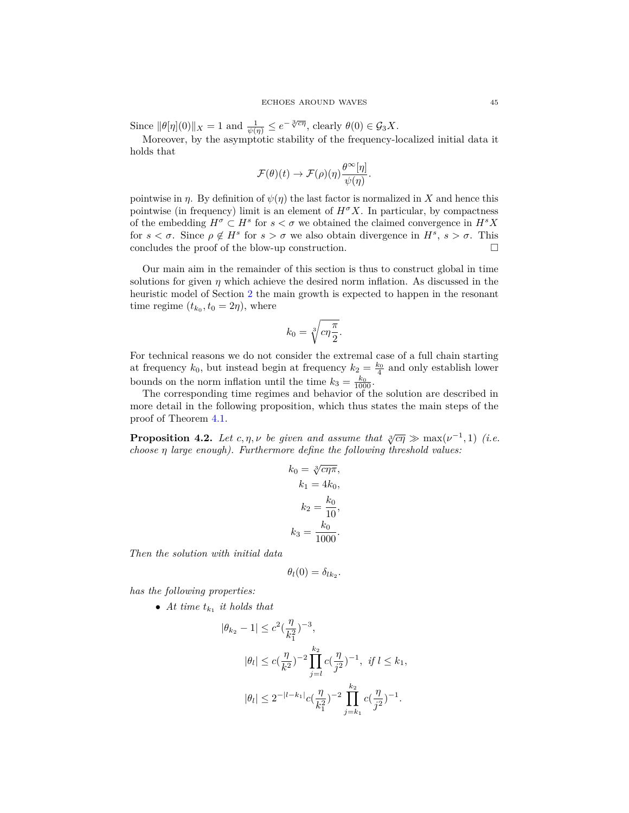Since  $\|\theta[\eta](0)\|_X = 1$  and  $\frac{1}{\psi(\eta)} \leq e^{-\sqrt[3]{c\eta}}$ , clearly  $\theta(0) \in \mathcal{G}_3X$ .

Moreover, by the asymptotic stability of the frequency-localized initial data it holds that

$$
\mathcal{F}(\theta)(t) \to \mathcal{F}(\rho)(\eta) \frac{\theta^{\infty}[\eta]}{\psi(\eta)}.
$$

pointwise in  $\eta$ . By definition of  $\psi(\eta)$  the last factor is normalized in *X* and hence this pointwise (in frequency) limit is an element of  $H^{\sigma}X$ . In particular, by compactness of the embedding  $H^{\sigma} \subset H^s$  for  $s < \sigma$  we obtained the claimed convergence in  $H^s X$ for  $s < \sigma$ . Since  $\rho \notin H^s$  for  $s > \sigma$  we also obtain divergence in  $H^s$ ,  $s > \sigma$ . This concludes the proof of the blow-up construction.  $\Box$ 

Our main aim in the remainder of this section is thus to construct global in time solutions for given  $\eta$  which achieve the desired norm inflation. As discussed in the heuristic model of Section [2](#page-8-0) the main growth is expected to happen in the resonant time regime  $(t_{k_0}, t_0 = 2\eta)$ , where

$$
k_0 = \sqrt[3]{c\eta \frac{\pi}{2}}.
$$

For technical reasons we do not consider the extremal case of a full chain starting at frequency  $k_0$ , but instead begin at frequency  $k_2 = \frac{k_0}{4}$  and only establish lower bounds on the norm inflation until the time  $k_3 = \frac{k_0}{1000}$ .

The corresponding time regimes and behavior of the solution are described in more detail in the following proposition, which thus states the main steps of the proof of Theorem [4.1.](#page-43-1)

<span id="page-44-0"></span>**Proposition 4.2.** *Let*  $c, \eta, \nu$  *be given and assume that*  $\sqrt[3]{c\eta} \gg \max(\nu^{-1}, 1)$  *(i.e. choose η large enough). Furthermore define the following threshold values:*

$$
k_0 = \sqrt[3]{c\eta\pi},
$$
  
\n
$$
k_1 = 4k_0,
$$
  
\n
$$
k_2 = \frac{k_0}{10},
$$
  
\n
$$
k_3 = \frac{k_0}{1000}.
$$

*Then the solution with initial data*

$$
\theta_l(0)=\delta_{lk_2}.
$$

*has the following properties:*

• At time  $t_{k_1}$  it holds that

$$
|\theta_{k_2} - 1| \le c^2 \left(\frac{\eta}{k_1^2}\right)^{-3},
$$
  

$$
|\theta_l| \le c \left(\frac{\eta}{k^2}\right)^{-2} \prod_{j=l}^{k_2} c \left(\frac{\eta}{j^2}\right)^{-1}, \text{ if } l \le k_1,
$$
  

$$
|\theta_l| \le 2^{-|l - k_1|} c \left(\frac{\eta}{k_1^2}\right)^{-2} \prod_{j=k_1}^{k_2} c \left(\frac{\eta}{j^2}\right)^{-1}.
$$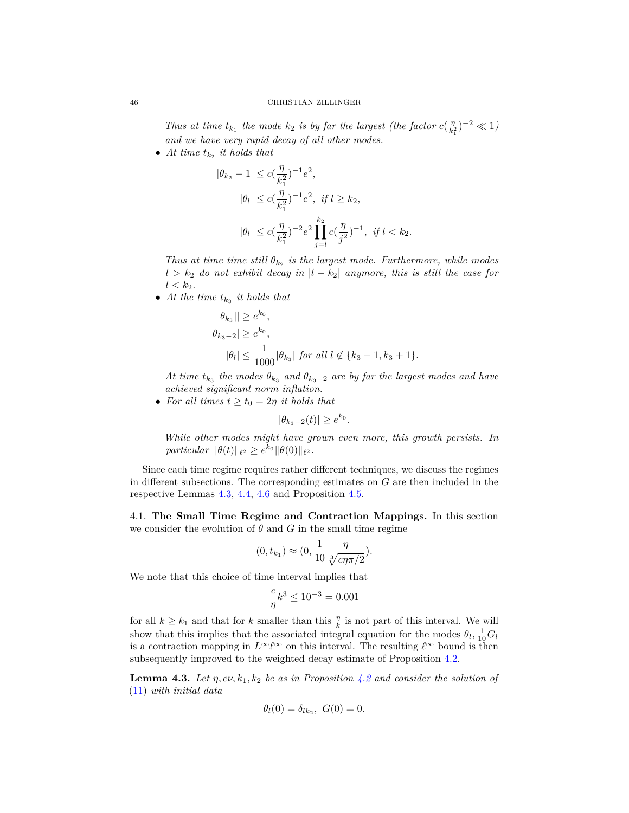*Thus at time*  $t_{k_1}$  *the mode*  $k_2$  *is by far the largest (the factor*  $c(\frac{\eta}{k_1})$  $(\frac{\eta}{k_1^2})^{-2} \ll 1$ *and we have very rapid decay of all other modes.*

• At time  $t_{k_2}$  it holds that

$$
|\theta_{k_2} - 1| \leq c \left(\frac{\eta}{k_1^2}\right)^{-1} e^2,
$$
  
\n
$$
|\theta_l| \leq c \left(\frac{\eta}{k_1^2}\right)^{-1} e^2, \text{ if } l \geq k_2,
$$
  
\n
$$
|\theta_l| \leq c \left(\frac{\eta}{k_1^2}\right)^{-2} e^2 \prod_{j=l}^{k_2} c \left(\frac{\eta}{j^2}\right)^{-1}, \text{ if } l < k_2.
$$

*Thus at time time still*  $\theta_{k_2}$  *is the largest mode. Furthermore, while modes*  $l > k_2$  *do not exhibit decay in*  $|l - k_2|$  *anymore, this is still the case for*  $l < k_2$ .

• At the time  $t_{k_3}$  it holds that

$$
|\theta_{k_3}|| \ge e^{k_0},
$$
  
\n
$$
|\theta_{k_3-2}| \ge e^{k_0},
$$
  
\n
$$
|\theta_l| \le \frac{1}{1000} |\theta_{k_3}| \text{ for all } l \notin \{k_3 - 1, k_3 + 1\}.
$$

*At time*  $t_{k_3}$  *the modes*  $\theta_{k_3}$  *and*  $\theta_{k_3-2}$  *are by far the largest modes and have achieved significant norm inflation.*

• *For all times*  $t \geq t_0 = 2\eta$  *it holds that* 

$$
|\theta_{k_3-2}(t)| \ge e^{k_0}.
$$

*While other modes might have grown even more, this growth persists. In*  $particular \|\theta(t)\|_{\ell^2} \geq e^{k_0} \|\theta(0)\|_{\ell^2}$ .

Since each time regime requires rather different techniques, we discuss the regimes in different subsections. The corresponding estimates on *G* are then included in the respective Lemmas [4.3,](#page-45-1) [4.4,](#page-49-1) [4.6](#page-59-0) and Proposition [4.5.](#page-53-0)

<span id="page-45-0"></span>4.1. **The Small Time Regime and Contraction Mappings.** In this section we consider the evolution of  $\theta$  and  $G$  in the small time regime

$$
(0, t_{k_1}) \approx (0, \frac{1}{10} \frac{\eta}{\sqrt[3]{c\eta \pi/2}}).
$$

We note that this choice of time interval implies that

$$
\frac{c}{\eta}k^3 \le 10^{-3} = 0.001
$$

for all  $k \geq k_1$  and that for  $k$  smaller than this  $\frac{\eta}{k}$  is not part of this interval. We will show that this implies that the associated integral equation for the modes  $\theta_l$ ,  $\frac{1}{10}G_l$ is a contraction mapping in  $L^{\infty}\ell^{\infty}$  on this interval. The resulting  $\ell^{\infty}$  bound is then subsequently improved to the weighted decay estimate of Proposition [4.2.](#page-44-0)

<span id="page-45-1"></span>**Lemma 4.3.** Let  $\eta$ ,  $c\nu$ ,  $k_1$ ,  $k_2$  be as in Proposition [4.2](#page-44-0) and consider the solution of [\(11\)](#page-13-3) *with initial data*

$$
\theta_l(0) = \delta_{lk_2}, \ G(0) = 0.
$$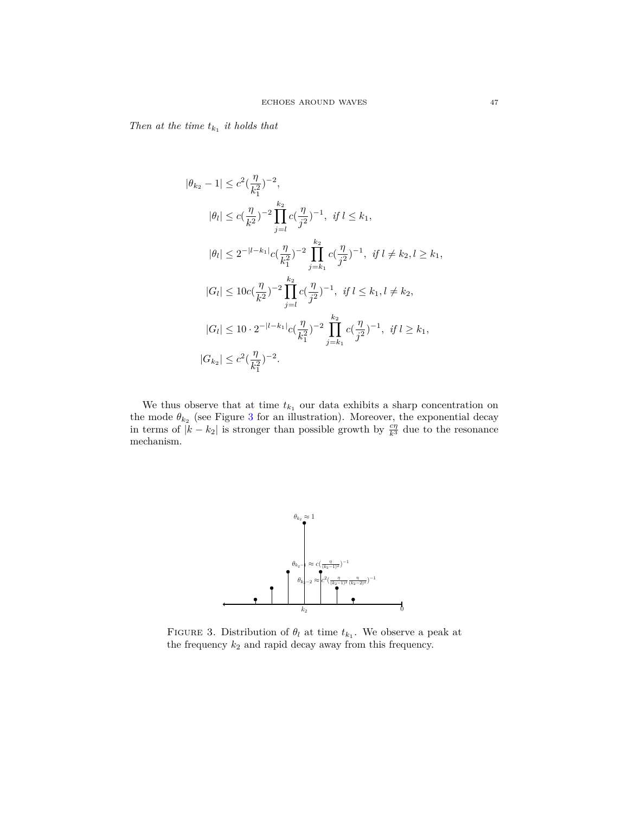*Then at the time*  $t_{k_1}$  *it holds that* 

$$
|\theta_{k_2} - 1| \leq c^2 \left(\frac{\eta}{k_1^2}\right)^{-2},
$$
  
\n
$$
|\theta_l| \leq c \left(\frac{\eta}{k^2}\right)^{-2} \prod_{j=l}^{k_2} c \left(\frac{\eta}{j^2}\right)^{-1}, \text{ if } l \leq k_1,
$$
  
\n
$$
|\theta_l| \leq 2^{-|l-k_1|} c \left(\frac{\eta}{k_1^2}\right)^{-2} \prod_{j=k_1}^{k_2} c \left(\frac{\eta}{j^2}\right)^{-1}, \text{ if } l \neq k_2, l \geq k_1,
$$
  
\n
$$
|G_l| \leq 10c \left(\frac{\eta}{k^2}\right)^{-2} \prod_{j=l}^{k_2} c \left(\frac{\eta}{j^2}\right)^{-1}, \text{ if } l \leq k_1, l \neq k_2,
$$
  
\n
$$
|G_l| \leq 10 \cdot 2^{-|l-k_1|} c \left(\frac{\eta}{k_1^2}\right)^{-2} \prod_{j=k_1}^{k_2} c \left(\frac{\eta}{j^2}\right)^{-1}, \text{ if } l \geq k_1,
$$
  
\n
$$
|G_{k_2}| \leq c^2 \left(\frac{\eta}{k_1^2}\right)^{-2}.
$$

We thus observe that at time  $t_{k_1}$  our data exhibits a sharp concentration on the mode  $\theta_{k_2}$  (see Figure [3](#page-46-0) for an illustration). Moreover, the exponential decay in terms of  $|k - k_2|$  is stronger than possible growth by  $\frac{c\eta}{k^3}$  due to the resonance mechanism.



<span id="page-46-0"></span>FIGURE 3. Distribution of  $\theta_l$  at time  $t_{k_1}$ . We observe a peak at the frequency  $k_{2}$  and rapid decay away from this frequency.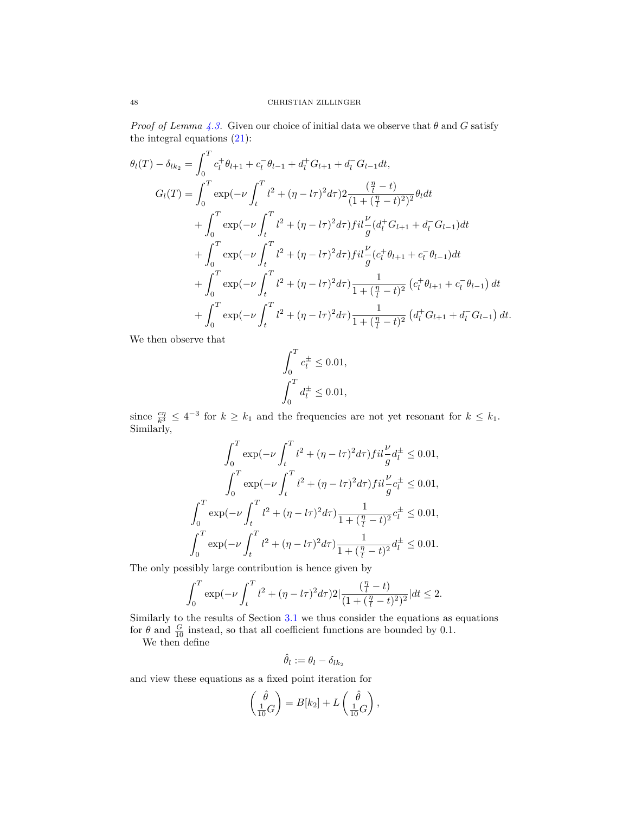*Proof of Lemma [4.3.](#page-45-1)* Given our choice of initial data we observe that  $\theta$  and  $G$  satisfy the integral equations  $(21)$ :

$$
\theta_{l}(T) - \delta_{lk_{2}} = \int_{0}^{T} c_{l}^{+} \theta_{l+1} + c_{l}^{-} \theta_{l-1} + d_{l}^{+} G_{l+1} + d_{l}^{-} G_{l-1} dt,
$$
\n
$$
G_{l}(T) = \int_{0}^{T} \exp(-\nu \int_{t}^{T} l^{2} + (\eta - l\tau)^{2} d\tau) 2 \frac{(\frac{\eta}{l} - t)}{(1 + (\frac{\eta}{l} - t)^{2})^{2}} \theta_{l} dt
$$
\n
$$
+ \int_{0}^{T} \exp(-\nu \int_{t}^{T} l^{2} + (\eta - l\tau)^{2} d\tau) f i l \frac{\nu}{g} (d_{l}^{+} G_{l+1} + d_{l}^{-} G_{l-1}) dt
$$
\n
$$
+ \int_{0}^{T} \exp(-\nu \int_{t}^{T} l^{2} + (\eta - l\tau)^{2} d\tau) f i l \frac{\nu}{g} (c_{l}^{+} \theta_{l+1} + c_{l}^{-} \theta_{l-1}) dt
$$
\n
$$
+ \int_{0}^{T} \exp(-\nu \int_{t}^{T} l^{2} + (\eta - l\tau)^{2} d\tau) \frac{1}{1 + (\frac{\eta}{l} - t)^{2}} (c_{l}^{+} \theta_{l+1} + c_{l}^{-} \theta_{l-1}) dt
$$
\n
$$
+ \int_{0}^{T} \exp(-\nu \int_{t}^{T} l^{2} + (\eta - l\tau)^{2} d\tau) \frac{1}{1 + (\frac{\eta}{l} - t)^{2}} (d_{l}^{+} G_{l+1} + d_{l}^{-} G_{l-1}) dt.
$$

We then observe that

$$
\int_0^T c_l^{\pm} \le 0.01,
$$
  

$$
\int_0^T d_l^{\pm} \le 0.01,
$$

since  $\frac{c\eta}{k^3} \leq 4^{-3}$  for  $k \geq k_1$  and the frequencies are not yet resonant for  $k \leq k_1$ . Similarly,

$$
\int_0^T \exp(-\nu \int_t^T l^2 + (\eta - l\tau)^2 d\tau) f i l \frac{\nu}{g} d_l^{\pm} \le 0.01,
$$
  

$$
\int_0^T \exp(-\nu \int_t^T l^2 + (\eta - l\tau)^2 d\tau) f i l \frac{\nu}{g} c_l^{\pm} \le 0.01,
$$
  

$$
\int_0^T \exp(-\nu \int_t^T l^2 + (\eta - l\tau)^2 d\tau) \frac{1}{1 + (\frac{\eta}{l} - t)^2} c_l^{\pm} \le 0.01,
$$
  

$$
\int_0^T \exp(-\nu \int_t^T l^2 + (\eta - l\tau)^2 d\tau) \frac{1}{1 + (\frac{\eta}{l} - t)^2} d_l^{\pm} \le 0.01.
$$

The only possibly large contribution is hence given by

$$
\int_0^T \exp(-\nu \int_t^T l^2 + (\eta - l\tau)^2 d\tau) 2|\frac{(\frac{\eta}{l} - t)}{(1 + (\frac{\eta}{l} - t)^2)^2}|dt \le 2.
$$

Similarly to the results of Section [3.1](#page-17-0) we thus consider the equations as equations for  $\theta$  and  $\frac{G}{10}$  instead, so that all coefficient functions are bounded by 0.1.

We then define

$$
\hat{\theta}_l:=\theta_l-\delta_{lk_2}
$$

and view these equations as a fixed point iteration for

$$
\begin{pmatrix}\n\hat{\theta} \\
\frac{1}{10}G\n\end{pmatrix} = B[k_2] + L\begin{pmatrix}\n\hat{\theta} \\
\frac{1}{10}G\n\end{pmatrix},
$$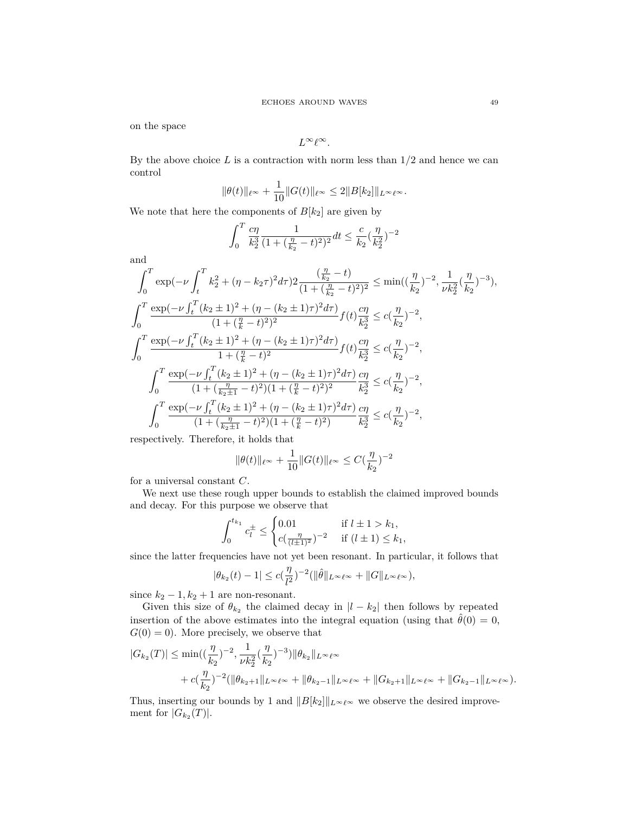on the space

$$
L^\infty\ell^\infty.
$$

By the above choice *L* is a contraction with norm less than 1*/*2 and hence we can control

$$
\|\theta(t)\|_{\ell^{\infty}} + \frac{1}{10} \|G(t)\|_{\ell^{\infty}} \leq 2\|B[k_2]\|_{L^{\infty}\ell^{\infty}}.
$$

We note that here the components of  $B[k_2]$  are given by

$$
\int_0^T \frac{c\eta}{k_2^3} \frac{1}{(1 + (\frac{\eta}{k_2} - t)^2)^2} dt \le \frac{c}{k_2} (\frac{\eta}{k_2^2})^{-2}
$$

and

$$
\int_0^T \exp(-\nu \int_t^T k_2^2 + (\eta - k_2 \tau)^2 d\tau) 2 \frac{(\frac{\eta}{k_2} - t)}{(1 + (\frac{\eta}{k_2} - t)^2)^2} \le \min((\frac{\eta}{k_2})^{-2}, \frac{1}{\nu k_2^2} (\frac{\eta}{k_2})^{-3}),
$$
  

$$
\int_0^T \frac{\exp(-\nu \int_t^T (k_2 \pm 1)^2 + (\eta - (k_2 \pm 1)\tau)^2 d\tau)}{(1 + (\frac{\eta}{k} - t)^2)^2} f(t) \frac{c\eta}{k_2^3} \le c(\frac{\eta}{k_2})^{-2},
$$
  

$$
\int_0^T \frac{\exp(-\nu \int_t^T (k_2 \pm 1)^2 + (\eta - (k_2 \pm 1)\tau)^2 d\tau)}{1 + (\frac{\eta}{k} - t)^2} f(t) \frac{c\eta}{k_2^3} \le c(\frac{\eta}{k_2})^{-2},
$$
  

$$
\int_0^T \frac{\exp(-\nu \int_t^T (k_2 \pm 1)^2 + (\eta - (k_2 \pm 1)\tau)^2 d\tau)}{(1 + (\frac{\eta}{k_2 \pm 1} - t)^2)(1 + (\frac{\eta}{k} - t)^2)^2} \frac{c\eta}{k_2^3} \le c(\frac{\eta}{k_2})^{-2},
$$
  

$$
\int_0^T \frac{\exp(-\nu \int_t^T (k_2 \pm 1)^2 + (\eta - (k_2 \pm 1)\tau)^2 d\tau)}{(1 + (\frac{\eta}{k_2 \pm 1} - t)^2)(1 + (\frac{\eta}{k} - t)^2)} \frac{c\eta}{k_2^3} \le c(\frac{\eta}{k_2})^{-2},
$$

respectively. Therefore, it holds that

$$
\|\theta(t)\|_{\ell^\infty} + \frac{1}{10}\|G(t)\|_{\ell^\infty} \leq C(\frac{\eta}{k_2})^{-2}
$$

for a universal constant *C*.

We next use these rough upper bounds to establish the claimed improved bounds and decay. For this purpose we observe that

$$
\int_0^{t_{k_1}} c_l^{\pm} \le \begin{cases} 0.01 & \text{if } l \pm 1 > k_1, \\ c(\frac{\eta}{(l \pm 1)^2})^{-2} & \text{if } (l \pm 1) \le k_1, \end{cases}
$$

since the latter frequencies have not yet been resonant. In particular, it follows that

$$
|\theta_{k_2}(t)-1|\leq c(\frac{\eta}{l^2})^{-2}(\|\hat{\theta}\|_{L^\infty\ell^\infty}+\|G\|_{L^\infty\ell^\infty}),
$$

since  $k_2 - 1$ ,  $k_2 + 1$  are non-resonant.

Given this size of  $\theta_{k_2}$  the claimed decay in  $|l - k_2|$  then follows by repeated insertion of the above estimates into the integral equation (using that  $\hat{\theta}(0) = 0$ ,  $G(0) = 0$ ). More precisely, we observe that

$$
|G_{k_2}(T)| \le \min\left((\frac{\eta}{k_2})^{-2}, \frac{1}{\nu k_2^2}(\frac{\eta}{k_2})^{-3})\|\theta_{k_2}\|_{L^{\infty}\ell^{\infty}} + c(\frac{\eta}{k_2})^{-2}(\|\theta_{k_2+1}\|_{L^{\infty}\ell^{\infty}} + \|\theta_{k_2-1}\|_{L^{\infty}\ell^{\infty}} + \|G_{k_2+1}\|_{L^{\infty}\ell^{\infty}} + \|G_{k_2-1}\|_{L^{\infty}\ell^{\infty}}).
$$

Thus, inserting our bounds by 1 and  $||B[k_2]||_{L^\infty\ell^\infty}$  we observe the desired improvement for  $|G_{k_2}(T)|$ .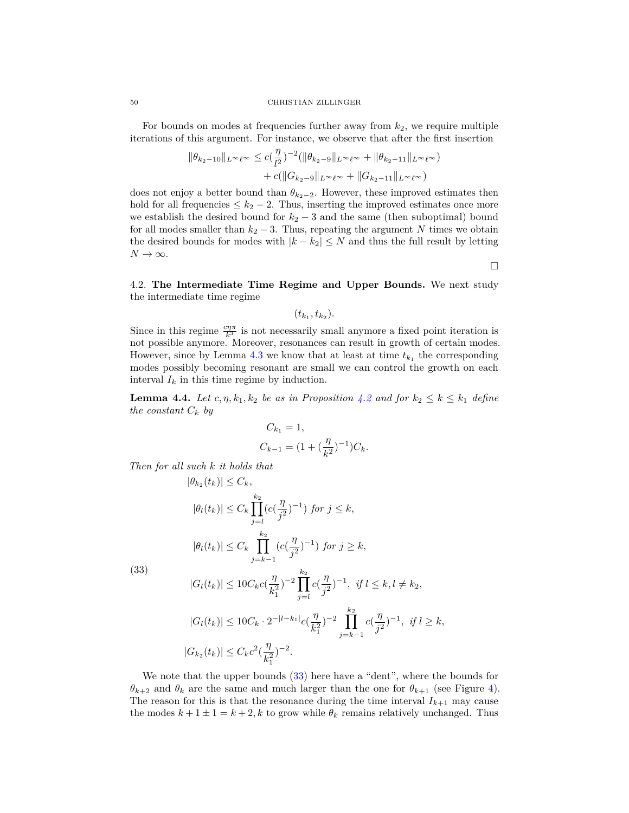#### 50 CHRISTIAN ZILLINGER

For bounds on modes at frequencies further away from *k*2, we require multiple iterations of this argument. For instance, we observe that after the first insertion

$$
\|\theta_{k_2-10}\|_{L^{\infty}\ell^{\infty}} \leq c(\frac{\eta}{l^2})^{-2} (\|\theta_{k_2-9}\|_{L^{\infty}\ell^{\infty}} + \|\theta_{k_2-11}\|_{L^{\infty}\ell^{\infty}}) + c(\|G_{k_2-9}\|_{L^{\infty}\ell^{\infty}} + \|G_{k_2-11}\|_{L^{\infty}\ell^{\infty}})
$$

does not enjoy a better bound than  $\theta_{k_2-2}$ . However, these improved estimates then hold for all frequencies  $\leq k_2 - 2$ . Thus, inserting the improved estimates once more we establish the desired bound for  $k_2 - 3$  and the same (then suboptimal) bound for all modes smaller than  $k_2 - 3$ . Thus, repeating the argument N times we obtain the desired bounds for modes with  $|k - k_2| \leq N$  and thus the full result by letting  $N \to \infty$ .

 $\Box$ 

<span id="page-49-0"></span>4.2. **The Intermediate Time Regime and Upper Bounds.** We next study the intermediate time regime

 $(t_{k_1}, t_{k_2}).$ 

Since in this regime  $\frac{c\eta\pi}{k^3}$  is not necessarily small anymore a fixed point iteration is not possible anymore. Moreover, resonances can result in growth of certain modes. However, since by Lemma  $4.3$  we know that at least at time  $t_{k_1}$  the corresponding modes possibly becoming resonant are small we can control the growth on each interval  $I_k$  in this time regime by induction.

<span id="page-49-1"></span>**Lemma 4.4.** *Let*  $c, \eta, k_1, k_2$  *be as in Proposition* [4.2](#page-44-0) *and for*  $k_2 \leq k \leq k_1$  *define the constant*  $C_k$  *by* 

$$
C_{k_1} = 1,
$$
  
\n
$$
C_{k-1} = (1 + (\frac{\eta}{k^2})^{-1})C_k.
$$

*Then for all such k it holds that*

$$
|\theta_{k_2}(t_k)| \leq C_k,
$$
  
\n
$$
|\theta_l(t_k)| \leq C_k \prod_{j=l}^{k_2} (c(\frac{\eta}{j^2})^{-1}) \text{ for } j \leq k,
$$
  
\n
$$
|\theta_l(t_k)| \leq C_k \prod_{j=k-1}^{k_2} (c(\frac{\eta}{j^2})^{-1}) \text{ for } j \geq k,
$$

<span id="page-49-2"></span>(33)

$$
|G_l(t_k)| \le 10C_k c(\frac{\eta}{k_1^2})^{-2} \prod_{j=l}^{k_2} c(\frac{\eta}{j^2})^{-1}, \text{ if } l \le k, l \ne k_2,
$$

$$
|G_l(t_k)| \le 10C_k \cdot 2^{-|l-k_1|} c(\frac{\eta}{k_1^2})^{-2} \prod_{j=k-1}^{k_2} c(\frac{\eta}{j^2})^{-1}, \text{ if } l \ge k,
$$
  

$$
|G_{k_2}(t_k)| \le C_k c^2(\frac{\eta}{k_1^2})^{-2}.
$$

We note that the upper bounds  $(33)$  here have a "dent", where the bounds for *θ*<sub>*k*+2</sub> and *θ*<sub>*k*</sub> are the same and much larger than the one for  $θ$ <sub>*k*+1</sub> (see Figure [4\)](#page-50-0). The reason for this is that the resonance during the time interval  $I_{k+1}$  may cause the modes  $k + 1 \pm 1 = k + 2$ , k to grow while  $\theta_k$  remains relatively unchanged. Thus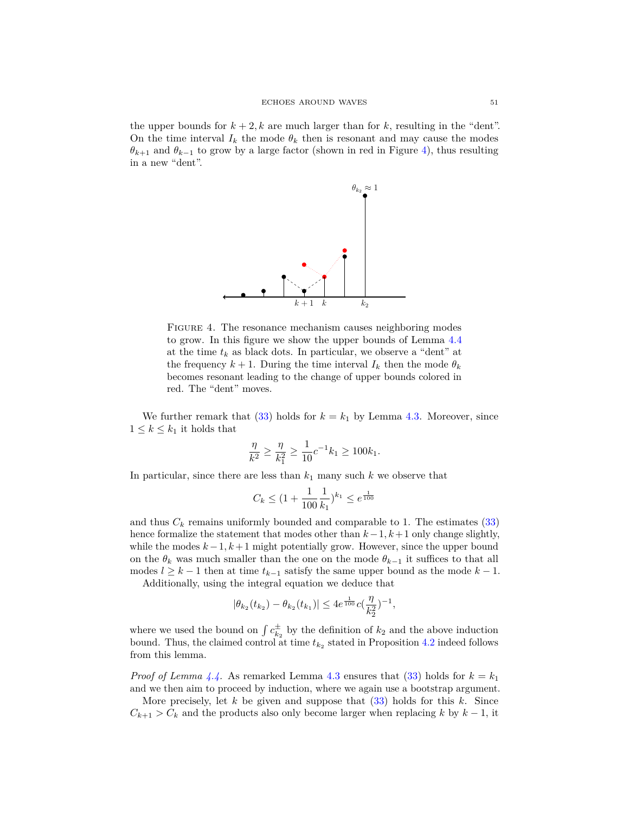the upper bounds for  $k + 2$ , k are much larger than for k, resulting in the "dent". On the time interval  $I_k$  the mode  $\theta_k$  then is resonant and may cause the modes  $\theta_{k+1}$  and  $\theta_{k-1}$  to grow by a large factor (shown in red in Figure [4\)](#page-50-0), thus resulting in a new "dent".



<span id="page-50-0"></span>FIGURE 4. The resonance mechanism causes neighboring modes to grow. In this figure we show the upper bounds of Lemma [4.4](#page-49-1) at the time  $t_k$  as black dots. In particular, we observe a "dent" at the frequency  $k + 1$ . During the time interval  $I_k$  then the mode  $\theta_k$ becomes resonant leading to the change of upper bounds colored in red. The "dent" moves.

We further remark that  $(33)$  holds for  $k = k_1$  by Lemma [4.3.](#page-45-1) Moreover, since  $1 \leq k \leq k_1$  it holds that

$$
\frac{\eta}{k^2} \ge \frac{\eta}{k_1^2} \ge \frac{1}{10} c^{-1} k_1 \ge 100 k_1.
$$

In particular, since there are less than  $k_1$  many such  $k$  we observe that

$$
C_k \leq (1 + \frac{1}{100} \frac{1}{k_1})^{k_1} \leq e^{\frac{1}{100}}
$$

and thus  $C_k$  remains uniformly bounded and comparable to 1. The estimates [\(33\)](#page-49-2) hence formalize the statement that modes other than *k*−1*, k*+ 1 only change slightly, while the modes  $k-1, k+1$  might potentially grow. However, since the upper bound on the  $\theta_k$  was much smaller than the one on the mode  $\theta_{k-1}$  it suffices to that all modes  $l \geq k-1$  then at time  $t_{k-1}$  satisfy the same upper bound as the mode  $k-1$ .

Additionally, using the integral equation we deduce that

$$
|\theta_{k_2}(t_{k_2})-\theta_{k_2}(t_{k_1})|\leq 4e^{\frac{1}{100}}c(\frac{\eta}{k_2^2})^{-1},
$$

where we used the bound on  $\int c_{k_2}^{\pm}$  by the definition of  $k_2$  and the above induction bound. Thus, the claimed control at time  $t_{k_2}$  stated in Proposition [4.2](#page-44-0) indeed follows from this lemma.

*Proof of Lemma [4.4.](#page-49-1)* As remarked Lemma [4.3](#page-45-1) ensures that [\(33\)](#page-49-2) holds for  $k = k_1$ and we then aim to proceed by induction, where we again use a bootstrap argument.

More precisely, let *k* be given and suppose that [\(33\)](#page-49-2) holds for this *k*. Since  $C_{k+1} > C_k$  and the products also only become larger when replacing *k* by  $k-1$ , it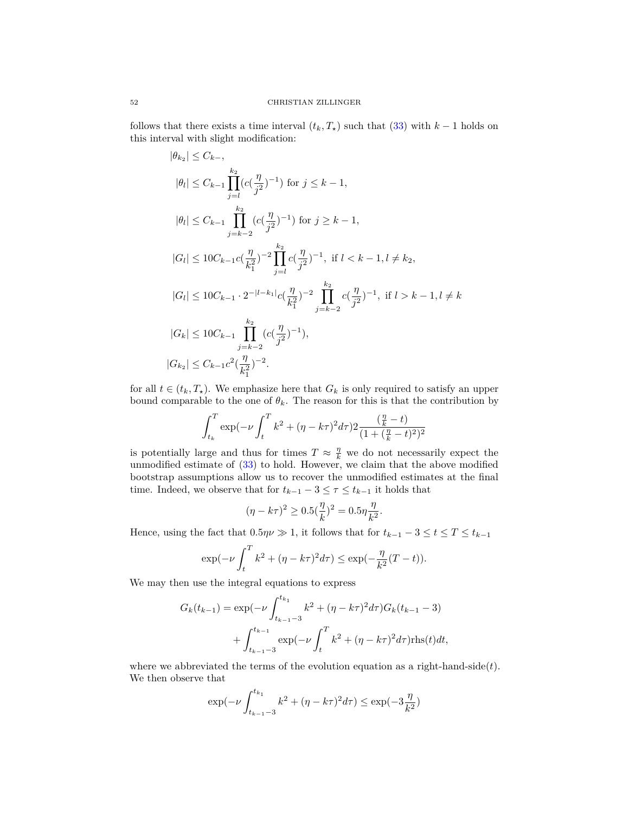follows that there exists a time interval  $(t_k, T_*)$  such that [\(33\)](#page-49-2) with  $k-1$  holds on this interval with slight modification:

$$
|\theta_{k_2}| \leq C_{k-},
$$
  
\n
$$
|\theta_l| \leq C_{k-1} \prod_{j=l}^{k_2} (c(\frac{\eta}{j^2})^{-1}) \text{ for } j \leq k-1,
$$
  
\n
$$
|\theta_l| \leq C_{k-1} \prod_{j=k-2}^{k_2} (c(\frac{\eta}{j^2})^{-1}) \text{ for } j \geq k-1,
$$
  
\n
$$
|G_l| \leq 10C_{k-1}c(\frac{\eta}{k_1^2})^{-2} \prod_{j=l}^{k_2} c(\frac{\eta}{j^2})^{-1}, \text{ if } l < k-1, l \neq k_2,
$$
  
\n
$$
|G_l| \leq 10C_{k-1} \cdot 2^{-|l-k_1|} c(\frac{\eta}{k_1^2})^{-2} \prod_{j=k-2}^{k_2} c(\frac{\eta}{j^2})^{-1}, \text{ if } l > k-1, l \neq k
$$
  
\n
$$
|G_k| \leq 10C_{k-1} \prod_{j=k-2}^{k_2} (c(\frac{\eta}{j^2})^{-1}),
$$
  
\n
$$
|G_{k_2}| \leq C_{k-1}c^2(\frac{\eta}{k_1^2})^{-2}.
$$

for all  $t \in (t_k, T_*)$ . We emphasize here that  $G_k$  is only required to satisfy an upper bound comparable to the one of  $\theta_k$ . The reason for this is that the contribution by

$$
\int_{t_k}^{T} \exp(-\nu \int_{t}^{T} k^2 + (\eta - k\tau)^2 d\tau) 2 \frac{(\frac{\eta}{k} - t)}{(1 + (\frac{\eta}{k} - t)^2)^2}
$$

is potentially large and thus for times  $T \approx \frac{\eta}{k}$  we do not necessarily expect the unmodified estimate of  $(33)$  to hold. However, we claim that the above modified bootstrap assumptions allow us to recover the unmodified estimates at the final time. Indeed, we observe that for  $t_{k-1} - 3 \leq \tau \leq t_{k-1}$  it holds that

$$
(\eta - k\tau)^2 \ge 0.5(\frac{\eta}{k})^2 = 0.5\eta \frac{\eta}{k^2}.
$$

Hence, using the fact that  $0.5\eta\nu \gg 1$ , it follows that for  $t_{k-1} - 3 \leq t \leq T \leq t_{k-1}$ 

$$
\exp(-\nu \int_{t}^{T} k^{2} + (\eta - k\tau)^{2} d\tau) \le \exp(-\frac{\eta}{k^{2}}(T - t)).
$$

We may then use the integral equations to express

$$
G_k(t_{k-1}) = \exp(-\nu \int_{t_{k-1}-3}^{t_{k_1}} k^2 + (\eta - k\tau)^2 d\tau) G_k(t_{k-1} - 3)
$$
  
+ 
$$
\int_{t_{k-1}-3}^{t_{k-1}} \exp(-\nu \int_t^T k^2 + (\eta - k\tau)^2 d\tau) \text{rhs}(t) dt,
$$

where we abbreviated the terms of the evolution equation as a right-hand-side(*t*). We then observe that

$$
\exp(-\nu \int_{t_{k-1}-3}^{t_{k_1}} k^2 + (\eta - k\tau)^2 d\tau) \le \exp(-3\frac{\eta}{k^2})
$$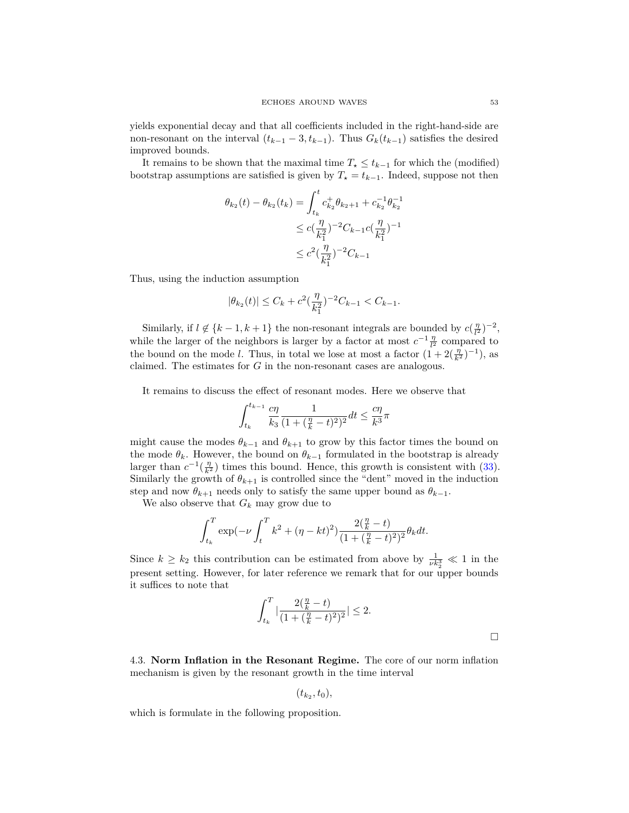yields exponential decay and that all coefficients included in the right-hand-side are non-resonant on the interval  $(t_{k-1} - 3, t_{k-1})$ . Thus  $G_k(t_{k-1})$  satisfies the desired improved bounds.

It remains to be shown that the maximal time  $T_{\star} \leq t_{k-1}$  for which the (modified) bootstrap assumptions are satisfied is given by  $T<sub>z</sub> = t<sub>k-1</sub>$ . Indeed, suppose not then

$$
\theta_{k_2}(t) - \theta_{k_2}(t_k) = \int_{t_k}^t c_{k_2}^+ \theta_{k_2+1} + c_{k_2}^{-1} \theta_{k_2}^{-1}
$$
  

$$
\leq c(\frac{\eta}{k_1^2})^{-2} C_{k-1} c(\frac{\eta}{k_1^2})^{-1}
$$
  

$$
\leq c^2(\frac{\eta}{k_1^2})^{-2} C_{k-1}
$$

Thus, using the induction assumption

$$
|\theta_{k_2}(t)| \le C_k + c^2 \left(\frac{\eta}{k_1^2}\right)^{-2} C_{k-1} < C_{k-1}.
$$

Similarly, if  $l \notin \{k-1, k+1\}$  the non-resonant integrals are bounded by  $c(\frac{\eta}{l^2})^{-2}$ , while the larger of the neighbors is larger by a factor at most  $c^{-1} \frac{\eta}{l^2}$  compared to the bound on the mode *l*. Thus, in total we lose at most a factor  $(1 + 2(\frac{\eta}{k^2})^{-1})$ , as claimed. The estimates for *G* in the non-resonant cases are analogous.

It remains to discuss the effect of resonant modes. Here we observe that

$$
\int_{t_k}^{t_{k-1}} \frac{c \eta}{k_3} \frac{1}{(1+(\frac{\eta}{k}-t)^2)^2} dt \leq \frac{c \eta}{k^3} \pi
$$

might cause the modes  $\theta_{k-1}$  and  $\theta_{k+1}$  to grow by this factor times the bound on the mode  $\theta_k$ . However, the bound on  $\theta_{k-1}$  formulated in the bootstrap is already larger than  $c^{-1}(\frac{\eta}{k^2})$  times this bound. Hence, this growth is consistent with [\(33\)](#page-49-2). Similarly the growth of  $\theta_{k+1}$  is controlled since the "dent" moved in the induction step and now  $\theta_{k+1}$  needs only to satisfy the same upper bound as  $\theta_{k-1}$ .

We also observe that *G<sup>k</sup>* may grow due to

$$
\int_{t_k}^{T} \exp(-\nu \int_{t}^{T} k^2 + (\eta - kt)^2) \frac{2(\frac{\eta}{k} - t)}{(1 + (\frac{\eta}{k} - t)^2)^2} \theta_k dt.
$$

Since  $k \geq k_2$  this contribution can be estimated from above by  $\frac{1}{\nu k_2^3} \ll 1$  in the present setting. However, for later reference we remark that for our upper bounds it suffices to note that

$$
\int_{t_k}^{T} \left| \frac{2(\frac{\eta}{k} - t)}{(1 + (\frac{\eta}{k} - t)^2)^2} \right| \le 2.
$$

<span id="page-52-0"></span>4.3. **Norm Inflation in the Resonant Regime.** The core of our norm inflation mechanism is given by the resonant growth in the time interval

$$
(t_{k_2}, t_0),
$$

which is formulate in the following proposition.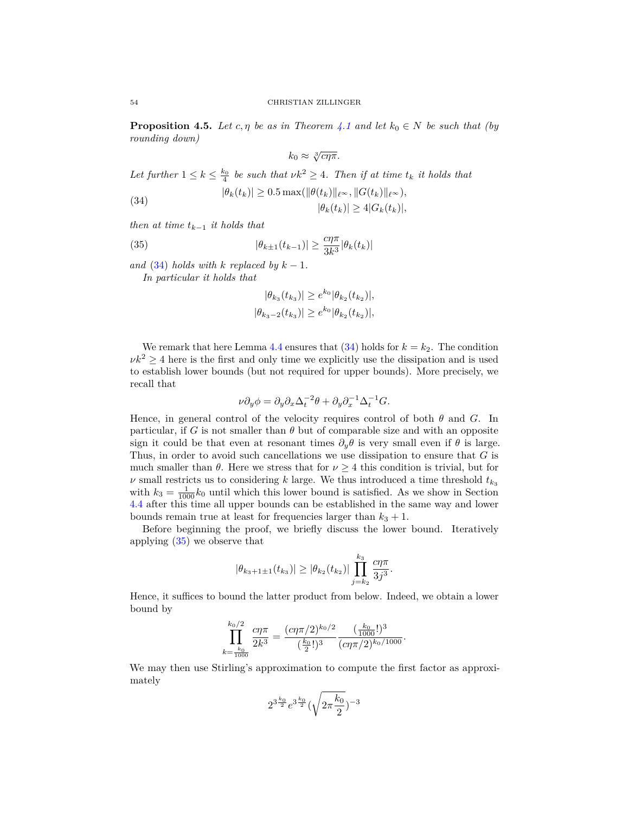<span id="page-53-0"></span>**Proposition 4.5.** *Let*  $c, \eta$  *be as in Theorem [4.1](#page-43-1) and let*  $k_0 \in N$  *be such that (by rounding down)*

$$
k_0 \approx \sqrt[3]{c\eta\pi}.
$$

*Let further*  $1 \leq k \leq \frac{k_0}{4}$  *be such that*  $\nu k^2 \geq 4$ *. Then if at time*  $t_k$  *it holds that* 

<span id="page-53-1"></span>(34) 
$$
|\theta_k(t_k)| \ge 0.5 \max(||\theta(t_k)||_{\ell^\infty}, ||G(t_k)||_{\ell^\infty}),
$$

$$
|\theta_k(t_k)| \ge 4|G_k(t_k)|,
$$

*then at time tk*−<sup>1</sup> *it holds that*

<span id="page-53-2"></span>(35) 
$$
|\theta_{k\pm 1}(t_{k-1})| \geq \frac{c\eta\pi}{3k^3} |\theta_k(t_k)|
$$

*and* [\(34\)](#page-53-1) *holds with*  $k$  *replaced by*  $k - 1$ *. In particular it holds that*

$$
|\theta_{k_3}(t_{k_3})| \geq e^{k_0} |\theta_{k_2}(t_{k_2})|,
$$

$$
|\theta_{k_3-2}(t_{k_3})| \geq e^{k_0} |\theta_{k_2}(t_{k_2})|,
$$

We remark that here Lemma [4.4](#page-49-1) ensures that  $(34)$  holds for  $k = k_2$ . The condition  $\nu k^2 \geq 4$  here is the first and only time we explicitly use the dissipation and is used to establish lower bounds (but not required for upper bounds). More precisely, we recall that

$$
\nu \partial_y \phi = \partial_y \partial_x \Delta_t^{-2} \theta + \partial_y \partial_x^{-1} \Delta_t^{-1} G.
$$

Hence, in general control of the velocity requires control of both *θ* and *G*. In particular, if *G* is not smaller than  $\theta$  but of comparable size and with an opposite sign it could be that even at resonant times  $\partial_y \theta$  is very small even if  $\theta$  is large. Thus, in order to avoid such cancellations we use dissipation to ensure that *G* is much smaller than  $\theta$ . Here we stress that for  $\nu \geq 4$  this condition is trivial, but for *ν* small restricts us to considering *k* large. We thus introduced a time threshold  $t_{k_3}$ with  $k_3 = \frac{1}{1000} k_0$  until which this lower bound is satisfied. As we show in Section [4.4](#page-58-0) after this time all upper bounds can be established in the same way and lower bounds remain true at least for frequencies larger than  $k_3 + 1$ .

Before beginning the proof, we briefly discuss the lower bound. Iteratively applying [\(35\)](#page-53-2) we observe that

$$
|\theta_{k_3+1\pm 1}(t_{k_3})| \geq |\theta_{k_2}(t_{k_2})| \prod_{j=k_2}^{k_3} \frac{c\eta \pi}{3j^3}.
$$

Hence, it suffices to bound the latter product from below. Indeed, we obtain a lower bound by

$$
\prod_{k=\frac{k_0}{1000}}^{k_0/2} \frac{c\eta \pi}{2k^3} = \frac{(c\eta \pi/2)^{k_0/2}}{(\frac{k_0}{2}!)^3} \frac{(\frac{k_0}{1000}!)^3}{(c\eta \pi/2)^{k_0/1000}}.
$$

We may then use Stirling's approximation to compute the first factor as approximately

$$
2^{3\frac{k_0}{2}}e^{3\frac{k_0}{2}}(\sqrt{2\pi\frac{k_0}{2}})^{-3}
$$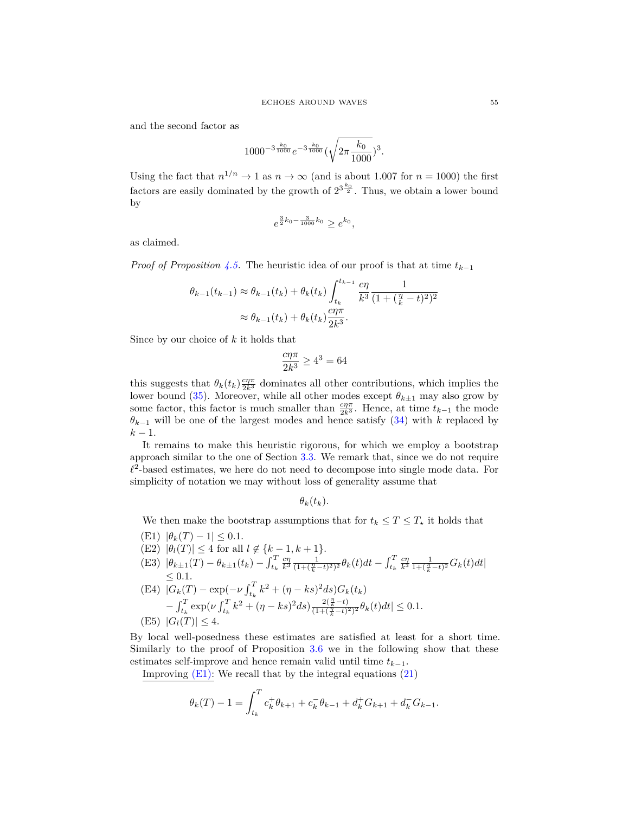and the second factor as

$$
1000^{-3\frac{k_0}{1000}}e^{-3\frac{k_0}{1000}}(\sqrt{2\pi\frac{k_0}{1000}})^3.
$$

Using the fact that  $n^{1/n} \to 1$  as  $n \to \infty$  (and is about 1.007 for  $n = 1000$ ) the first factors are easily dominated by the growth of  $2^{3\frac{k_0}{2}}$ . Thus, we obtain a lower bound by

$$
e^{\frac{3}{2}k_0 - \frac{3}{1000}k_0} \ge e^{k_0},
$$

as claimed.

*Proof of Proposition* [4.5.](#page-53-0) The heuristic idea of our proof is that at time  $t_{k-1}$ 

$$
\theta_{k-1}(t_{k-1}) \approx \theta_{k-1}(t_k) + \theta_k(t_k) \int_{t_k}^{t_{k-1}} \frac{c\eta}{k^3} \frac{1}{(1 + (\frac{\eta}{k} - t)^2)^2} \\
\approx \theta_{k-1}(t_k) + \theta_k(t_k) \frac{c\eta \pi}{2k^3}.
$$

Since by our choice of *k* it holds that

$$
\frac{c\eta\pi}{2k^3}\geq 4^3=64
$$

this suggests that  $\theta_k(t_k) \frac{c\eta \pi}{2k^3}$  dominates all other contributions, which implies the lower bound [\(35\)](#page-53-2). Moreover, while all other modes except  $\theta_{k\pm 1}$  may also grow by some factor, this factor is much smaller than  $\frac{c\eta\pi}{2k^3}$ . Hence, at time  $t_{k-1}$  the mode  $\theta_{k-1}$  will be one of the largest modes and hence satisfy [\(34\)](#page-53-1) with *k* replaced by  $k-1$ .

It remains to make this heuristic rigorous, for which we employ a bootstrap approach similar to the one of Section [3.3.](#page-25-0) We remark that, since we do not require  $\ell^2$ -based estimates, we here do not need to decompose into single mode data. For simplicity of notation we may without loss of generality assume that

$$
\theta_k(t_k).
$$

We then make the bootstrap assumptions that for  $t_k \leq T \leq T_*$  it holds that

- <span id="page-54-0"></span> $|E1\rangle |\theta_k(T) - 1| \leq 0.1.$
- <span id="page-54-3"></span> $(E2)$   $|\theta_l(T)| \leq 4$  for all  $l \notin \{k-1, k+1\}.$
- <span id="page-54-1"></span>(E3)  $|\theta_{k\pm 1}(T) - \theta_{k\pm 1}(t_k) - \int_{t_k}^T \frac{c\eta}{k^3} \frac{1}{(1+(\frac{\eta}{k}-t)^2)^2} \theta_k(t) dt - \int_{t_k}^T \frac{c\eta}{k^3} \frac{1}{1+(\frac{\eta}{k}-t)^2} G_k(t) dt|$  $\leq 0.1$ .

<span id="page-54-4"></span>(E4) 
$$
|G_k(T) - \exp(-\nu \int_{t_k}^T k^2 + (\eta - ks)^2 ds) G_k(t_k)
$$
  
\t $- \int_{t_k}^T \exp(\nu \int_{t_k}^T k^2 + (\eta - ks)^2 ds) \frac{2(\frac{n}{k} - t)}{(1 + (\frac{n}{k} - t)^2)^2} \theta_k(t) dt| \le 0.1.$   
\t(E5)  $|G_l(T)| \le 4.$ 

<span id="page-54-2"></span>By local well-posedness these estimates are satisfied at least for a short time. Similarly to the proof of Proposition [3.6](#page-29-0) we in the following show that these estimates self-improve and hence remain valid until time  $t_{k-1}$ .

Improving  $(E1)$ : We recall that by the integral equations  $(21)$ 

$$
\theta_k(T) - 1 = \int_{t_k}^T c_k^+ \theta_{k+1} + c_k^- \theta_{k-1} + d_k^+ G_{k+1} + d_k^- G_{k-1}.
$$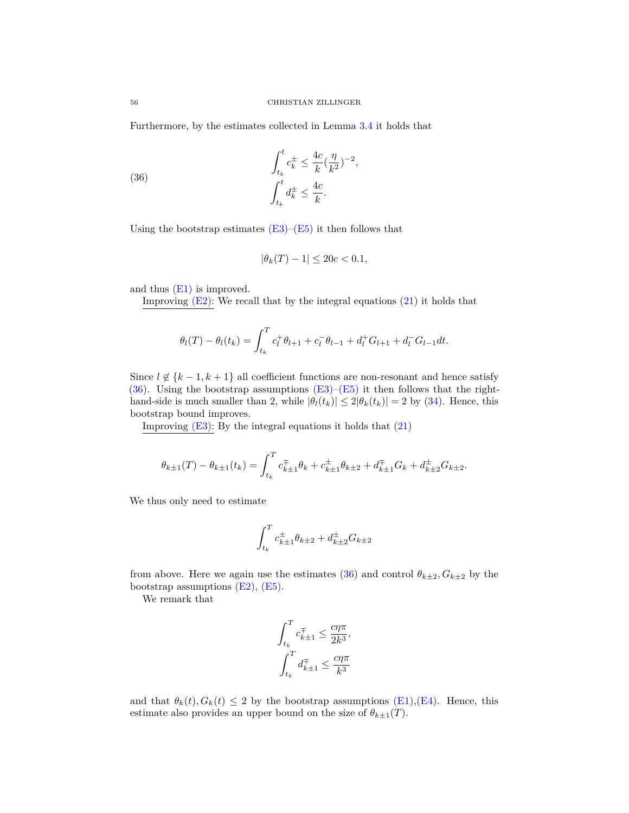Furthermore, by the estimates collected in Lemma [3.4](#page-27-2) it holds that

<span id="page-55-0"></span>(36) 
$$
\int_{t_k}^t c_k^{\pm} \leq \frac{4c}{k} (\frac{\eta}{k^2})^{-2},
$$

$$
\int_{t_k}^t d_k^{\pm} \leq \frac{4c}{k}.
$$

Using the bootstrap estimates  $(E3)-(E5)$  $(E3)-(E5)$  it then follows that

$$
|\theta_k(T) - 1| \le 20c < 0.1
$$

and thus [\(E1\)](#page-54-0) is improved.

Improving  $(E2)$ : We recall that by the integral equations  $(21)$  it holds that

$$
\theta_l(T) - \theta_l(t_k) = \int_{t_k}^T c_l^+ \theta_{l+1} + c_l^- \theta_{l-1} + d_l^+ G_{l+1} + d_l^- G_{l-1} dt.
$$

Since  $l \notin \{k-1, k+1\}$  all coefficient functions are non-resonant and hence satisfy [\(36\)](#page-55-0). Using the bootstrap assumptions  $(E3)$ – $(E5)$  it then follows that the righthand-side is much smaller than 2, while  $|\theta_l(t_k)| \leq 2|\theta_k(t_k)| = 2$  by [\(34\)](#page-53-1). Hence, this bootstrap bound improves.

Improving  $(E3)$ : By the integral equations it holds that  $(21)$ 

$$
\theta_{k\pm 1}(T) - \theta_{k\pm 1}(t_k) = \int_{t_k}^T c_{k\pm 1}^{\mp} \theta_k + c_{k\pm 1}^{\pm} \theta_{k\pm 2} + d_{k\pm 1}^{\mp} G_k + d_{k\pm 2}^{\pm} G_{k\pm 2}.
$$

We thus only need to estimate

$$
\int_{t_k}^{T} c_{k\pm 1}^{\pm} \theta_{k\pm 2} + d_{k\pm 2}^{\pm} G_{k\pm 2}
$$

from above. Here we again use the estimates [\(36\)](#page-55-0) and control  $\theta_{k\pm 2}$ ,  $G_{k\pm 2}$  by the bootstrap assumptions  $(E2)$ ,  $(E5)$ .

We remark that

$$
\begin{aligned} &\int_{t_k}^T c^\mp_{k\pm1} \leq \frac{c\eta\pi}{2k^3},\\ &\int_{t_k}^T d^\mp_{k\pm1} \leq \frac{c\eta\pi}{k^3} \end{aligned}
$$

and that  $\theta_k(t)$ ,  $G_k(t) \leq 2$  by the bootstrap assumptions [\(E1\),](#page-54-0) [\(E4\).](#page-54-4) Hence, this estimate also provides an upper bound on the size of  $\theta_{k\pm 1}(T)$ .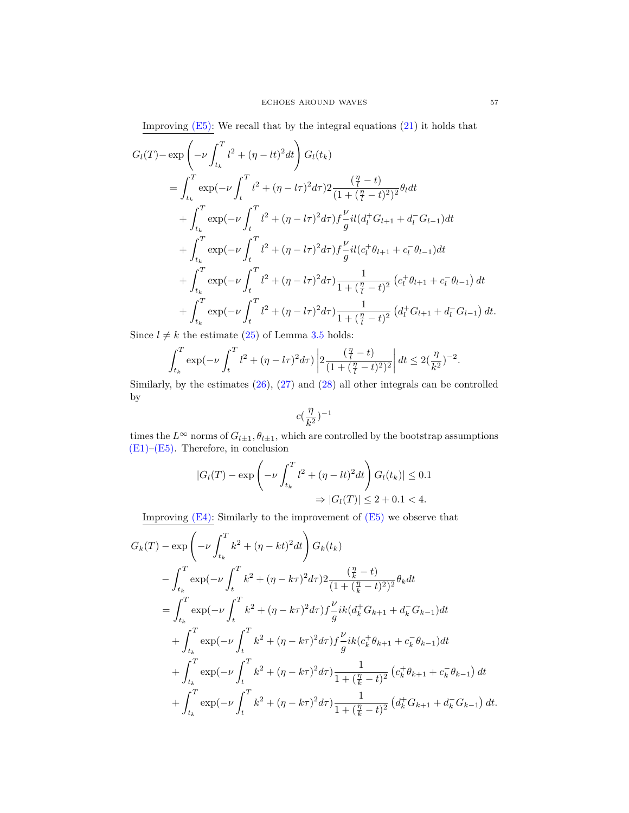Improving  $(E5)$ : We recall that by the integral equations  $(21)$  it holds that

$$
G_{l}(T) - \exp\left(-\nu \int_{t_{k}}^{T} l^{2} + (\eta - lt)^{2} dt\right) G_{l}(t_{k})
$$
  
\n
$$
= \int_{t_{k}}^{T} \exp(-\nu \int_{t}^{T} l^{2} + (\eta - l\tau)^{2} d\tau) 2 \frac{(\frac{\eta}{l} - t)}{(1 + (\frac{\eta}{l} - t)^{2})^{2}} \theta_{l} dt
$$
  
\n
$$
+ \int_{t_{k}}^{T} \exp(-\nu \int_{t}^{T} l^{2} + (\eta - l\tau)^{2} d\tau) f \frac{\nu}{g} i l (d_{l}^{+} G_{l+1} + d_{l}^{-} G_{l-1}) dt
$$
  
\n
$$
+ \int_{t_{k}}^{T} \exp(-\nu \int_{t}^{T} l^{2} + (\eta - l\tau)^{2} d\tau) f \frac{\nu}{g} i l (c_{l}^{+} \theta_{l+1} + c_{l}^{-} \theta_{l-1}) dt
$$
  
\n
$$
+ \int_{t_{k}}^{T} \exp(-\nu \int_{t}^{T} l^{2} + (\eta - l\tau)^{2} d\tau) \frac{1}{1 + (\frac{\eta}{l} - t)^{2}} (c_{l}^{+} \theta_{l+1} + c_{l}^{-} \theta_{l-1}) dt
$$
  
\n
$$
+ \int_{t_{k}}^{T} \exp(-\nu \int_{t}^{T} l^{2} + (\eta - l\tau)^{2} d\tau) \frac{1}{1 + (\frac{\eta}{l} - t)^{2}} (d_{l}^{+} G_{l+1} + d_{l}^{-} G_{l-1}) dt.
$$

Since  $l \neq k$  the estimate [\(25\)](#page-28-6) of Lemma [3.5](#page-28-2) holds:

$$
\int_{t_k}^{T} \exp(-\nu \int_{t}^{T} l^2 + (\eta - l\tau)^2 d\tau) \left| 2 \frac{(\frac{\eta}{l} - t)}{(1 + (\frac{\eta}{l} - t)^2)^2} \right| dt \le 2(\frac{\eta}{k^2})^{-2}
$$

Similarly, by the estimates [\(26\)](#page-28-3), [\(27\)](#page-28-4) and [\(28\)](#page-28-5) all other integrals can be controlled by

$$
c(\frac{\eta}{k^2})^{-1}
$$

times the  $L^\infty$  norms of  $G_{l\pm1}, \theta_{l\pm1},$  which are controlled by the bootstrap assumptions [\(E1\)–](#page-54-0)[\(E5\).](#page-54-2) Therefore, in conclusion

$$
|G_l(T) - \exp\left(-\nu \int_{t_k}^T l^2 + (\eta - lt)^2 dt\right) G_l(t_k)| \le 0.1
$$
  

$$
\Rightarrow |G_l(T)| \le 2 + 0.1 < 4.
$$

Improving  $(E4)$ : Similarly to the improvement of  $(E5)$  we observe that

$$
G_k(T) - \exp\left(-\nu \int_{t_k}^T k^2 + (\eta - kt)^2 dt\right) G_k(t_k)
$$
  
\n
$$
- \int_{t_k}^T \exp(-\nu \int_t^T k^2 + (\eta - k\tau)^2 d\tau) 2 \frac{(\frac{\eta}{k} - t)}{(1 + (\frac{\eta}{k} - t)^2)^2} \theta_k dt
$$
  
\n
$$
= \int_{t_k}^T \exp(-\nu \int_t^T k^2 + (\eta - k\tau)^2 d\tau) f \frac{\nu}{g} ik (d_k^+ G_{k+1} + d_k^- G_{k-1}) dt
$$
  
\n
$$
+ \int_{t_k}^T \exp(-\nu \int_t^T k^2 + (\eta - k\tau)^2 d\tau) f \frac{\nu}{g} ik (c_k^+ \theta_{k+1} + c_k^- \theta_{k-1}) dt
$$
  
\n
$$
+ \int_{t_k}^T \exp(-\nu \int_t^T k^2 + (\eta - k\tau)^2 d\tau) \frac{1}{1 + (\frac{\eta}{k} - t)^2} (c_k^+ \theta_{k+1} + c_k^- \theta_{k-1}) dt
$$
  
\n
$$
+ \int_{t_k}^T \exp(-\nu \int_t^T k^2 + (\eta - k\tau)^2 d\tau) \frac{1}{1 + (\frac{\eta}{k} - t)^2} (d_k^+ G_{k+1} + d_k^- G_{k-1}) dt.
$$

*.*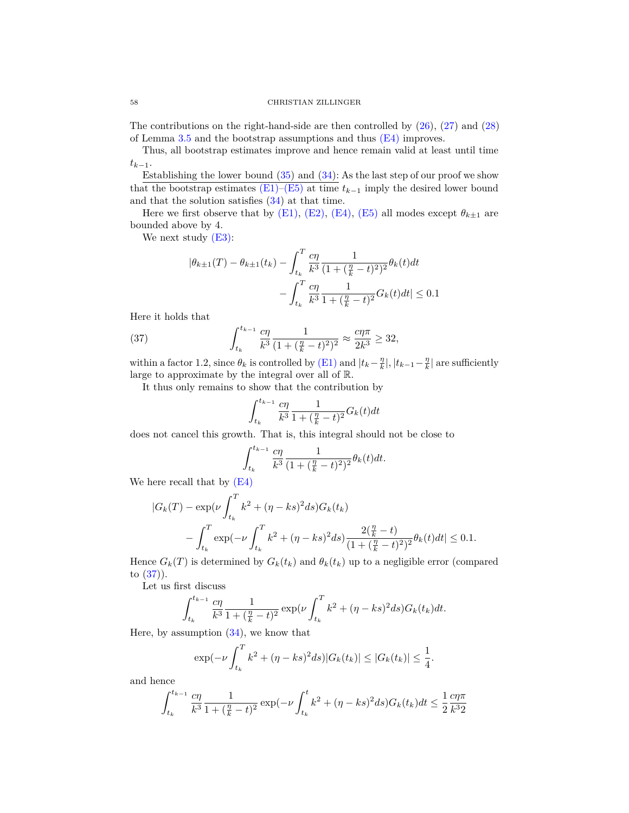### 58 CHRISTIAN ZILLINGER

The contributions on the right-hand-side are then controlled by [\(26\)](#page-28-3), [\(27\)](#page-28-4) and [\(28\)](#page-28-5) of Lemma [3.5](#page-28-2) and the bootstrap assumptions and thus  $(E4)$  improves.

Thus, all bootstrap estimates improve and hence remain valid at least until time  $t_{k-1}$ .

Establishing the lower bound  $(35)$  and  $(34)$ : As the last step of our proof we show that the bootstrap estimates  $(E1)$ – $(E5)$  at time  $t_{k-1}$  imply the desired lower bound and that the solution satisfies [\(34\)](#page-53-1) at that time.

Here we first observe that by [\(E1\),](#page-54-0) [\(E2\),](#page-54-3) [\(E4\),](#page-54-4) [\(E5\)](#page-54-2) all modes except  $\theta_{k\pm 1}$  are bounded above by 4.

We next study  $(E3)$ :

$$
|\theta_{k\pm 1}(T) - \theta_{k\pm 1}(t_k) - \int_{t_k}^{T} \frac{c\eta}{k^3} \frac{1}{(1 + (\frac{\eta}{k} - t)^2)^2} \theta_k(t) dt
$$

$$
- \int_{t_k}^{T} \frac{c\eta}{k^3} \frac{1}{1 + (\frac{\eta}{k} - t)^2} G_k(t) dt | \le 0.1
$$

Here it holds that

<span id="page-57-0"></span>(37) 
$$
\int_{t_k}^{t_{k-1}} \frac{c\eta}{k^3} \frac{1}{(1 + (\frac{\eta}{k} - t)^2)^2} \approx \frac{c\eta\pi}{2k^3} \ge 32,
$$

within a factor 1.2, since  $\theta_k$  is controlled by [\(E1\)](#page-54-0) and  $|t_k - \frac{\eta}{k}|, |t_{k-1} - \frac{\eta}{k}|$  are sufficiently large to approximate by the integral over all of R.

It thus only remains to show that the contribution by

$$
\int_{t_k}^{t_{k-1}} \frac{c\eta}{k^3} \frac{1}{1 + (\frac{\eta}{k} - t)^2} G_k(t) dt
$$

does not cancel this growth. That is, this integral should not be close to

$$
\int_{t_k}^{t_{k-1}} \frac{c\eta}{k^3} \frac{1}{(1 + (\frac{\eta}{k} - t)^2)^2} \theta_k(t) dt.
$$

We here recall that by [\(E4\)](#page-54-4)

$$
|G_k(T) - \exp(\nu \int_{t_k}^T k^2 + (\eta - ks)^2 ds) G_k(t_k)
$$
  

$$
- \int_{t_k}^T \exp(-\nu \int_{t_k}^T k^2 + (\eta - ks)^2 ds) \frac{2(\frac{\eta}{k} - t)}{(1 + (\frac{\eta}{k} - t)^2)^2} \theta_k(t) dt | \le 0.1.
$$

Hence  $G_k(T)$  is determined by  $G_k(t_k)$  and  $\theta_k(t_k)$  up to a negligible error (compared to [\(37\)](#page-57-0)).

Let us first discuss

$$
\int_{t_k}^{t_{k-1}} \frac{c\eta}{k^3} \frac{1}{1 + (\frac{\eta}{k} - t)^2} \exp\left(\nu \int_{t_k}^T k^2 + (\eta - ks)^2 ds\right) G_k(t_k) dt.
$$

Here, by assumption  $(34)$ , we know that

$$
\exp(-\nu \int_{t_k}^T k^2 + (\eta - ks)^2 ds)|G_k(t_k)| \le |G_k(t_k)| \le \frac{1}{4}.
$$

and hence

$$
\int_{t_k}^{t_{k-1}} \frac{c\eta}{k^3} \frac{1}{1 + (\frac{\eta}{k} - t)^2} \exp(-\nu \int_{t_k}^t k^2 + (\eta - ks)^2 ds) G_k(t_k) dt \le \frac{1}{2} \frac{c\eta \pi}{k^3 2}
$$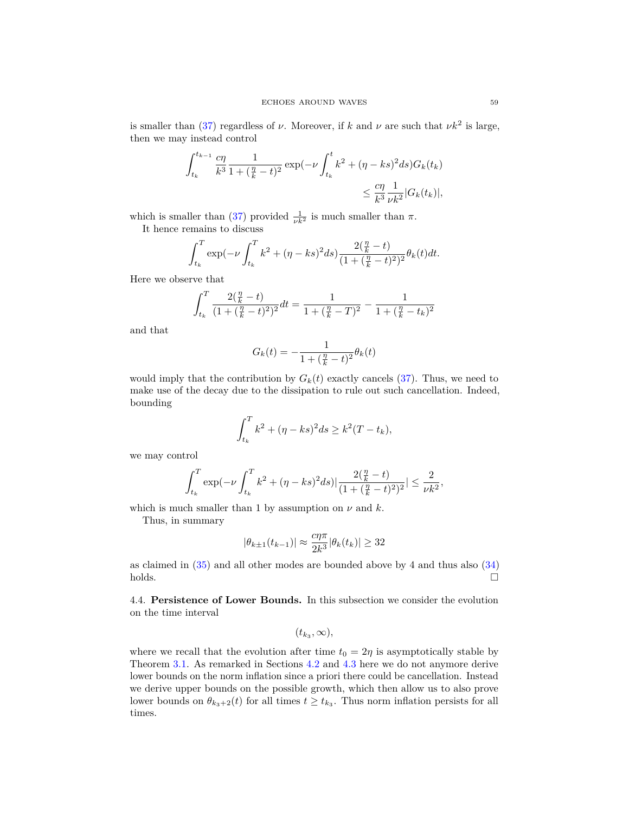is smaller than [\(37\)](#page-57-0) regardless of  $\nu$ . Moreover, if  $k$  and  $\nu$  are such that  $\nu k^2$  is large, then we may instead control

$$
\int_{t_k}^{t_{k-1}} \frac{c\eta}{k^3} \frac{1}{1 + (\frac{\eta}{k} - t)^2} \exp(-\nu \int_{t_k}^t k^2 + (\eta - ks)^2 ds) G_k(t_k) \leq \frac{c\eta}{k^3} \frac{1}{\nu k^2} |G_k(t_k)|,
$$

which is smaller than [\(37\)](#page-57-0) provided  $\frac{1}{\nu k^2}$  is much smaller than  $\pi$ .

It hence remains to discuss

$$
\int_{t_k}^{T} \exp(-\nu \int_{t_k}^{T} k^2 + (\eta - ks)^2 ds) \frac{2(\frac{\eta}{k} - t)}{(1 + (\frac{\eta}{k} - t)^2)^2} \theta_k(t) dt.
$$

Here we observe that

$$
\int_{t_k}^{T} \frac{2(\frac{\eta}{k} - t)}{(1 + (\frac{\eta}{k} - t)^2)^2} dt = \frac{1}{1 + (\frac{\eta}{k} - T)^2} - \frac{1}{1 + (\frac{\eta}{k} - t_k)^2}
$$

and that

$$
G_k(t)=-\frac{1}{1+(\frac{\eta}{k}-t)^2}\theta_k(t)
$$

would imply that the contribution by  $G_k(t)$  exactly cancels [\(37\)](#page-57-0). Thus, we need to make use of the decay due to the dissipation to rule out such cancellation. Indeed, bounding

$$
\int_{t_k}^{T} k^2 + (\eta - ks)^2 ds \ge k^2 (T - t_k),
$$

we may control

$$
\int_{t_k}^{T} \exp(-\nu \int_{t_k}^{T} k^2 + (\eta - ks)^2 ds) \left| \frac{2(\frac{\eta}{k} - t)}{(1 + (\frac{\eta}{k} - t)^2)^2} \right| \le \frac{2}{\nu k^2},
$$

which is much smaller than 1 by assumption on  $\nu$  and  $k$ .

Thus, in summary

$$
|\theta_{k\pm 1}(t_{k-1})| \approx \frac{c\eta\pi}{2k^3} |\theta_k(t_k)| \ge 32
$$

as claimed in [\(35\)](#page-53-2) and all other modes are bounded above by 4 and thus also [\(34\)](#page-53-1)  $holds.$ 

<span id="page-58-0"></span>4.4. **Persistence of Lower Bounds.** In this subsection we consider the evolution on the time interval

$$
(t_{k_3},\infty),
$$

where we recall that the evolution after time  $t_0 = 2\eta$  is asymptotically stable by Theorem [3.1.](#page-17-2) As remarked in Sections [4.2](#page-49-0) and [4.3](#page-52-0) here we do not anymore derive lower bounds on the norm inflation since a priori there could be cancellation. Instead we derive upper bounds on the possible growth, which then allow us to also prove lower bounds on  $\theta_{k_3+2}(t)$  for all times  $t \geq t_{k_3}$ . Thus norm inflation persists for all times.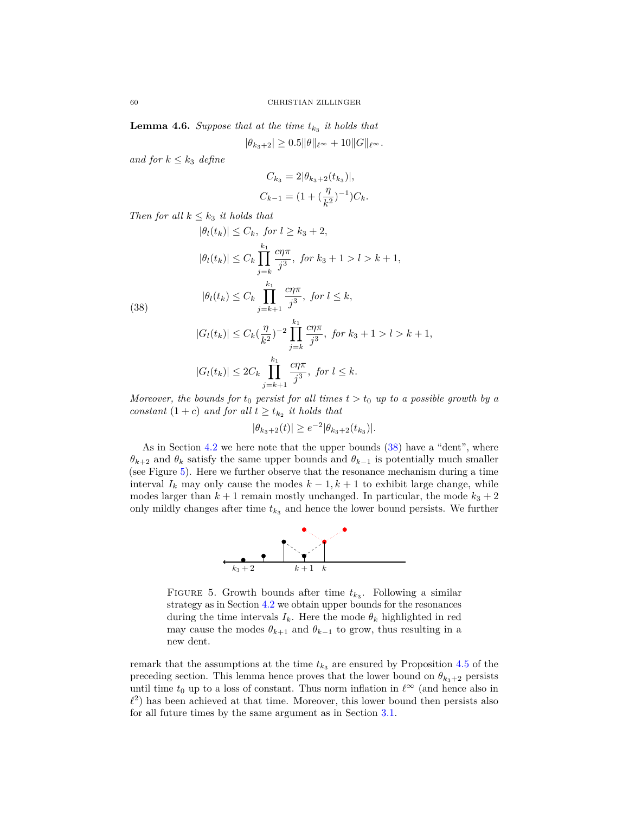<span id="page-59-0"></span>**Lemma 4.6.** *Suppose that at the time*  $t_{k_3}$  *it holds that* 

 $|\theta_{k_3+2}| \geq 0.5 \|\theta\|_{\ell^\infty} + 10 \|G\|_{\ell^\infty}.$ 

*and for*  $k \leq k_3$  *define* 

$$
C_{k_3} = 2|\theta_{k_3+2}(t_{k_3})|,
$$
  
\n
$$
C_{k-1} = (1 + (\frac{\eta}{k^2})^{-1})C_k.
$$

*Then for all*  $k \leq k_3$  *it holds that* 

$$
|\theta_l(t_k)| \le C_k, \text{ for } l \ge k_3 + 2,
$$
  
\n
$$
|\theta_l(t_k)| \le C_k \prod_{j=k}^{k_1} \frac{c\eta \pi}{j^3}, \text{ for } k_3 + 1 > l > k + 1,
$$
  
\n
$$
|\theta_l(t_k) \le C_k \prod_{j=k+1}^{k_1} \frac{c\eta \pi}{j^3}, \text{ for } l \le k,
$$
  
\n
$$
|G_l(t_k)| \le C_k \left(\frac{\eta}{L^2}\right)^{-2} \prod_{j=k+1}^{k_1} \frac{c\eta \pi}{j^3}, \text{ for } k_3 + 1 > l > l
$$

<span id="page-59-1"></span>(38)

$$
|G_l(t_k)| \le C_k \left(\frac{\eta}{k^2}\right)^{-2} \prod_{j=k}^{k_1} \frac{c\eta \pi}{j^3}, \text{ for } k_3 + 1 > l > k+1,
$$
  

$$
|G_l(t_k)| \le 2C_k \prod_{j=k+1}^{k_1} \frac{c\eta \pi}{j^3}, \text{ for } l \le k.
$$

*Moreover, the bounds for*  $t_0$  *persist for all times*  $t > t_0$  *up to a possible growth by a constant*  $(1 + c)$  *and for all*  $t \geq t_{k_2}$  *it holds that* 

$$
|\theta_{k_3+2}(t)| \ge e^{-2} |\theta_{k_3+2}(t_{k_3})|.
$$

As in Section [4.2](#page-49-0) we here note that the upper bounds [\(38\)](#page-59-1) have a "dent", where *θk*+2 and *θ<sup>k</sup>* satisfy the same upper bounds and *θk*−<sup>1</sup> is potentially much smaller (see Figure [5\)](#page-59-2). Here we further observe that the resonance mechanism during a time interval  $I_k$  may only cause the modes  $k-1, k+1$  to exhibit large change, while modes larger than  $k + 1$  remain mostly unchanged. In particular, the mode  $k_3 + 2$ only mildly changes after time  $t_{k_3}$  and hence the lower bound persists. We further



<span id="page-59-2"></span>FIGURE 5. Growth bounds after time  $t_{k_3}$ . Following a similar strategy as in Section [4.2](#page-49-0) we obtain upper bounds for the resonances during the time intervals  $I_k$ . Here the mode  $\theta_k$  highlighted in red may cause the modes  $\theta_{k+1}$  and  $\theta_{k-1}$  to grow, thus resulting in a new dent.

remark that the assumptions at the time  $t_{k_3}$  are ensured by Proposition [4.5](#page-53-0) of the preceding section. This lemma hence proves that the lower bound on  $\theta_{k_3+2}$  persists until time  $t_0$  up to a loss of constant. Thus norm inflation in  $\ell^{\infty}$  (and hence also in  $\ell^2$ ) has been achieved at that time. Moreover, this lower bound then persists also for all future times by the same argument as in Section [3.1.](#page-17-0)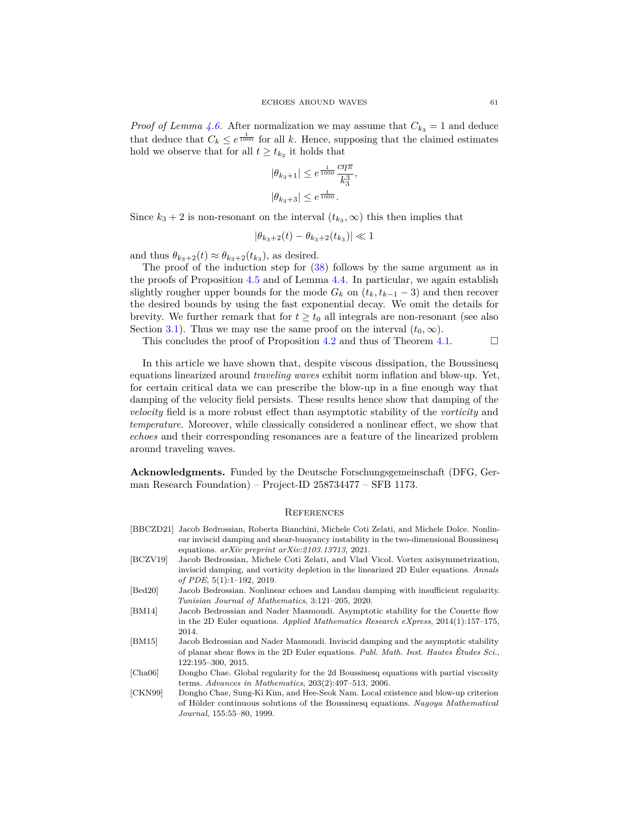*Proof of Lemma [4.6.](#page-59-0)* After normalization we may assume that  $C_{k_3} = 1$  and deduce that deduce that  $C_k \leq e^{\frac{1}{1000}}$  for all *k*. Hence, supposing that the claimed estimates hold we observe that for all  $t \geq t_{k_2}$  it holds that

$$
\begin{aligned} |\theta_{k_3+1}| &\leq e^{\frac{1}{1000}}\frac{c\eta\pi}{k_3^3}\\ |\theta_{k_3+3}| &\leq e^{\frac{1}{1000}}. \end{aligned}
$$

*,*

Since  $k_3 + 2$  is non-resonant on the interval  $(t_{k_3}, \infty)$  this then implies that

$$
|\theta_{k_3+2}(t) - \theta_{k_3+2}(t_{k_3})| \ll 1
$$

and thus  $\theta_{k_3+2}(t) \approx \theta_{k_3+2}(t_{k_3})$ , as desired.

The proof of the induction step for [\(38\)](#page-59-1) follows by the same argument as in the proofs of Proposition [4.5](#page-53-0) and of Lemma [4.4.](#page-49-1) In particular, we again establish slightly rougher upper bounds for the mode  $G_k$  on  $(t_k, t_{k-1} - 3)$  and then recover the desired bounds by using the fast exponential decay. We omit the details for brevity. We further remark that for  $t \geq t_0$  all integrals are non-resonant (see also Section [3.1\)](#page-17-0). Thus we may use the same proof on the interval  $(t_0, \infty)$ .

This concludes the proof of Proposition [4.2](#page-44-0) and thus of Theorem [4.1.](#page-43-1)  $\Box$ 

In this article we have shown that, despite viscous dissipation, the Boussinesq equations linearized around *traveling waves* exhibit norm inflation and blow-up. Yet, for certain critical data we can prescribe the blow-up in a fine enough way that damping of the velocity field persists. These results hence show that damping of the *velocity* field is a more robust effect than asymptotic stability of the *vorticity* and *temperature*. Moreover, while classically considered a nonlinear effect, we show that *echoes* and their corresponding resonances are a feature of the linearized problem around traveling waves.

**Acknowledgments.** Funded by the Deutsche Forschungsgemeinschaft (DFG, German Research Foundation) – Project-ID 258734477 – SFB 1173.

#### <span id="page-60-0"></span>**REFERENCES**

<span id="page-60-7"></span><span id="page-60-6"></span><span id="page-60-5"></span><span id="page-60-4"></span><span id="page-60-3"></span><span id="page-60-2"></span><span id="page-60-1"></span>

|          | [BBCZD21] Jacob Bedrossian, Roberta Bianchini, Michele Coti Zelati, and Michele Dolce. Nonlin- |
|----------|------------------------------------------------------------------------------------------------|
|          | ear inviscid damping and shear-buoyancy instability in the two-dimensional Boussinesq          |
|          | equations. $arXiv$ preprint $arXiv.2103.13713.2021$ .                                          |
| [BCZV19] | Jacob Bedrossian, Michele Coti Zelati, and Vlad Vicol. Vortex axisymmetrization,               |
|          | inviscid damping, and vorticity depletion in the linearized 2D Euler equations. Annals         |
|          | of PDE, $5(1):1-192$ , 2019.                                                                   |
| [Bed20]  | Jacob Bedrossian. Nonlinear echoes and Landau damping with insufficient regularity.            |
|          | Tunisian Journal of Mathematics, 3:121–205, 2020.                                              |
| [BM14]   | Jacob Bedrossian and Nader Masmoudi. Asymptotic stability for the Couette flow                 |
|          | in the 2D Euler equations. Applied Mathematics Research eXpress, $2014(1):157-175$ ,           |
|          | 2014.                                                                                          |
| [BM15]   | Jacob Bedrossian and Nader Masmoudi. Inviscid damping and the asymptotic stability             |
|          | of planar shear flows in the 2D Euler equations. Publ. Math. Inst. Hautes Etudes Sci.,         |
|          | $122:195 - 300$ , $2015$ .                                                                     |
| [Cha06]  | Dongho Chae. Global regularity for the 2d Boussines qequations with partial viscosity          |
|          | terms. Advances in Mathematics, $203(2):497-513$ , $2006$ .                                    |
| [CKN99]  | Dongho Chae, Sung-Ki Kim, and Hee-Seok Nam. Local existence and blow-up criterion              |
|          | of Hölder continuous solutions of the Boussinesq equations. Nagoya Mathematical                |
|          | <i>Journal</i> , 155:55–80, 1999.                                                              |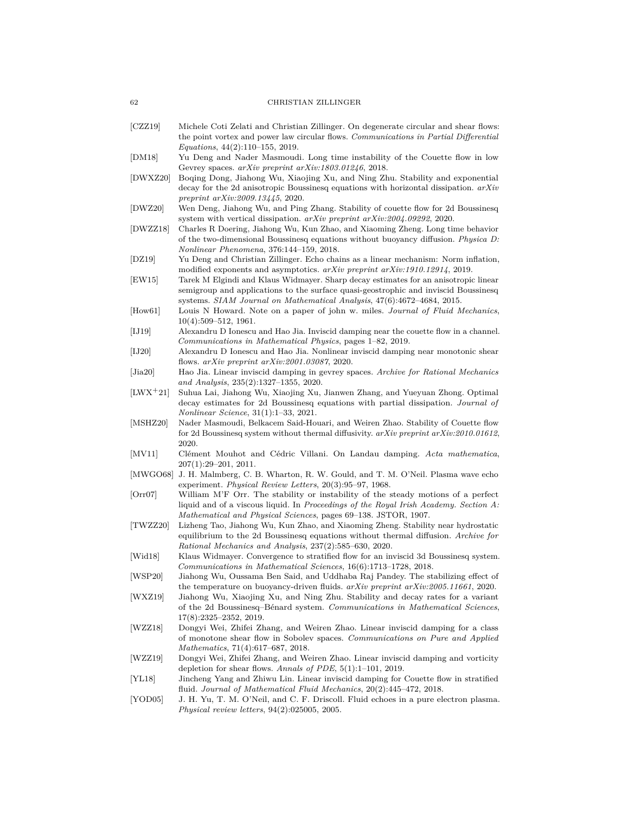#### 62 CHRISTIAN ZILLINGER

- <span id="page-61-15"></span>[CZZ19] Michele Coti Zelati and Christian Zillinger. On degenerate circular and shear flows: the point vortex and power law circular flows. *Communications in Partial Differential Equations*, 44(2):110–155, 2019.
- <span id="page-61-19"></span>[DM18] Yu Deng and Nader Masmoudi. Long time instability of the Couette flow in low Gevrey spaces. *arXiv preprint arXiv:1803.01246*, 2018.
- <span id="page-61-7"></span>[DWXZ20] Boqing Dong, Jiahong Wu, Xiaojing Xu, and Ning Zhu. Stability and exponential decay for the 2d anisotropic Boussinesq equations with horizontal dissipation. *arXiv preprint arXiv:2009.13445*, 2020.
- <span id="page-61-5"></span>[DWZ20] Wen Deng, Jiahong Wu, and Ping Zhang. Stability of couette flow for 2d Boussinesq system with vertical dissipation. *arXiv preprint arXiv:2004.09292*, 2020.
- <span id="page-61-0"></span>[DWZZ18] Charles R Doering, Jiahong Wu, Kun Zhao, and Xiaoming Zheng. Long time behavior of the two-dimensional Boussinesq equations without buoyancy diffusion. *Physica D: Nonlinear Phenomena*, 376:144–159, 2018.
- <span id="page-61-20"></span>[DZ19] Yu Deng and Christian Zillinger. Echo chains as a linear mechanism: Norm inflation, modified exponents and asymptotics. *arXiv preprint arXiv:1910.12914*, 2019.
- <span id="page-61-1"></span>[EW15] Tarek M Elgindi and Klaus Widmayer. Sharp decay estimates for an anisotropic linear semigroup and applications to the surface quasi-geostrophic and inviscid Boussinesq systems. *SIAM Journal on Mathematical Analysis*, 47(6):4672–4684, 2015.
- <span id="page-61-23"></span>[How61] Louis N Howard. Note on a paper of john w. miles. *Journal of Fluid Mechanics*, 10(4):509–512, 1961.
- <span id="page-61-16"></span>[IJ19] Alexandru D Ionescu and Hao Jia. Inviscid damping near the couette flow in a channel. *Communications in Mathematical Physics*, pages 1–82, 2019.
- <span id="page-61-18"></span>[IJ20] Alexandru D Ionescu and Hao Jia. Nonlinear inviscid damping near monotonic shear flows. *arXiv preprint arXiv:2001.03087*, 2020.
- <span id="page-61-17"></span>[Jia20] Hao Jia. Linear inviscid damping in gevrey spaces. *Archive for Rational Mechanics and Analysis*, 235(2):1327–1355, 2020.
- <span id="page-61-10"></span>[LWX+21] Suhua Lai, Jiahong Wu, Xiaojing Xu, Jianwen Zhang, and Yueyuan Zhong. Optimal decay estimates for 2d Boussinesq equations with partial dissipation. *Journal of Nonlinear Science*, 31(1):1–33, 2021.
- <span id="page-61-8"></span>[MSHZ20] Nader Masmoudi, Belkacem Said-Houari, and Weiren Zhao. Stability of Couette flow for 2d Boussinesq system without thermal diffusivity. *arXiv preprint arXiv:2010.01612*, 2020.
- <span id="page-61-11"></span>[MV11] Clément Mouhot and Cédric Villani. On Landau damping. *Acta mathematica*, 207(1):29–201, 2011.
- <span id="page-61-22"></span>[MWGO68] J. H. Malmberg, C. B. Wharton, R. W. Gould, and T. M. O'Neil. Plasma wave echo experiment. *Physical Review Letters*, 20(3):95–97, 1968.
- <span id="page-61-12"></span>[Orr07] William M'F Orr. The stability or instability of the steady motions of a perfect liquid and of a viscous liquid. In *Proceedings of the Royal Irish Academy. Section A: Mathematical and Physical Sciences*, pages 69–138. JSTOR, 1907.
- <span id="page-61-9"></span>[TWZZ20] Lizheng Tao, Jiahong Wu, Kun Zhao, and Xiaoming Zheng. Stability near hydrostatic equilibrium to the 2d Boussinesq equations without thermal diffusion. *Archive for Rational Mechanics and Analysis*, 237(2):585–630, 2020.
- <span id="page-61-2"></span>[Wid18] Klaus Widmayer. Convergence to stratified flow for an inviscid 3d Boussinesq system. *Communications in Mathematical Sciences*, 16(6):1713–1728, 2018.
- <span id="page-61-6"></span>[WSP20] Jiahong Wu, Oussama Ben Said, and Uddhaba Raj Pandey. The stabilizing effect of the temperature on buoyancy-driven fluids. *arXiv preprint arXiv:2005.11661*, 2020.
- <span id="page-61-4"></span>[WXZ19] Jiahong Wu, Xiaojing Xu, and Ning Zhu. Stability and decay rates for a variant of the 2d Boussinesq–Bénard system. *Communications in Mathematical Sciences*, 17(8):2325–2352, 2019.
- <span id="page-61-13"></span>[WZZ18] Dongyi Wei, Zhifei Zhang, and Weiren Zhao. Linear inviscid damping for a class of monotone shear flow in Sobolev spaces. *Communications on Pure and Applied Mathematics*, 71(4):617–687, 2018.
- <span id="page-61-14"></span>[WZZ19] Dongyi Wei, Zhifei Zhang, and Weiren Zhao. Linear inviscid damping and vorticity depletion for shear flows. *Annals of PDE*, 5(1):1–101, 2019.
- <span id="page-61-3"></span>[YL18] Jincheng Yang and Zhiwu Lin. Linear inviscid damping for Couette flow in stratified fluid. *Journal of Mathematical Fluid Mechanics*, 20(2):445–472, 2018.
- <span id="page-61-21"></span>[YOD05] J. H. Yu, T. M. O'Neil, and C. F. Driscoll. Fluid echoes in a pure electron plasma. *Physical review letters*, 94(2):025005, 2005.